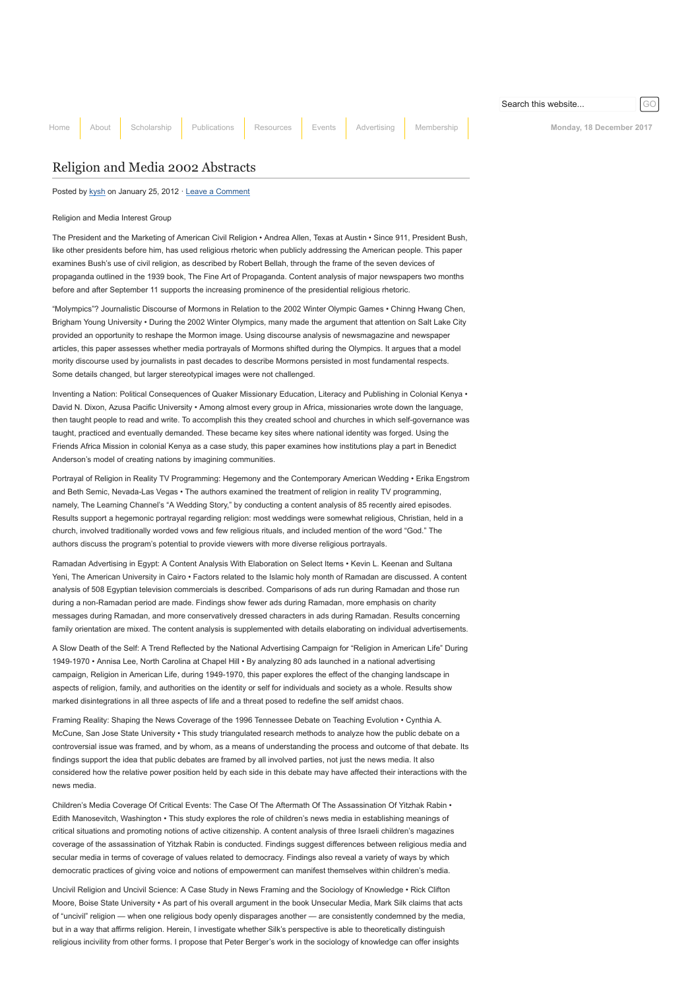[Home](http://www.aejmc.org/home) [About](http://www.aejmc.org/home/about/) [Scholarship](http://www.aejmc.org/home/scholarship/) [Publications](http://www.aejmc.org/home/publications/) [Resources](http://www.aejmc.org/home/resources/) [Events](http://www.aejmc.org/home/events/) [Advertising](http://www.aejmc.org/home/advertising/) [Membership](http://www.aejmc.org/home/membership/) Membership Monday, 18 December 2017

## [Religion and Media 2002 Abstracts](http://www.aejmc.org/home/2012/01/rmig-2002-abstracts/)

Posted by [kysh](http://www.aejmc.org/home/author/kyshiab/) on January 25, 2012 · [Leave a Comment](http://www.aejmc.org/home/2012/01/rmig-2002-abstracts/#respond)

Religion and Media Interest Group

The President and the Marketing of American Civil Religion • Andrea Allen, Texas at Austin • Since 911, President Bush, like other presidents before him, has used religious rhetoric when publicly addressing the American people. This paper examines Bush's use of civil religion, as described by Robert Bellah, through the frame of the seven devices of propaganda outlined in the 1939 book, The Fine Art of Propaganda. Content analysis of major newspapers two months before and after September 11 supports the increasing prominence of the presidential religious rhetoric.

"Molympics"? Journalistic Discourse of Mormons in Relation to the 2002 Winter Olympic Games • Chinng Hwang Chen, Brigham Young University • During the 2002 Winter Olympics, many made the argument that attention on Salt Lake City provided an opportunity to reshape the Mormon image. Using discourse analysis of newsmagazine and newspaper articles, this paper assesses whether media portrayals of Mormons shifted during the Olympics. It argues that a model mority discourse used by journalists in past decades to describe Mormons persisted in most fundamental respects. Some details changed, but larger stereotypical images were not challenged.

Inventing a Nation: Political Consequences of Quaker Missionary Education, Literacy and Publishing in Colonial Kenya • David N. Dixon, Azusa Pacific University • Among almost every group in Africa, missionaries wrote down the language, then taught people to read and write. To accomplish this they created school and churches in which self-governance was taught, practiced and eventually demanded. These became key sites where national identity was forged. Using the Friends Africa Mission in colonial Kenya as a case study, this paper examines how institutions play a part in Benedict Anderson's model of creating nations by imagining communities.

Portrayal of Religion in Reality TV Programming: Hegemony and the Contemporary American Wedding • Erika Engstrom and Beth Semic, Nevada-Las Vegas • The authors examined the treatment of religion in reality TV programming, namely, The Learning Channel's "A Wedding Story," by conducting a content analysis of 85 recently aired episodes. Results support a hegemonic portrayal regarding religion: most weddings were somewhat religious, Christian, held in a church, involved traditionally worded vows and few religious rituals, and included mention of the word "God." The authors discuss the program's potential to provide viewers with more diverse religious portrayals.

Ramadan Advertising in Egypt: A Content Analysis With Elaboration on Select Items • Kevin L. Keenan and Sultana Yeni, The American University in Cairo • Factors related to the Islamic holy month of Ramadan are discussed. A content analysis of 508 Egyptian television commercials is described. Comparisons of ads run during Ramadan and those run during a non-Ramadan period are made. Findings show fewer ads during Ramadan, more emphasis on charity messages during Ramadan, and more conservatively dressed characters in ads during Ramadan. Results concerning family orientation are mixed. The content analysis is supplemented with details elaborating on individual advertisements.

A Slow Death of the Self: A Trend Reflected by the National Advertising Campaign for "Religion in American Life" During 1949-1970 • Annisa Lee, North Carolina at Chapel Hill • By analyzing 80 ads launched in a national advertising campaign, Religion in American Life, during 1949-1970, this paper explores the effect of the changing landscape in aspects of religion, family, and authorities on the identity or self for individuals and society as a whole. Results show marked disintegrations in all three aspects of life and a threat posed to redefine the self amidst chaos.

Framing Reality: Shaping the News Coverage of the 1996 Tennessee Debate on Teaching Evolution • Cynthia A. McCune, San Jose State University • This study triangulated research methods to analyze how the public debate on a controversial issue was framed, and by whom, as a means of understanding the process and outcome of that debate. Its findings support the idea that public debates are framed by all involved parties, not just the news media. It also considered how the relative power position held by each side in this debate may have affected their interactions with the news media.

Children's Media Coverage Of Critical Events: The Case Of The Aftermath Of The Assassination Of Yitzhak Rabin • Edith Manosevitch, Washington • This study explores the role of children's news media in establishing meanings of critical situations and promoting notions of active citizenship. A content analysis of three Israeli children's magazines coverage of the assassination of Yitzhak Rabin is conducted. Findings suggest differences between religious media and secular media in terms of coverage of values related to democracy. Findings also reveal a variety of ways by which democratic practices of giving voice and notions of empowerment can manifest themselves within children's media.

Uncivil Religion and Uncivil Science: A Case Study in News Framing and the Sociology of Knowledge • Rick Clifton Moore, Boise State University • As part of his overall argument in the book Unsecular Media, Mark Silk claims that acts of "uncivil" religion - when one religious body openly disparages another - are consistently condemned by the media, but in a way that affirms religion. Herein, I investigate whether Silk's perspective is able to theoretically distinguish religious incivility from other forms. I propose that Peter Berger's work in the sociology of knowledge can offer insights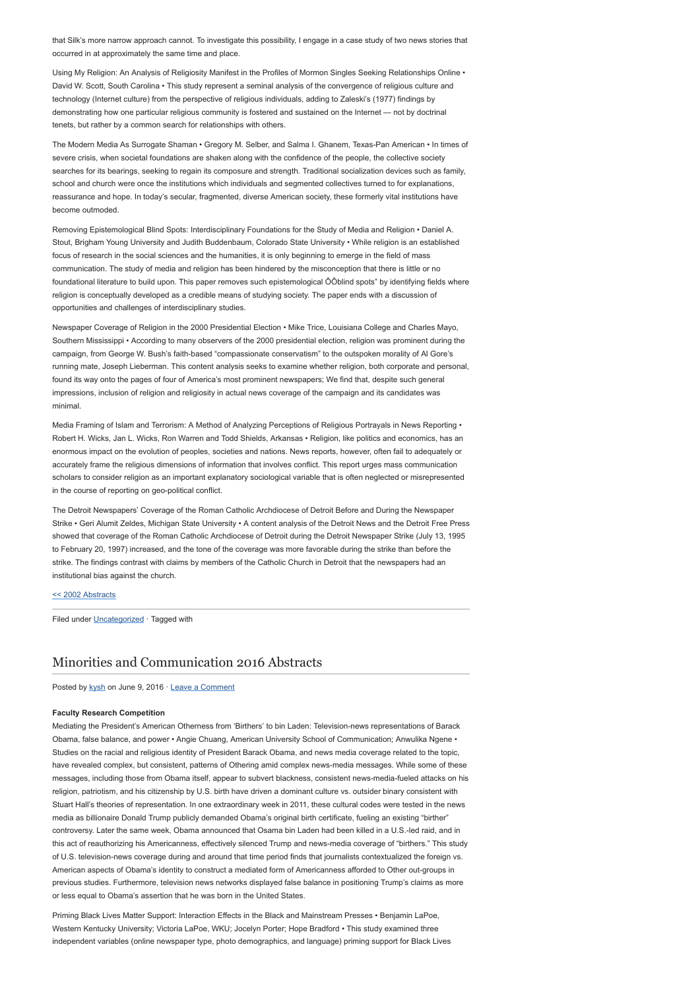that Silk's more narrow approach cannot. To investigate this possibility, I engage in a case study of two news stories that occurred in at approximately the same time and place.

Using My Religion: An Analysis of Religiosity Manifest in the Profiles of Mormon Singles Seeking Relationships Online • David W. Scott, South Carolina • This study represent a seminal analysis of the convergence of religious culture and technology (Internet culture) from the perspective of religious individuals, adding to Zaleski's (1977) findings by demonstrating how one particular religious community is fostered and sustained on the Internet — not by doctrinal tenets, but rather by a common search for relationships with others.

The Modern Media As Surrogate Shaman • Gregory M. Selber, and Salma I. Ghanem, Texas-Pan American • In times of severe crisis, when societal foundations are shaken along with the confidence of the people, the collective society searches for its bearings, seeking to regain its composure and strength. Traditional socialization devices such as family, school and church were once the institutions which individuals and segmented collectives turned to for explanations, reassurance and hope. In today's secular, fragmented, diverse American society, these formerly vital institutions have become outmoded.

Removing Epistemological Blind Spots: Interdisciplinary Foundations for the Study of Media and Religion • Daniel A. Stout, Brigham Young University and Judith Buddenbaum, Colorado State University • While religion is an established focus of research in the social sciences and the humanities, it is only beginning to emerge in the field of mass communication. The study of media and religion has been hindered by the misconception that there is little or no foundational literature to build upon. This paper removes such epistemological ÔÔblind spots" by identifying fields where religion is conceptually developed as a credible means of studying society. The paper ends with a discussion of opportunities and challenges of interdisciplinary studies.

Newspaper Coverage of Religion in the 2000 Presidential Election • Mike Trice, Louisiana College and Charles Mayo, Southern Mississippi • According to many observers of the 2000 presidential election, religion was prominent during the campaign, from George W. Bush's faith-based "compassionate conservatism" to the outspoken morality of Al Gore's running mate, Joseph Lieberman. This content analysis seeks to examine whether religion, both corporate and personal, found its way onto the pages of four of America's most prominent newspapers; We find that, despite such general impressions, inclusion of religion and religiosity in actual news coverage of the campaign and its candidates was minimal.

Media Framing of Islam and Terrorism: A Method of Analyzing Perceptions of Religious Portrayals in News Reporting • Robert H. Wicks, Jan L. Wicks, Ron Warren and Todd Shields, Arkansas • Religion, like politics and economics, has an enormous impact on the evolution of peoples, societies and nations. News reports, however, often fail to adequately or accurately frame the religious dimensions of information that involves conflict. This report urges mass communication scholars to consider religion as an important explanatory sociological variable that is often neglected or misrepresented in the course of reporting on geo-political conflict.

The Detroit Newspapers' Coverage of the Roman Catholic Archdiocese of Detroit Before and During the Newspaper Strike • Geri Alumit Zeldes, Michigan State University • A content analysis of the Detroit News and the Detroit Free Press showed that coverage of the Roman Catholic Archdiocese of Detroit during the Detroit Newspaper Strike (July 13, 1995 to February 20, 1997) increased, and the tone of the coverage was more favorable during the strike than before the strike. The findings contrast with claims by members of the Catholic Church in Detroit that the newspapers had an institutional bias against the church.

### [<< 2002 Abstracts](http://www.aejmc.com/home/2011/03/2002-abstracts/)

Filed under [Uncategorized](http://www.aejmc.org/home/category/uncategorized/) · Tagged with

### [Minorities and Communication 2016 Abstracts](http://www.aejmc.org/home/2016/06/mac-2016-abstracts/)

Posted by [kysh](http://www.aejmc.org/home/author/kyshiab/) on June 9, 2016 · [Leave a Comment](http://www.aejmc.org/home/2016/06/mac-2016-abstracts/#respond)

### Faculty Research Competition

Mediating the President's American Otherness from 'Birthers' to bin Laden: Television-news representations of Barack Obama, false balance, and power • Angie Chuang, American University School of Communication; Anwulika Ngene • Studies on the racial and religious identity of President Barack Obama, and news media coverage related to the topic, have revealed complex, but consistent, patterns of Othering amid complex news-media messages. While some of these messages, including those from Obama itself, appear to subvert blackness, consistent news-media-fueled attacks on his religion, patriotism, and his citizenship by U.S. birth have driven a dominant culture vs. outsider binary consistent with Stuart Hall's theories of representation. In one extraordinary week in 2011, these cultural codes were tested in the news media as billionaire Donald Trump publicly demanded Obama's original birth certificate, fueling an existing "birther" controversy. Later the same week, Obama announced that Osama bin Laden had been killed in a U.S.-led raid, and in this act of reauthorizing his Americanness, effectively silenced Trump and news-media coverage of "birthers." This study of U.S. television-news coverage during and around that time period finds that journalists contextualized the foreign vs. American aspects of Obama's identity to construct a mediated form of Americanness afforded to Other out-groups in previous studies. Furthermore, television news networks displayed false balance in positioning Trump's claims as more or less equal to Obama's assertion that he was born in the United States.

Priming Black Lives Matter Support: Interaction Effects in the Black and Mainstream Presses • Benjamin LaPoe, Western Kentucky University; Victoria LaPoe, WKU; Jocelyn Porter; Hope Bradford • This study examined three independent variables (online newspaper type, photo demographics, and language) priming support for Black Lives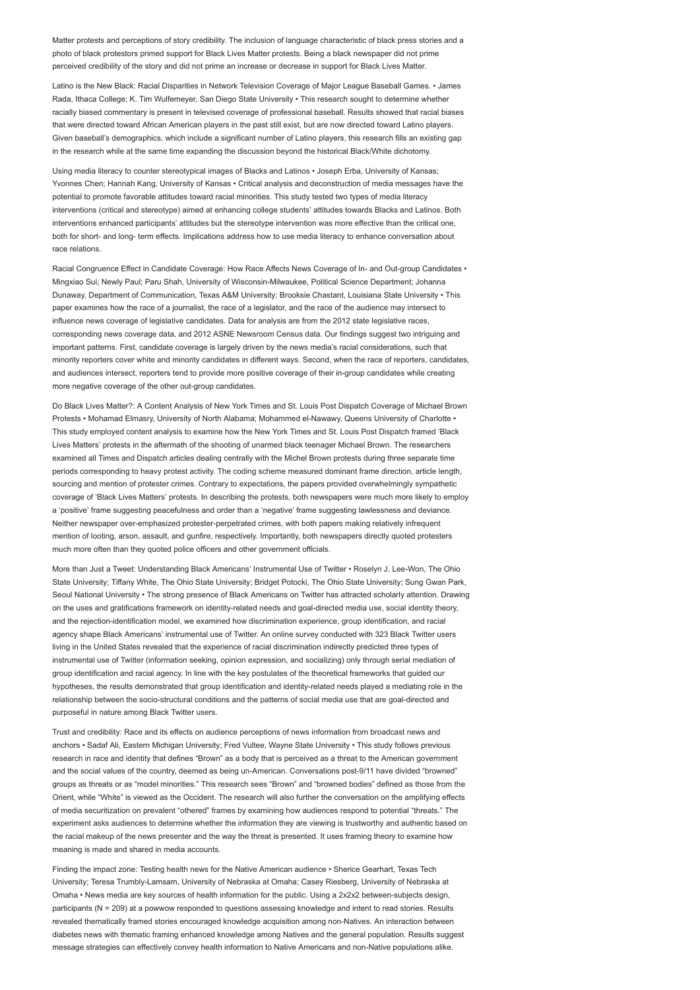Matter protests and perceptions of story credibility. The inclusion of language characteristic of black press stories and a photo of black protestors primed support for Black Lives Matter protests. Being a black newspaper did not prime perceived credibility of the story and did not prime an increase or decrease in support for Black Lives Matter.

Latino is the New Black: Racial Disparities in Network Television Coverage of Major League Baseball Games. • James Rada, Ithaca College; K. Tim Wulfemeyer, San Diego State University • This research sought to determine whether racially biased commentary is present in televised coverage of professional baseball. Results showed that racial biases that were directed toward African American players in the past still exist, but are now directed toward Latino players. Given baseball's demographics, which include a significant number of Latino players, this research fills an existing gap in the research while at the same time expanding the discussion beyond the historical Black/White dichotomy.

Using media literacy to counter stereotypical images of Blacks and Latinos • Joseph Erba, University of Kansas; Yvonnes Chen; Hannah Kang, University of Kansas • Critical analysis and deconstruction of media messages have the potential to promote favorable attitudes toward racial minorities. This study tested two types of media literacy interventions (critical and stereotype) aimed at enhancing college students' attitudes towards Blacks and Latinos. Both interventions enhanced participants' attitudes but the stereotype intervention was more effective than the critical one, both for short- and long- term effects. Implications address how to use media literacy to enhance conversation about race relations.

Racial Congruence Effect in Candidate Coverage: How Race Affects News Coverage of In- and Out-group Candidates • Mingxiao Sui; Newly Paul; Paru Shah, University of Wisconsin-Milwaukee, Political Science Department; Johanna Dunaway, Department of Communication, Texas A&M University; Brooksie Chastant, Louisiana State University • This paper examines how the race of a journalist, the race of a legislator, and the race of the audience may intersect to influence news coverage of legislative candidates. Data for analysis are from the 2012 state legislative races, corresponding news coverage data, and 2012 ASNE Newsroom Census data. Our findings suggest two intriguing and important patterns. First, candidate coverage is largely driven by the news media's racial considerations, such that minority reporters cover white and minority candidates in different ways. Second, when the race of reporters, candidates, and audiences intersect, reporters tend to provide more positive coverage of their in-group candidates while creating more negative coverage of the other out-group candidates.

Do Black Lives Matter?: A Content Analysis of New York Times and St. Louis Post Dispatch Coverage of Michael Brown Protests • Mohamad Elmasry, University of North Alabama; Mohammed el-Nawawy, Queens University of Charlotte • This study employed content analysis to examine how the New York Times and St. Louis Post Dispatch framed 'Black Lives Matters' protests in the aftermath of the shooting of unarmed black teenager Michael Brown. The researchers examined all Times and Dispatch articles dealing centrally with the Michel Brown protests during three separate time periods corresponding to heavy protest activity. The coding scheme measured dominant frame direction, article length, sourcing and mention of protester crimes. Contrary to expectations, the papers provided overwhelmingly sympathetic coverage of 'Black Lives Matters' protests. In describing the protests, both newspapers were much more likely to employ a 'positive' frame suggesting peacefulness and order than a 'negative' frame suggesting lawlessness and deviance. Neither newspaper over-emphasized protester-perpetrated crimes, with both papers making relatively infrequent mention of looting, arson, assault, and gunfire, respectively. Importantly, both newspapers directly quoted protesters much more often than they quoted police officers and other government officials.

More than Just a Tweet: Understanding Black Americans' Instrumental Use of Twitter • Roselyn J. Lee-Won, The Ohio State University; Tiffany White, The Ohio State University; Bridget Potocki, The Ohio State University; Sung Gwan Park, Seoul National University • The strong presence of Black Americans on Twitter has attracted scholarly attention. Drawing on the uses and gratifications framework on identity-related needs and goal-directed media use, social identity theory, and the rejection-identification model, we examined how discrimination experience, group identification, and racial agency shape Black Americans' instrumental use of Twitter. An online survey conducted with 323 Black Twitter users living in the United States revealed that the experience of racial discrimination indirectly predicted three types of instrumental use of Twitter (information seeking, opinion expression, and socializing) only through serial mediation of group identification and racial agency. In line with the key postulates of the theoretical frameworks that guided our hypotheses, the results demonstrated that group identification and identity-related needs played a mediating role in the relationship between the socio-structural conditions and the patterns of social media use that are goal-directed and purposeful in nature among Black Twitter users.

Trust and credibility: Race and its effects on audience perceptions of news information from broadcast news and anchors • Sadaf Ali, Eastern Michigan University; Fred Vultee, Wayne State University • This study follows previous research in race and identity that defines "Brown" as a body that is perceived as a threat to the American government and the social values of the country, deemed as being un-American. Conversations post-9/11 have divided "browned" groups as threats or as "model minorities." This research sees "Brown" and "browned bodies" defined as those from the Orient, while "White" is viewed as the Occident. The research will also further the conversation on the amplifying effects of media securitization on prevalent "othered" frames by examining how audiences respond to potential "threats." The experiment asks audiences to determine whether the information they are viewing is trustworthy and authentic based on the racial makeup of the news presenter and the way the threat is presented. It uses framing theory to examine how meaning is made and shared in media accounts.

Finding the impact zone: Testing health news for the Native American audience • Sherice Gearhart, Texas Tech University; Teresa Trumbly-Lamsam, University of Nebraska at Omaha; Casey Riesberg, University of Nebraska at Omaha • News media are key sources of health information for the public. Using a 2x2x2 between-subjects design, participants (N = 209) at a powwow responded to questions assessing knowledge and intent to read stories. Results revealed thematically framed stories encouraged knowledge acquisition among non-Natives. An interaction between diabetes news with thematic framing enhanced knowledge among Natives and the general population. Results suggest message strategies can effectively convey health information to Native Americans and non-Native populations alike.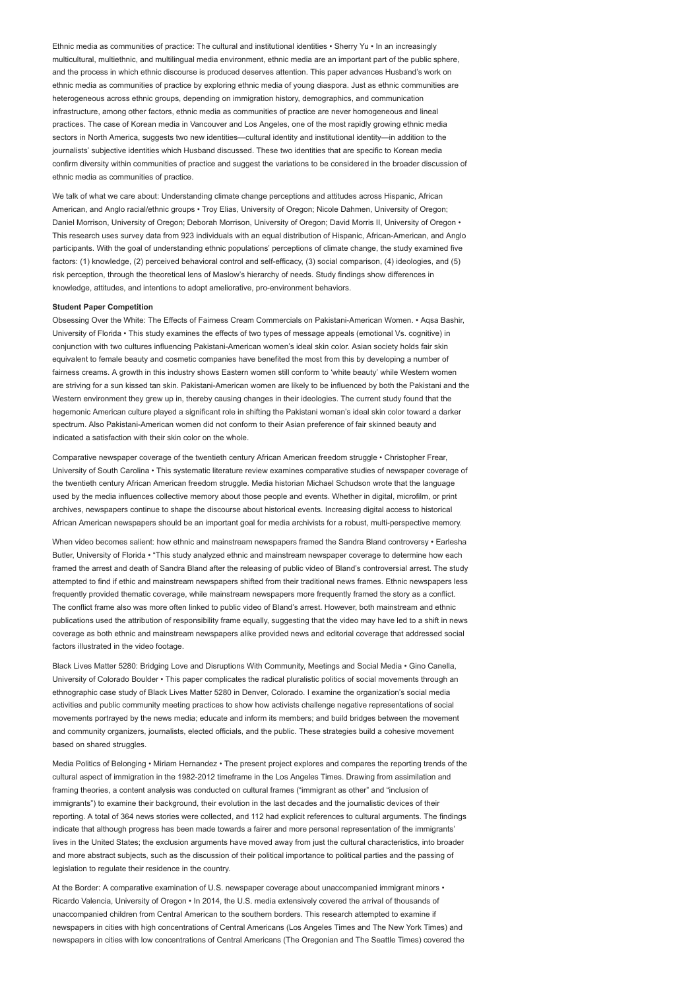Ethnic media as communities of practice: The cultural and institutional identities • Sherry Yu • In an increasingly multicultural, multiethnic, and multilingual media environment, ethnic media are an important part of the public sphere, and the process in which ethnic discourse is produced deserves attention. This paper advances Husband's work on ethnic media as communities of practice by exploring ethnic media of young diaspora. Just as ethnic communities are heterogeneous across ethnic groups, depending on immigration history, demographics, and communication infrastructure, among other factors, ethnic media as communities of practice are never homogeneous and lineal practices. The case of Korean media in Vancouver and Los Angeles, one of the most rapidly growing ethnic media sectors in North America, suggests two new identities—cultural identity and institutional identity—in addition to the journalists' subjective identities which Husband discussed. These two identities that are specific to Korean media confirm diversity within communities of practice and suggest the variations to be considered in the broader discussion of ethnic media as communities of practice.

We talk of what we care about: Understanding climate change perceptions and attitudes across Hispanic, African American, and Anglo racial/ethnic groups • Troy Elias, University of Oregon; Nicole Dahmen, University of Oregon; Daniel Morrison, University of Oregon; Deborah Morrison, University of Oregon; David Morris II, University of Oregon • This research uses survey data from 923 individuals with an equal distribution of Hispanic, African-American, and Anglo participants. With the goal of understanding ethnic populations' perceptions of climate change, the study examined five factors: (1) knowledge, (2) perceived behavioral control and self-efficacy, (3) social comparison, (4) ideologies, and (5) risk perception, through the theoretical lens of Maslow's hierarchy of needs. Study findings show differences in knowledge, attitudes, and intentions to adopt ameliorative, pro-environment behaviors.

### Student Paper Competition

Obsessing Over the White: The Effects of Fairness Cream Commercials on Pakistani-American Women. • Aqsa Bashir, University of Florida • This study examines the effects of two types of message appeals (emotional Vs. cognitive) in conjunction with two cultures influencing Pakistani-American women's ideal skin color. Asian society holds fair skin equivalent to female beauty and cosmetic companies have benefited the most from this by developing a number of fairness creams. A growth in this industry shows Eastern women still conform to 'white beauty' while Western women are striving for a sun kissed tan skin. Pakistani-American women are likely to be influenced by both the Pakistani and the Western environment they grew up in, thereby causing changes in their ideologies. The current study found that the hegemonic American culture played a significant role in shifting the Pakistani woman's ideal skin color toward a darker spectrum. Also Pakistani-American women did not conform to their Asian preference of fair skinned beauty and indicated a satisfaction with their skin color on the whole.

Comparative newspaper coverage of the twentieth century African American freedom struggle • Christopher Frear, University of South Carolina • This systematic literature review examines comparative studies of newspaper coverage of the twentieth century African American freedom struggle. Media historian Michael Schudson wrote that the language used by the media influences collective memory about those people and events. Whether in digital, microfilm, or print archives, newspapers continue to shape the discourse about historical events. Increasing digital access to historical African American newspapers should be an important goal for media archivists for a robust, multi-perspective memory.

When video becomes salient: how ethnic and mainstream newspapers framed the Sandra Bland controversy • Earlesha Butler, University of Florida • "This study analyzed ethnic and mainstream newspaper coverage to determine how each framed the arrest and death of Sandra Bland after the releasing of public video of Bland's controversial arrest. The study attempted to find if ethic and mainstream newspapers shifted from their traditional news frames. Ethnic newspapers less frequently provided thematic coverage, while mainstream newspapers more frequently framed the story as a conflict. The conflict frame also was more often linked to public video of Bland's arrest. However, both mainstream and ethnic publications used the attribution of responsibility frame equally, suggesting that the video may have led to a shift in news coverage as both ethnic and mainstream newspapers alike provided news and editorial coverage that addressed social factors illustrated in the video footage.

Black Lives Matter 5280: Bridging Love and Disruptions With Community, Meetings and Social Media • Gino Canella, University of Colorado Boulder • This paper complicates the radical pluralistic politics of social movements through an ethnographic case study of Black Lives Matter 5280 in Denver, Colorado. I examine the organization's social media activities and public community meeting practices to show how activists challenge negative representations of social movements portrayed by the news media; educate and inform its members; and build bridges between the movement and community organizers, journalists, elected officials, and the public. These strategies build a cohesive movement based on shared struggles.

Media Politics of Belonging • Miriam Hernandez • The present project explores and compares the reporting trends of the cultural aspect of immigration in the 1982-2012 timeframe in the Los Angeles Times. Drawing from assimilation and framing theories, a content analysis was conducted on cultural frames ("immigrant as other" and "inclusion of immigrants") to examine their background, their evolution in the last decades and the journalistic devices of their reporting. A total of 364 news stories were collected, and 112 had explicit references to cultural arguments. The findings indicate that although progress has been made towards a fairer and more personal representation of the immigrants' lives in the United States; the exclusion arguments have moved away from just the cultural characteristics, into broader and more abstract subjects, such as the discussion of their political importance to political parties and the passing of legislation to regulate their residence in the country.

At the Border: A comparative examination of U.S. newspaper coverage about unaccompanied immigrant minors • Ricardo Valencia, University of Oregon • In 2014, the U.S. media extensively covered the arrival of thousands of unaccompanied children from Central American to the southern borders. This research attempted to examine if newspapers in cities with high concentrations of Central Americans (Los Angeles Times and The New York Times) and newspapers in cities with low concentrations of Central Americans (The Oregonian and The Seattle Times) covered the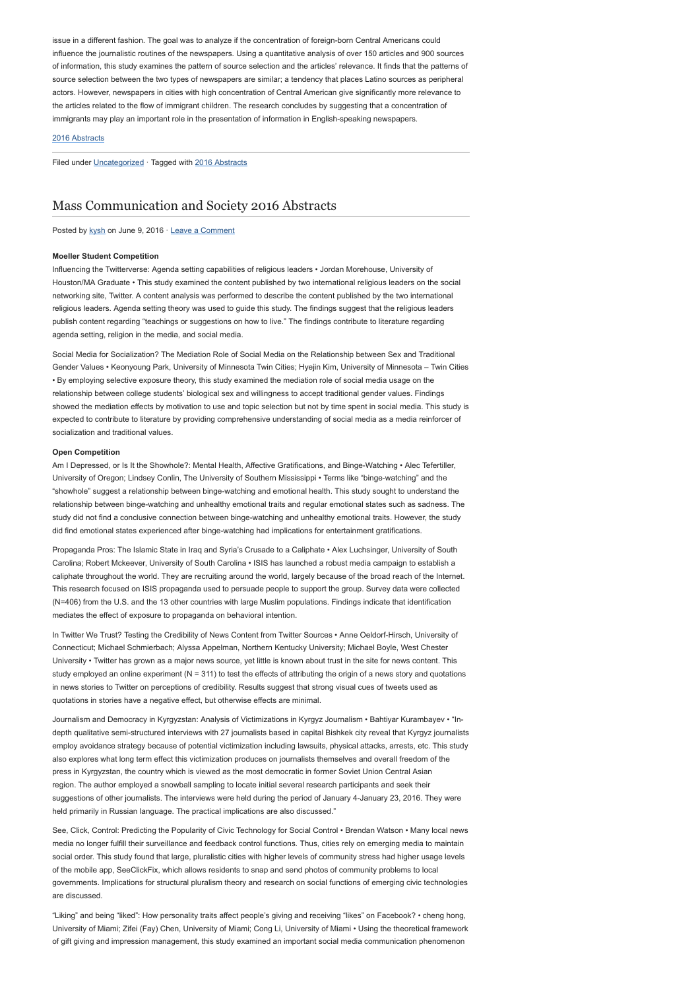issue in a different fashion. The goal was to analyze if the concentration of foreign-born Central Americans could influence the journalistic routines of the newspapers. Using a quantitative analysis of over 150 articles and 900 sources of information, this study examines the pattern of source selection and the articles' relevance. It finds that the patterns of source selection between the two types of newspapers are similar; a tendency that places Latino sources as peripheral actors. However, newspapers in cities with high concentration of Central American give significantly more relevance to the articles related to the flow of immigrant children. The research concludes by suggesting that a concentration of immigrants may play an important role in the presentation of information in English-speaking newspapers.

### [2016 Abstracts](http://www.aejmc.org/home/2016/06/2016-abstracts/)

Filed under [Uncategorized](http://www.aejmc.org/home/category/uncategorized/) · Tagged with [2016 Abstracts](http://www.aejmc.org/home/tag/2016-abstracts/)

## [Mass Communication and Society 2016 Abstracts](http://www.aejmc.org/home/2016/06/mcs-2016-abstracts/)

Posted by [kysh](http://www.aejmc.org/home/author/kyshiab/) on June 9, 2016 · [Leave a Comment](http://www.aejmc.org/home/2016/06/mcs-2016-abstracts/#respond)

#### Moeller Student Competition

Influencing the Twitterverse: Agenda setting capabilities of religious leaders • Jordan Morehouse, University of Houston/MA Graduate • This study examined the content published by two international religious leaders on the social networking site, Twitter. A content analysis was performed to describe the content published by the two international religious leaders. Agenda setting theory was used to guide this study. The findings suggest that the religious leaders publish content regarding "teachings or suggestions on how to live." The findings contribute to literature regarding agenda setting, religion in the media, and social media.

Social Media for Socialization? The Mediation Role of Social Media on the Relationship between Sex and Traditional Gender Values • Keonyoung Park, University of Minnesota Twin Cities; Hyejin Kim, University of Minnesota – Twin Cities • By employing selective exposure theory, this study examined the mediation role of social media usage on the relationship between college students' biological sex and willingness to accept traditional gender values. Findings showed the mediation effects by motivation to use and topic selection but not by time spent in social media. This study is expected to contribute to literature by providing comprehensive understanding of social media as a media reinforcer of socialization and traditional values.

### Open Competition

Am I Depressed, or Is It the Showhole?: Mental Health, Affective Gratifications, and Binge-Watching • Alec Tefertiller, University of Oregon; Lindsey Conlin, The University of Southern Mississippi • Terms like "binge-watching" and the "showhole" suggest a relationship between binge-watching and emotional health. This study sought to understand the relationship between binge-watching and unhealthy emotional traits and regular emotional states such as sadness. The study did not find a conclusive connection between binge-watching and unhealthy emotional traits. However, the study did find emotional states experienced after binge-watching had implications for entertainment gratifications.

Propaganda Pros: The Islamic State in Iraq and Syria's Crusade to a Caliphate • Alex Luchsinger, University of South Carolina; Robert Mckeever, University of South Carolina • ISIS has launched a robust media campaign to establish a caliphate throughout the world. They are recruiting around the world, largely because of the broad reach of the Internet. This research focused on ISIS propaganda used to persuade people to support the group. Survey data were collected (N=406) from the U.S. and the 13 other countries with large Muslim populations. Findings indicate that identification mediates the effect of exposure to propaganda on behavioral intention.

In Twitter We Trust? Testing the Credibility of News Content from Twitter Sources • Anne Oeldorf-Hirsch, University of Connecticut; Michael Schmierbach; Alyssa Appelman, Northern Kentucky University; Michael Boyle, West Chester University • Twitter has grown as a major news source, yet little is known about trust in the site for news content. This study employed an online experiment (N = 311) to test the effects of attributing the origin of a news story and quotations in news stories to Twitter on perceptions of credibility. Results suggest that strong visual cues of tweets used as quotations in stories have a negative effect, but otherwise effects are minimal.

Journalism and Democracy in Kyrgyzstan: Analysis of Victimizations in Kyrgyz Journalism • Bahtiyar Kurambayev • "Indepth qualitative semi-structured interviews with 27 journalists based in capital Bishkek city reveal that Kyrgyz journalists employ avoidance strategy because of potential victimization including lawsuits, physical attacks, arrests, etc. This study also explores what long term effect this victimization produces on journalists themselves and overall freedom of the press in Kyrgyzstan, the country which is viewed as the most democratic in former Soviet Union Central Asian region. The author employed a snowball sampling to locate initial several research participants and seek their suggestions of other journalists. The interviews were held during the period of January 4-January 23, 2016. They were held primarily in Russian language. The practical implications are also discussed."

See, Click, Control: Predicting the Popularity of Civic Technology for Social Control • Brendan Watson • Many local news media no longer fulfill their surveillance and feedback control functions. Thus, cities rely on emerging media to maintain social order. This study found that large, pluralistic cities with higher levels of community stress had higher usage levels of the mobile app, SeeClickFix, which allows residents to snap and send photos of community problems to local governments. Implications for structural pluralism theory and research on social functions of emerging civic technologies are discussed.

"Liking" and being "liked": How personality traits affect people's giving and receiving "likes" on Facebook? • cheng hong, University of Miami; Zifei (Fay) Chen, University of Miami; Cong Li, University of Miami • Using the theoretical framework of gift giving and impression management, this study examined an important social media communication phenomenon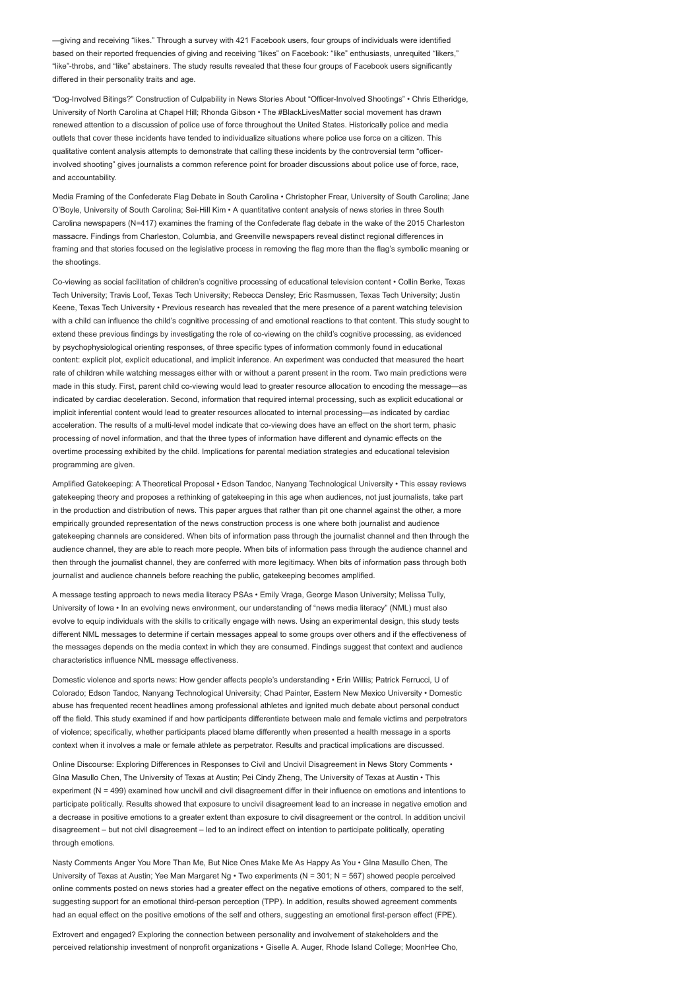—giving and receiving "likes." Through a survey with 421 Facebook users, four groups of individuals were identified based on their reported frequencies of giving and receiving "likes" on Facebook: "like" enthusiasts, unrequited "likers," "like"-throbs, and "like" abstainers. The study results revealed that these four groups of Facebook users significantly differed in their personality traits and age.

"Dog-Involved Bitings?" Construction of Culpability in News Stories About "Officer-Involved Shootings" • Chris Etheridge, University of North Carolina at Chapel Hill; Rhonda Gibson • The #BlackLivesMatter social movement has drawn renewed attention to a discussion of police use of force throughout the United States. Historically police and media outlets that cover these incidents have tended to individualize situations where police use force on a citizen. This qualitative content analysis attempts to demonstrate that calling these incidents by the controversial term "officerinvolved shooting" gives journalists a common reference point for broader discussions about police use of force, race, and accountability.

Media Framing of the Confederate Flag Debate in South Carolina • Christopher Frear, University of South Carolina; Jane O'Boyle, University of South Carolina; Sei-Hill Kim • A quantitative content analysis of news stories in three South Carolina newspapers (N=417) examines the framing of the Confederate flag debate in the wake of the 2015 Charleston massacre. Findings from Charleston, Columbia, and Greenville newspapers reveal distinct regional differences in framing and that stories focused on the legislative process in removing the flag more than the flag's symbolic meaning or the shootings.

Co-viewing as social facilitation of children's cognitive processing of educational television content • Collin Berke, Texas Tech University; Travis Loof, Texas Tech University; Rebecca Densley; Eric Rasmussen, Texas Tech University; Justin Keene, Texas Tech University • Previous research has revealed that the mere presence of a parent watching television with a child can influence the child's cognitive processing of and emotional reactions to that content. This study sought to extend these previous findings by investigating the role of co-viewing on the child's cognitive processing, as evidenced by psychophysiological orienting responses, of three specific types of information commonly found in educational content: explicit plot, explicit educational, and implicit inference. An experiment was conducted that measured the heart rate of children while watching messages either with or without a parent present in the room. Two main predictions were made in this study. First, parent child co-viewing would lead to greater resource allocation to encoding the message—as indicated by cardiac deceleration. Second, information that required internal processing, such as explicit educational or implicit inferential content would lead to greater resources allocated to internal processing—as indicated by cardiac acceleration. The results of a multi-level model indicate that co-viewing does have an effect on the short term, phasic processing of novel information, and that the three types of information have different and dynamic effects on the overtime processing exhibited by the child. Implications for parental mediation strategies and educational television programming are given.

Amplified Gatekeeping: A Theoretical Proposal • Edson Tandoc, Nanyang Technological University • This essay reviews gatekeeping theory and proposes a rethinking of gatekeeping in this age when audiences, not just journalists, take part in the production and distribution of news. This paper argues that rather than pit one channel against the other, a more empirically grounded representation of the news construction process is one where both journalist and audience gatekeeping channels are considered. When bits of information pass through the journalist channel and then through the audience channel, they are able to reach more people. When bits of information pass through the audience channel and then through the journalist channel, they are conferred with more legitimacy. When bits of information pass through both journalist and audience channels before reaching the public, gatekeeping becomes amplified.

A message testing approach to news media literacy PSAs • Emily Vraga, George Mason University; Melissa Tully, University of Iowa • In an evolving news environment, our understanding of "news media literacy" (NML) must also evolve to equip individuals with the skills to critically engage with news. Using an experimental design, this study tests different NML messages to determine if certain messages appeal to some groups over others and if the effectiveness of the messages depends on the media context in which they are consumed. Findings suggest that context and audience characteristics influence NML message effectiveness.

Domestic violence and sports news: How gender affects people's understanding • Erin Willis; Patrick Ferrucci, U of Colorado; Edson Tandoc, Nanyang Technological University; Chad Painter, Eastern New Mexico University • Domestic abuse has frequented recent headlines among professional athletes and ignited much debate about personal conduct off the field. This study examined if and how participants differentiate between male and female victims and perpetrators of violence; specifically, whether participants placed blame differently when presented a health message in a sports context when it involves a male or female athlete as perpetrator. Results and practical implications are discussed.

Online Discourse: Exploring Differences in Responses to Civil and Uncivil Disagreement in News Story Comments • GIna Masullo Chen, The University of Texas at Austin; Pei Cindy Zheng, The University of Texas at Austin • This experiment (N = 499) examined how uncivil and civil disagreement differ in their influence on emotions and intentions to participate politically. Results showed that exposure to uncivil disagreement lead to an increase in negative emotion and a decrease in positive emotions to a greater extent than exposure to civil disagreement or the control. In addition uncivil disagreement – but not civil disagreement – led to an indirect effect on intention to participate politically, operating through emotions.

Nasty Comments Anger You More Than Me, But Nice Ones Make Me As Happy As You • GIna Masullo Chen, The University of Texas at Austin; Yee Man Margaret Ng • Two experiments (N = 301; N = 567) showed people perceived online comments posted on news stories had a greater effect on the negative emotions of others, compared to the self, suggesting support for an emotional third-person perception (TPP). In addition, results showed agreement comments had an equal effect on the positive emotions of the self and others, suggesting an emotional first-person effect (FPE).

Extrovert and engaged? Exploring the connection between personality and involvement of stakeholders and the perceived relationship investment of nonprofit organizations • Giselle A. Auger, Rhode Island College; MoonHee Cho,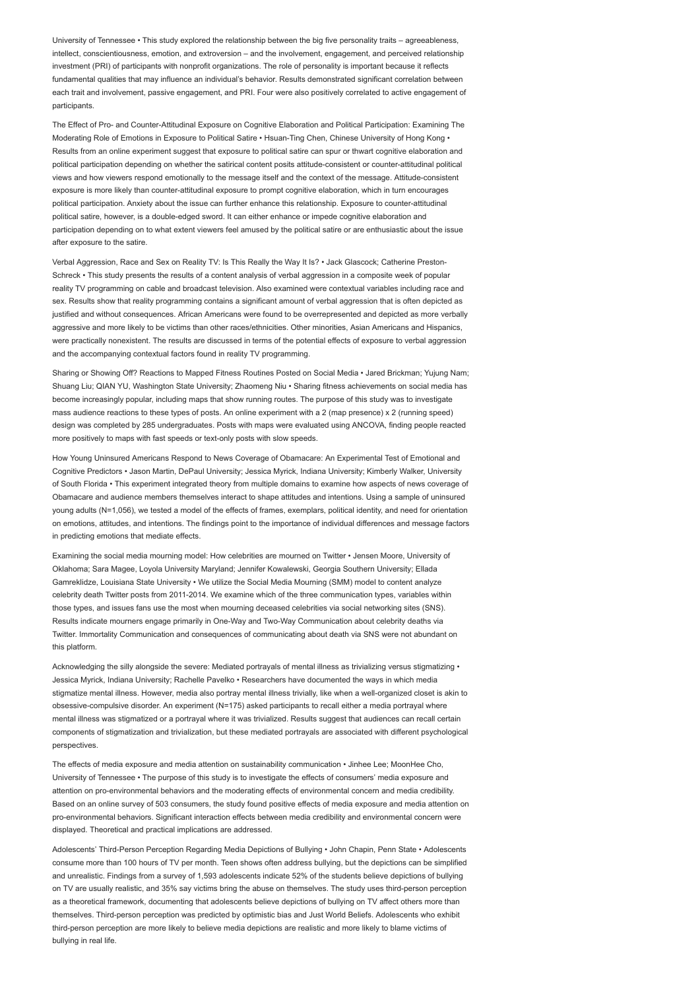University of Tennessee • This study explored the relationship between the big five personality traits – agreeableness, intellect, conscientiousness, emotion, and extroversion – and the involvement, engagement, and perceived relationship investment (PRI) of participants with nonprofit organizations. The role of personality is important because it reflects fundamental qualities that may influence an individual's behavior. Results demonstrated significant correlation between each trait and involvement, passive engagement, and PRI. Four were also positively correlated to active engagement of participants.

The Effect of Pro- and Counter-Attitudinal Exposure on Cognitive Elaboration and Political Participation: Examining The Moderating Role of Emotions in Exposure to Political Satire • Hsuan-Ting Chen, Chinese University of Hong Kong · Results from an online experiment suggest that exposure to political satire can spur or thwart cognitive elaboration and political participation depending on whether the satirical content posits attitude-consistent or counter-attitudinal political views and how viewers respond emotionally to the message itself and the context of the message. Attitude-consistent exposure is more likely than counter-attitudinal exposure to prompt cognitive elaboration, which in turn encourages political participation. Anxiety about the issue can further enhance this relationship. Exposure to counter-attitudinal political satire, however, is a double-edged sword. It can either enhance or impede cognitive elaboration and participation depending on to what extent viewers feel amused by the political satire or are enthusiastic about the issue after exposure to the satire.

Verbal Aggression, Race and Sex on Reality TV: Is This Really the Way It Is? • Jack Glascock; Catherine Preston-Schreck • This study presents the results of a content analysis of verbal aggression in a composite week of popular reality TV programming on cable and broadcast television. Also examined were contextual variables including race and sex. Results show that reality programming contains a significant amount of verbal aggression that is often depicted as justified and without consequences. African Americans were found to be overrepresented and depicted as more verbally aggressive and more likely to be victims than other races/ethnicities. Other minorities, Asian Americans and Hispanics, were practically nonexistent. The results are discussed in terms of the potential effects of exposure to verbal aggression and the accompanying contextual factors found in reality TV programming.

Sharing or Showing Off? Reactions to Mapped Fitness Routines Posted on Social Media • Jared Brickman; Yujung Nam; Shuang Liu; QIAN YU, Washington State University; Zhaomeng Niu • Sharing fitness achievements on social media has become increasingly popular, including maps that show running routes. The purpose of this study was to investigate mass audience reactions to these types of posts. An online experiment with a 2 (map presence) x 2 (running speed) design was completed by 285 undergraduates. Posts with maps were evaluated using ANCOVA, finding people reacted more positively to maps with fast speeds or text-only posts with slow speeds.

How Young Uninsured Americans Respond to News Coverage of Obamacare: An Experimental Test of Emotional and Cognitive Predictors • Jason Martin, DePaul University; Jessica Myrick, Indiana University; Kimberly Walker, University of South Florida • This experiment integrated theory from multiple domains to examine how aspects of news coverage of Obamacare and audience members themselves interact to shape attitudes and intentions. Using a sample of uninsured young adults (N=1,056), we tested a model of the effects of frames, exemplars, political identity, and need for orientation on emotions, attitudes, and intentions. The findings point to the importance of individual differences and message factors in predicting emotions that mediate effects.

Examining the social media mourning model: How celebrities are mourned on Twitter • Jensen Moore, University of Oklahoma; Sara Magee, Loyola University Maryland; Jennifer Kowalewski, Georgia Southern University; Ellada Gamreklidze, Louisiana State University • We utilize the Social Media Mourning (SMM) model to content analyze celebrity death Twitter posts from 2011-2014. We examine which of the three communication types, variables within those types, and issues fans use the most when mourning deceased celebrities via social networking sites (SNS). Results indicate mourners engage primarily in One-Way and Two-Way Communication about celebrity deaths via Twitter. Immortality Communication and consequences of communicating about death via SNS were not abundant on this platform.

Acknowledging the silly alongside the severe: Mediated portrayals of mental illness as trivializing versus stigmatizing • Jessica Myrick, Indiana University; Rachelle Pavelko • Researchers have documented the ways in which media stigmatize mental illness. However, media also portray mental illness trivially, like when a well-organized closet is akin to obsessive-compulsive disorder. An experiment (N=175) asked participants to recall either a media portrayal where mental illness was stigmatized or a portrayal where it was trivialized. Results suggest that audiences can recall certain components of stigmatization and trivialization, but these mediated portrayals are associated with different psychological perspectives.

The effects of media exposure and media attention on sustainability communication • Jinhee Lee; MoonHee Cho, University of Tennessee • The purpose of this study is to investigate the effects of consumers' media exposure and attention on pro-environmental behaviors and the moderating effects of environmental concern and media credibility. Based on an online survey of 503 consumers, the study found positive effects of media exposure and media attention on pro-environmental behaviors. Significant interaction effects between media credibility and environmental concern were displayed. Theoretical and practical implications are addressed.

Adolescents' Third-Person Perception Regarding Media Depictions of Bullying • John Chapin, Penn State • Adolescents consume more than 100 hours of TV per month. Teen shows often address bullying, but the depictions can be simplified and unrealistic. Findings from a survey of 1,593 adolescents indicate 52% of the students believe depictions of bullying on TV are usually realistic, and 35% say victims bring the abuse on themselves. The study uses third-person perception as a theoretical framework, documenting that adolescents believe depictions of bullying on TV affect others more than themselves. Third-person perception was predicted by optimistic bias and Just World Beliefs. Adolescents who exhibit third-person perception are more likely to believe media depictions are realistic and more likely to blame victims of bullying in real life.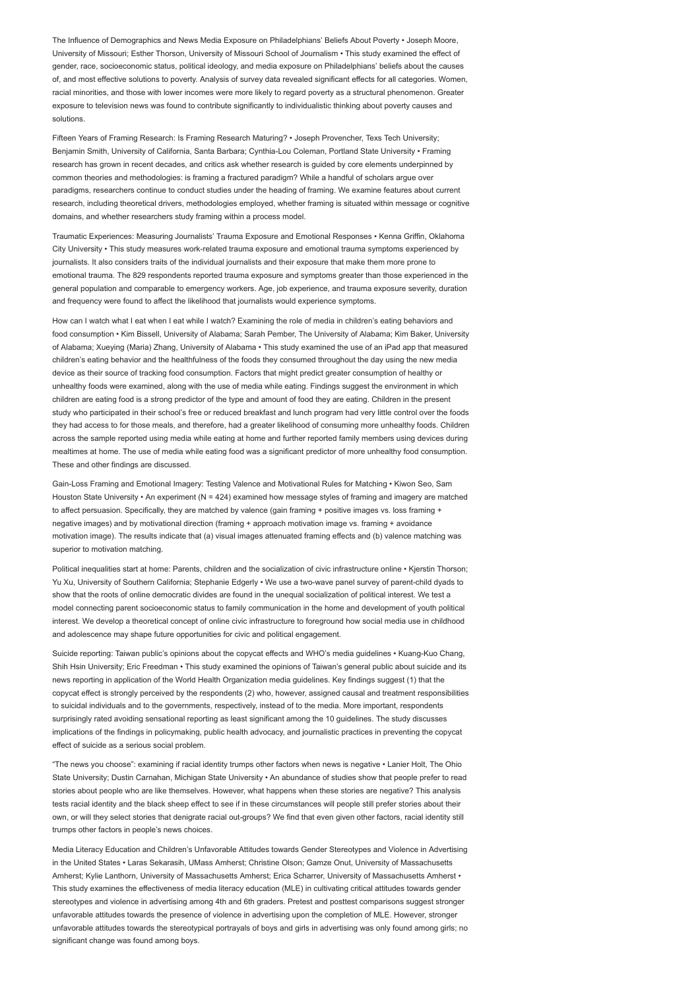The Influence of Demographics and News Media Exposure on Philadelphians' Beliefs About Poverty • Joseph Moore, University of Missouri; Esther Thorson, University of Missouri School of Journalism • This study examined the effect of gender, race, socioeconomic status, political ideology, and media exposure on Philadelphians' beliefs about the causes of, and most effective solutions to poverty. Analysis of survey data revealed significant effects for all categories. Women, racial minorities, and those with lower incomes were more likely to regard poverty as a structural phenomenon. Greater exposure to television news was found to contribute significantly to individualistic thinking about poverty causes and solutions.

Fifteen Years of Framing Research: Is Framing Research Maturing? • Joseph Provencher, Texs Tech University; Benjamin Smith, University of California, Santa Barbara; Cynthia-Lou Coleman, Portland State University • Framing research has grown in recent decades, and critics ask whether research is guided by core elements underpinned by common theories and methodologies: is framing a fractured paradigm? While a handful of scholars argue over paradigms, researchers continue to conduct studies under the heading of framing. We examine features about current research, including theoretical drivers, methodologies employed, whether framing is situated within message or cognitive domains, and whether researchers study framing within a process model.

Traumatic Experiences: Measuring Journalists' Trauma Exposure and Emotional Responses • Kenna Griffin, Oklahoma City University • This study measures work-related trauma exposure and emotional trauma symptoms experienced by journalists. It also considers traits of the individual journalists and their exposure that make them more prone to emotional trauma. The 829 respondents reported trauma exposure and symptoms greater than those experienced in the general population and comparable to emergency workers. Age, job experience, and trauma exposure severity, duration and frequency were found to affect the likelihood that journalists would experience symptoms.

How can I watch what I eat when I eat while I watch? Examining the role of media in children's eating behaviors and food consumption • Kim Bissell, University of Alabama; Sarah Pember, The University of Alabama; Kim Baker, University of Alabama; Xueying (Maria) Zhang, University of Alabama • This study examined the use of an iPad app that measured children's eating behavior and the healthfulness of the foods they consumed throughout the day using the new media device as their source of tracking food consumption. Factors that might predict greater consumption of healthy or unhealthy foods were examined, along with the use of media while eating. Findings suggest the environment in which children are eating food is a strong predictor of the type and amount of food they are eating. Children in the present study who participated in their school's free or reduced breakfast and lunch program had very little control over the foods they had access to for those meals, and therefore, had a greater likelihood of consuming more unhealthy foods. Children across the sample reported using media while eating at home and further reported family members using devices during mealtimes at home. The use of media while eating food was a significant predictor of more unhealthy food consumption. These and other findings are discussed.

Gain-Loss Framing and Emotional Imagery: Testing Valence and Motivational Rules for Matching • Kiwon Seo, Sam Houston State University • An experiment (N = 424) examined how message styles of framing and imagery are matched to affect persuasion. Specifically, they are matched by valence (gain framing + positive images vs. loss framing + negative images) and by motivational direction (framing + approach motivation image vs. framing + avoidance motivation image). The results indicate that (a) visual images attenuated framing effects and (b) valence matching was superior to motivation matching.

Political inequalities start at home: Parents, children and the socialization of civic infrastructure online • Kierstin Thorson: Yu Xu, University of Southern California; Stephanie Edgerly • We use a two-wave panel survey of parent-child dyads to show that the roots of online democratic divides are found in the unequal socialization of political interest. We test a model connecting parent socioeconomic status to family communication in the home and development of youth political interest. We develop a theoretical concept of online civic infrastructure to foreground how social media use in childhood and adolescence may shape future opportunities for civic and political engagement.

Suicide reporting: Taiwan public's opinions about the copycat effects and WHO's media guidelines • Kuang-Kuo Chang, Shih Hsin University; Eric Freedman • This study examined the opinions of Taiwan's general public about suicide and its news reporting in application of the World Health Organization media guidelines. Key findings suggest (1) that the copycat effect is strongly perceived by the respondents (2) who, however, assigned causal and treatment responsibilities to suicidal individuals and to the governments, respectively, instead of to the media. More important, respondents surprisingly rated avoiding sensational reporting as least significant among the 10 guidelines. The study discusses implications of the findings in policymaking, public health advocacy, and journalistic practices in preventing the copycat effect of suicide as a serious social problem.

"The news you choose": examining if racial identity trumps other factors when news is negative • Lanier Holt, The Ohio State University; Dustin Carnahan, Michigan State University • An abundance of studies show that people prefer to read stories about people who are like themselves. However, what happens when these stories are negative? This analysis tests racial identity and the black sheep effect to see if in these circumstances will people still prefer stories about their own, or will they select stories that denigrate racial out-groups? We find that even given other factors, racial identity still trumps other factors in people's news choices.

Media Literacy Education and Children's Unfavorable Attitudes towards Gender Stereotypes and Violence in Advertising in the United States • Laras Sekarasih, UMass Amherst; Christine Olson; Gamze Onut, University of Massachusetts Amherst; Kylie Lanthorn, University of Massachusetts Amherst; Erica Scharrer, University of Massachusetts Amherst • This study examines the effectiveness of media literacy education (MLE) in cultivating critical attitudes towards gender stereotypes and violence in advertising among 4th and 6th graders. Pretest and posttest comparisons suggest stronger unfavorable attitudes towards the presence of violence in advertising upon the completion of MLE. However, stronger unfavorable attitudes towards the stereotypical portrayals of boys and girls in advertising was only found among girls; no significant change was found among boys.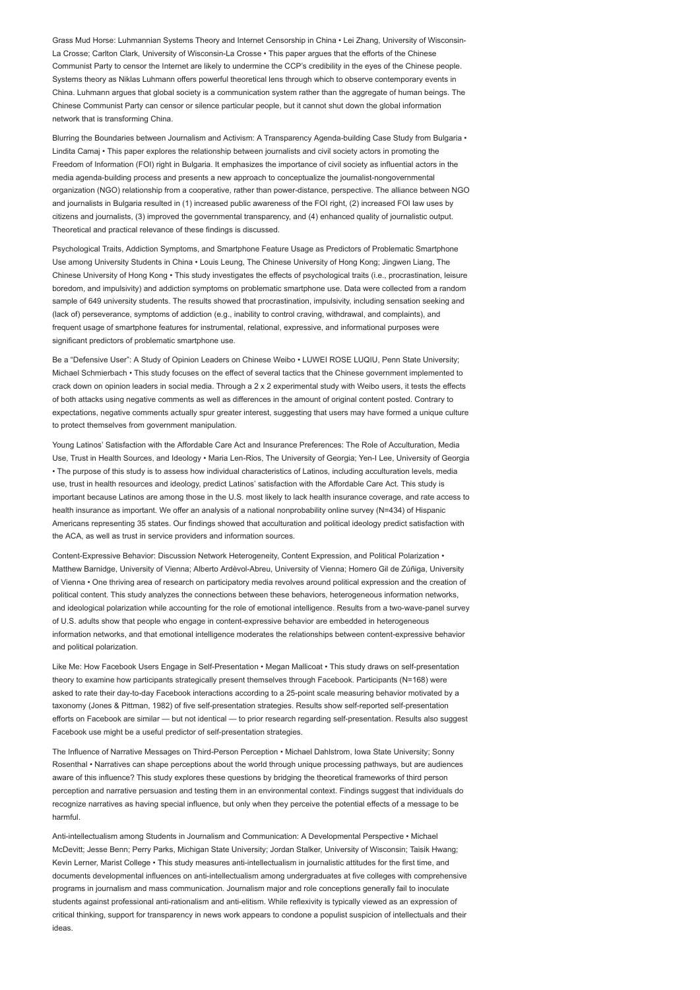Grass Mud Horse: Luhmannian Systems Theory and Internet Censorship in China • Lei Zhang, University of Wisconsin-La Crosse; Carlton Clark, University of Wisconsin-La Crosse • This paper argues that the efforts of the Chinese Communist Party to censor the Internet are likely to undermine the CCP's credibility in the eyes of the Chinese people. Systems theory as Niklas Luhmann offers powerful theoretical lens through which to observe contemporary events in China. Luhmann argues that global society is a communication system rather than the aggregate of human beings. The Chinese Communist Party can censor or silence particular people, but it cannot shut down the global information network that is transforming China.

Blurring the Boundaries between Journalism and Activism: A Transparency Agenda-building Case Study from Bulgaria • Lindita Camaj • This paper explores the relationship between journalists and civil society actors in promoting the Freedom of Information (FOI) right in Bulgaria. It emphasizes the importance of civil society as influential actors in the media agenda-building process and presents a new approach to conceptualize the journalist-nongovernmental organization (NGO) relationship from a cooperative, rather than power-distance, perspective. The alliance between NGO and journalists in Bulgaria resulted in (1) increased public awareness of the FOI right, (2) increased FOI law uses by citizens and journalists, (3) improved the governmental transparency, and (4) enhanced quality of journalistic output. Theoretical and practical relevance of these findings is discussed.

Psychological Traits, Addiction Symptoms, and Smartphone Feature Usage as Predictors of Problematic Smartphone Use among University Students in China • Louis Leung, The Chinese University of Hong Kong; Jingwen Liang, The Chinese University of Hong Kong • This study investigates the effects of psychological traits (i.e., procrastination, leisure boredom, and impulsivity) and addiction symptoms on problematic smartphone use. Data were collected from a random sample of 649 university students. The results showed that procrastination, impulsivity, including sensation seeking and (lack of) perseverance, symptoms of addiction (e.g., inability to control craving, withdrawal, and complaints), and frequent usage of smartphone features for instrumental, relational, expressive, and informational purposes were significant predictors of problematic smartphone use.

Be a "Defensive User": A Study of Opinion Leaders on Chinese Weibo • LUWEI ROSE LUQIU, Penn State University; Michael Schmierbach • This study focuses on the effect of several tactics that the Chinese government implemented to crack down on opinion leaders in social media. Through a 2 x 2 experimental study with Weibo users, it tests the effects of both attacks using negative comments as well as differences in the amount of original content posted. Contrary to expectations, negative comments actually spur greater interest, suggesting that users may have formed a unique culture to protect themselves from government manipulation.

Young Latinos' Satisfaction with the Affordable Care Act and Insurance Preferences: The Role of Acculturation, Media Use, Trust in Health Sources, and Ideology • Maria Len-Rios, The University of Georgia; Yen-I Lee, University of Georgia • The purpose of this study is to assess how individual characteristics of Latinos, including acculturation levels, media use, trust in health resources and ideology, predict Latinos' satisfaction with the Affordable Care Act. This study is important because Latinos are among those in the U.S. most likely to lack health insurance coverage, and rate access to health insurance as important. We offer an analysis of a national nonprobability online survey (N=434) of Hispanic Americans representing 35 states. Our findings showed that acculturation and political ideology predict satisfaction with the ACA, as well as trust in service providers and information sources.

Content-Expressive Behavior: Discussion Network Heterogeneity, Content Expression, and Political Polarization • Matthew Barnidge, University of Vienna; Alberto Ardèvol-Abreu, University of Vienna; Homero Gil de Zúñiga, University of Vienna • One thriving area of research on participatory media revolves around political expression and the creation of political content. This study analyzes the connections between these behaviors, heterogeneous information networks, and ideological polarization while accounting for the role of emotional intelligence. Results from a two-wave-panel survey of U.S. adults show that people who engage in content-expressive behavior are embedded in heterogeneous information networks, and that emotional intelligence moderates the relationships between content-expressive behavior and political polarization.

Like Me: How Facebook Users Engage in Self-Presentation • Megan Mallicoat • This study draws on self-presentation theory to examine how participants strategically present themselves through Facebook. Participants (N=168) were asked to rate their day-to-day Facebook interactions according to a 25-point scale measuring behavior motivated by a taxonomy (Jones & Pittman, 1982) of five self-presentation strategies. Results show self-reported self-presentation efforts on Facebook are similar — but not identical — to prior research regarding self-presentation. Results also suggest Facebook use might be a useful predictor of self-presentation strategies.

The Influence of Narrative Messages on Third-Person Perception • Michael Dahlstrom, Iowa State University; Sonny Rosenthal • Narratives can shape perceptions about the world through unique processing pathways, but are audiences aware of this influence? This study explores these questions by bridging the theoretical frameworks of third person perception and narrative persuasion and testing them in an environmental context. Findings suggest that individuals do recognize narratives as having special influence, but only when they perceive the potential effects of a message to be harmful.

Anti-intellectualism among Students in Journalism and Communication: A Developmental Perspective • Michael McDevitt; Jesse Benn; Perry Parks, Michigan State University; Jordan Stalker, University of Wisconsin; Taisik Hwang; Kevin Lerner, Marist College • This study measures anti-intellectualism in journalistic attitudes for the first time, and documents developmental influences on anti-intellectualism among undergraduates at five colleges with comprehensive programs in journalism and mass communication. Journalism major and role conceptions generally fail to inoculate students against professional anti-rationalism and anti-elitism. While reflexivity is typically viewed as an expression of critical thinking, support for transparency in news work appears to condone a populist suspicion of intellectuals and their ideas.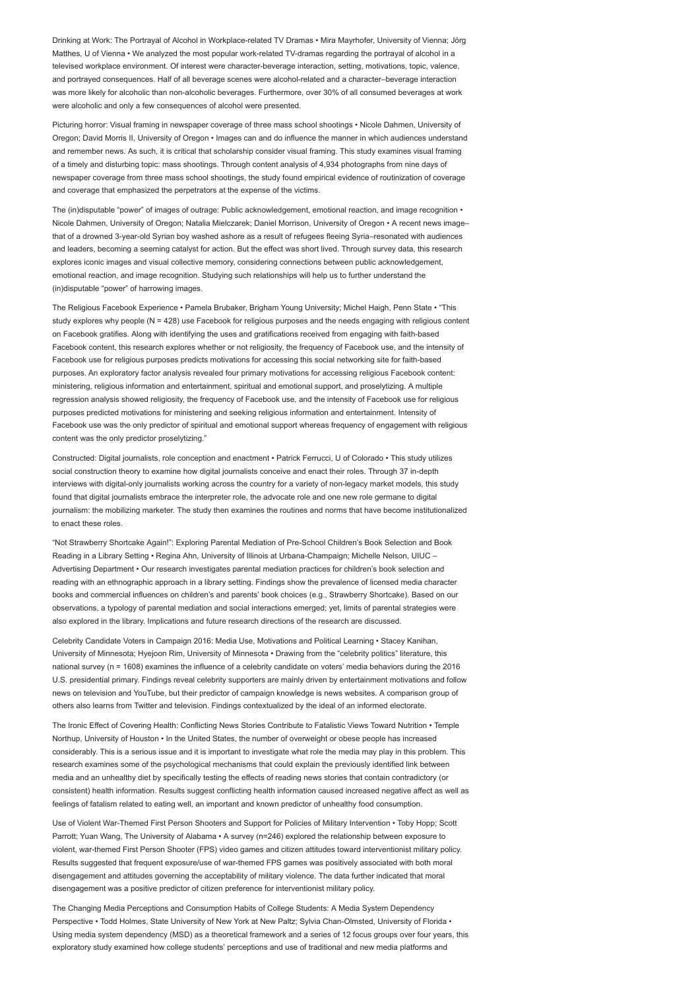Drinking at Work: The Portrayal of Alcohol in Workplace-related TV Dramas • Mira Mayrhofer, University of Vienna; Jörg Matthes, U of Vienna • We analyzed the most popular work-related TV-dramas regarding the portrayal of alcohol in a televised workplace environment. Of interest were character-beverage interaction, setting, motivations, topic, valence, and portrayed consequences. Half of all beverage scenes were alcohol-related and a character–beverage interaction was more likely for alcoholic than non-alcoholic beverages. Furthermore, over 30% of all consumed beverages at work were alcoholic and only a few consequences of alcohol were presented.

Picturing horror: Visual framing in newspaper coverage of three mass school shootings • Nicole Dahmen, University of Oregon; David Morris II, University of Oregon • Images can and do influence the manner in which audiences understand and remember news. As such, it is critical that scholarship consider visual framing. This study examines visual framing of a timely and disturbing topic: mass shootings. Through content analysis of 4,934 photographs from nine days of newspaper coverage from three mass school shootings, the study found empirical evidence of routinization of coverage and coverage that emphasized the perpetrators at the expense of the victims.

The (in)disputable "power" of images of outrage: Public acknowledgement, emotional reaction, and image recognition • Nicole Dahmen, University of Oregon; Natalia Mielczarek; Daniel Morrison, University of Oregon • A recent news image– that of a drowned 3-year-old Syrian boy washed ashore as a result of refugees fleeing Syria–resonated with audiences and leaders, becoming a seeming catalyst for action. But the effect was short lived. Through survey data, this research explores iconic images and visual collective memory, considering connections between public acknowledgement, emotional reaction, and image recognition. Studying such relationships will help us to further understand the (in)disputable "power" of harrowing images.

The Religious Facebook Experience • Pamela Brubaker, Brigham Young University; Michel Haigh, Penn State • "This study explores why people (N = 428) use Facebook for religious purposes and the needs engaging with religious content on Facebook gratifies. Along with identifying the uses and gratifications received from engaging with faith-based Facebook content, this research explores whether or not religiosity, the frequency of Facebook use, and the intensity of Facebook use for religious purposes predicts motivations for accessing this social networking site for faith-based purposes. An exploratory factor analysis revealed four primary motivations for accessing religious Facebook content: ministering, religious information and entertainment, spiritual and emotional support, and proselytizing. A multiple regression analysis showed religiosity, the frequency of Facebook use, and the intensity of Facebook use for religious purposes predicted motivations for ministering and seeking religious information and entertainment. Intensity of Facebook use was the only predictor of spiritual and emotional support whereas frequency of engagement with religious content was the only predictor proselytizing."

Constructed: Digital journalists, role conception and enactment • Patrick Ferrucci, U of Colorado • This study utilizes social construction theory to examine how digital journalists conceive and enact their roles. Through 37 in-depth interviews with digital-only journalists working across the country for a variety of non-legacy market models, this study found that digital journalists embrace the interpreter role, the advocate role and one new role germane to digital journalism: the mobilizing marketer. The study then examines the routines and norms that have become institutionalized to enact these roles.

"Not Strawberry Shortcake Again!": Exploring Parental Mediation of Pre-School Children's Book Selection and Book Reading in a Library Setting • Regina Ahn, University of Illinois at Urbana-Champaign; Michelle Nelson, UIUC – Advertising Department • Our research investigates parental mediation practices for children's book selection and reading with an ethnographic approach in a library setting. Findings show the prevalence of licensed media character books and commercial influences on children's and parents' book choices (e.g., Strawberry Shortcake). Based on our observations, a typology of parental mediation and social interactions emerged; yet, limits of parental strategies were also explored in the library. Implications and future research directions of the research are discussed.

Celebrity Candidate Voters in Campaign 2016: Media Use, Motivations and Political Learning • Stacey Kanihan, University of Minnesota; Hyejoon Rim, University of Minnesota • Drawing from the "celebrity politics" literature, this national survey (n = 1608) examines the influence of a celebrity candidate on voters' media behaviors during the 2016 U.S. presidential primary. Findings reveal celebrity supporters are mainly driven by entertainment motivations and follow news on television and YouTube, but their predictor of campaign knowledge is news websites. A comparison group of others also learns from Twitter and television. Findings contextualized by the ideal of an informed electorate.

The Ironic Effect of Covering Health: Conflicting News Stories Contribute to Fatalistic Views Toward Nutrition • Temple Northup, University of Houston • In the United States, the number of overweight or obese people has increased considerably. This is a serious issue and it is important to investigate what role the media may play in this problem. This research examines some of the psychological mechanisms that could explain the previously identified link between media and an unhealthy diet by specifically testing the effects of reading news stories that contain contradictory (or consistent) health information. Results suggest conflicting health information caused increased negative affect as well as feelings of fatalism related to eating well, an important and known predictor of unhealthy food consumption.

Use of Violent War-Themed First Person Shooters and Support for Policies of Military Intervention • Toby Hopp; Scott Parrott; Yuan Wang, The University of Alabama • A survey (n=246) explored the relationship between exposure to violent, war-themed First Person Shooter (FPS) video games and citizen attitudes toward interventionist military policy. Results suggested that frequent exposure/use of war-themed FPS games was positively associated with both moral disengagement and attitudes governing the acceptability of military violence. The data further indicated that moral disengagement was a positive predictor of citizen preference for interventionist military policy.

The Changing Media Perceptions and Consumption Habits of College Students: A Media System Dependency Perspective • Todd Holmes, State University of New York at New Paltz; Sylvia Chan-Olmsted, University of Florida • Using media system dependency (MSD) as a theoretical framework and a series of 12 focus groups over four years, this exploratory study examined how college students' perceptions and use of traditional and new media platforms and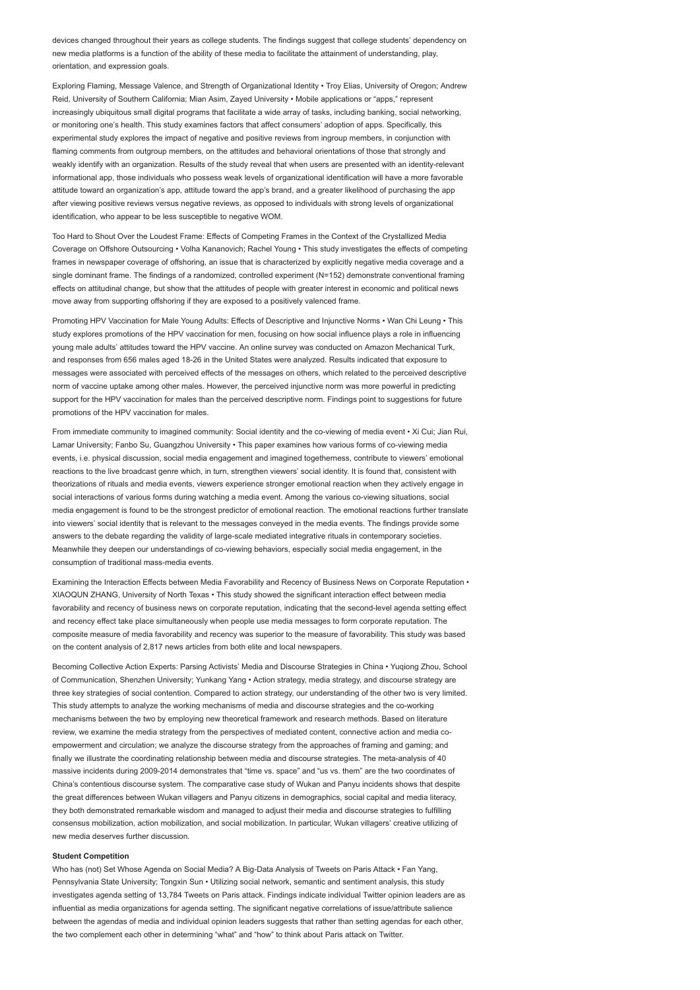devices changed throughout their years as college students. The findings suggest that college students' dependency on new media platforms is a function of the ability of these media to facilitate the attainment of understanding, play, orientation, and expression goals.

Exploring Flaming, Message Valence, and Strength of Organizational Identity • Troy Elias, University of Oregon; Andrew Reid, University of Southern California; Mian Asim, Zayed University • Mobile applications or "apps," represent increasingly ubiquitous small digital programs that facilitate a wide array of tasks, including banking, social networking, or monitoring one's health. This study examines factors that affect consumers' adoption of apps. Specifically, this experimental study explores the impact of negative and positive reviews from ingroup members, in conjunction with flaming comments from outgroup members, on the attitudes and behavioral orientations of those that strongly and weakly identify with an organization. Results of the study reveal that when users are presented with an identity-relevant informational app, those individuals who possess weak levels of organizational identification will have a more favorable attitude toward an organization's app, attitude toward the app's brand, and a greater likelihood of purchasing the app after viewing positive reviews versus negative reviews, as opposed to individuals with strong levels of organizational identification, who appear to be less susceptible to negative WOM.

Too Hard to Shout Over the Loudest Frame: Effects of Competing Frames in the Context of the Crystallized Media Coverage on Offshore Outsourcing • Volha Kananovich; Rachel Young • This study investigates the effects of competing frames in newspaper coverage of offshoring, an issue that is characterized by explicitly negative media coverage and a single dominant frame. The findings of a randomized, controlled experiment (N=152) demonstrate conventional framing effects on attitudinal change, but show that the attitudes of people with greater interest in economic and political news move away from supporting offshoring if they are exposed to a positively valenced frame.

Promoting HPV Vaccination for Male Young Adults: Effects of Descriptive and Injunctive Norms • Wan Chi Leung • This study explores promotions of the HPV vaccination for men, focusing on how social influence plays a role in influencing young male adults' attitudes toward the HPV vaccine. An online survey was conducted on Amazon Mechanical Turk, and responses from 656 males aged 18-26 in the United States were analyzed. Results indicated that exposure to messages were associated with perceived effects of the messages on others, which related to the perceived descriptive norm of vaccine uptake among other males. However, the perceived injunctive norm was more powerful in predicting support for the HPV vaccination for males than the perceived descriptive norm. Findings point to suggestions for future promotions of the HPV vaccination for males.

From immediate community to imagined community: Social identity and the co-viewing of media event • Xi Cui; Jian Rui, Lamar University; Fanbo Su, Guangzhou University • This paper examines how various forms of co-viewing media events, i.e. physical discussion, social media engagement and imagined togetherness, contribute to viewers' emotional reactions to the live broadcast genre which, in turn, strengthen viewers' social identity. It is found that, consistent with theorizations of rituals and media events, viewers experience stronger emotional reaction when they actively engage in social interactions of various forms during watching a media event. Among the various co-viewing situations, social media engagement is found to be the strongest predictor of emotional reaction. The emotional reactions further translate into viewers' social identity that is relevant to the messages conveyed in the media events. The findings provide some answers to the debate regarding the validity of large-scale mediated integrative rituals in contemporary societies. Meanwhile they deepen our understandings of co-viewing behaviors, especially social media engagement, in the consumption of traditional mass-media events.

Examining the Interaction Effects between Media Favorability and Recency of Business News on Corporate Reputation • XIAOQUN ZHANG, University of North Texas • This study showed the significant interaction effect between media favorability and recency of business news on corporate reputation, indicating that the second-level agenda setting effect and recency effect take place simultaneously when people use media messages to form corporate reputation. The composite measure of media favorability and recency was superior to the measure of favorability. This study was based on the content analysis of 2,817 news articles from both elite and local newspapers.

Becoming Collective Action Experts: Parsing Activists' Media and Discourse Strategies in China • Yuqiong Zhou, School of Communication, Shenzhen University; Yunkang Yang • Action strategy, media strategy, and discourse strategy are three key strategies of social contention. Compared to action strategy, our understanding of the other two is very limited. This study attempts to analyze the working mechanisms of media and discourse strategies and the co-working mechanisms between the two by employing new theoretical framework and research methods. Based on literature review, we examine the media strategy from the perspectives of mediated content, connective action and media coempowerment and circulation; we analyze the discourse strategy from the approaches of framing and gaming; and finally we illustrate the coordinating relationship between media and discourse strategies. The meta-analysis of 40 massive incidents during 2009-2014 demonstrates that "time vs. space" and "us vs. them" are the two coordinates of China's contentious discourse system. The comparative case study of Wukan and Panyu incidents shows that despite the great differences between Wukan villagers and Panyu citizens in demographics, social capital and media literacy, they both demonstrated remarkable wisdom and managed to adjust their media and discourse strategies to fulfilling consensus mobilization, action mobilization, and social mobilization. In particular, Wukan villagers' creative utilizing of new media deserves further discussion.

### Student Competition

Who has (not) Set Whose Agenda on Social Media? A Big-Data Analysis of Tweets on Paris Attack • Fan Yang, Pennsylvania State University; Tongxin Sun • Utilizing social network, semantic and sentiment analysis, this study investigates agenda setting of 13,784 Tweets on Paris attack. Findings indicate individual Twitter opinion leaders are as influential as media organizations for agenda setting. The significant negative correlations of issue/attribute salience between the agendas of media and individual opinion leaders suggests that rather than setting agendas for each other, the two complement each other in determining "what" and "how" to think about Paris attack on Twitter.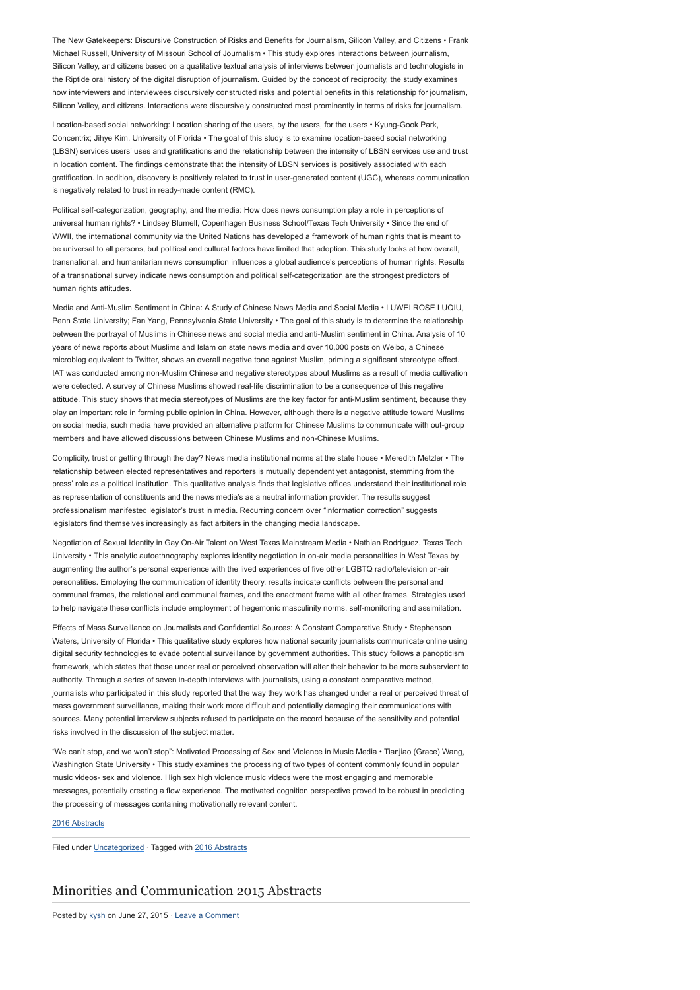The New Gatekeepers: Discursive Construction of Risks and Benefits for Journalism, Silicon Valley, and Citizens • Frank Michael Russell, University of Missouri School of Journalism • This study explores interactions between journalism, Silicon Valley, and citizens based on a qualitative textual analysis of interviews between journalists and technologists in the Riptide oral history of the digital disruption of journalism. Guided by the concept of reciprocity, the study examines how interviewers and interviewees discursively constructed risks and potential benefits in this relationship for journalism, Silicon Valley, and citizens. Interactions were discursively constructed most prominently in terms of risks for journalism.

Location-based social networking: Location sharing of the users, by the users, for the users • Kyung-Gook Park, Concentrix; Jihye Kim, University of Florida • The goal of this study is to examine location-based social networking (LBSN) services users' uses and gratifications and the relationship between the intensity of LBSN services use and trust in location content. The findings demonstrate that the intensity of LBSN services is positively associated with each gratification. In addition, discovery is positively related to trust in user-generated content (UGC), whereas communication is negatively related to trust in ready-made content (RMC).

Political self-categorization, geography, and the media: How does news consumption play a role in perceptions of universal human rights? • Lindsey Blumell, Copenhagen Business School/Texas Tech University • Since the end of WWII, the international community via the United Nations has developed a framework of human rights that is meant to be universal to all persons, but political and cultural factors have limited that adoption. This study looks at how overall, transnational, and humanitarian news consumption influences a global audience's perceptions of human rights. Results of a transnational survey indicate news consumption and political self-categorization are the strongest predictors of human rights attitudes.

Media and Anti-Muslim Sentiment in China: A Study of Chinese News Media and Social Media • LUWEI ROSE LUQIU, Penn State University; Fan Yang, Pennsylvania State University • The goal of this study is to determine the relationship between the portrayal of Muslims in Chinese news and social media and anti-Muslim sentiment in China. Analysis of 10 years of news reports about Muslims and Islam on state news media and over 10,000 posts on Weibo, a Chinese microblog equivalent to Twitter, shows an overall negative tone against Muslim, priming a significant stereotype effect. IAT was conducted among non-Muslim Chinese and negative stereotypes about Muslims as a result of media cultivation were detected. A survey of Chinese Muslims showed real-life discrimination to be a consequence of this negative attitude. This study shows that media stereotypes of Muslims are the key factor for anti-Muslim sentiment, because they play an important role in forming public opinion in China. However, although there is a negative attitude toward Muslims on social media, such media have provided an alternative platform for Chinese Muslims to communicate with out-group members and have allowed discussions between Chinese Muslims and non-Chinese Muslims.

Complicity, trust or getting through the day? News media institutional norms at the state house • Meredith Metzler • The relationship between elected representatives and reporters is mutually dependent yet antagonist, stemming from the press' role as a political institution. This qualitative analysis finds that legislative offices understand their institutional role as representation of constituents and the news media's as a neutral information provider. The results suggest professionalism manifested legislator's trust in media. Recurring concern over "information correction" suggests legislators find themselves increasingly as fact arbiters in the changing media landscape.

Negotiation of Sexual Identity in Gay On-Air Talent on West Texas Mainstream Media • Nathian Rodriguez, Texas Tech University • This analytic autoethnography explores identity negotiation in on-air media personalities in West Texas by augmenting the author's personal experience with the lived experiences of five other LGBTQ radio/television on-air personalities. Employing the communication of identity theory, results indicate conflicts between the personal and communal frames, the relational and communal frames, and the enactment frame with all other frames. Strategies used to help navigate these conflicts include employment of hegemonic masculinity norms, self-monitoring and assimilation.

Effects of Mass Surveillance on Journalists and Confidential Sources: A Constant Comparative Study • Stephenson Waters, University of Florida • This qualitative study explores how national security journalists communicate online using digital security technologies to evade potential surveillance by government authorities. This study follows a panopticism framework, which states that those under real or perceived observation will alter their behavior to be more subservient to authority. Through a series of seven in-depth interviews with journalists, using a constant comparative method, journalists who participated in this study reported that the way they work has changed under a real or perceived threat of mass government surveillance, making their work more difficult and potentially damaging their communications with sources. Many potential interview subjects refused to participate on the record because of the sensitivity and potential risks involved in the discussion of the subject matter.

"We can't stop, and we won't stop": Motivated Processing of Sex and Violence in Music Media • Tianjiao (Grace) Wang, Washington State University • This study examines the processing of two types of content commonly found in popular music videos- sex and violence. High sex high violence music videos were the most engaging and memorable messages, potentially creating a flow experience. The motivated cognition perspective proved to be robust in predicting the processing of messages containing motivationally relevant content.

### [2016 Abstracts](http://www.aejmc.org/home/2016/06/2016-abstracts/)

Filed under [Uncategorized](http://www.aejmc.org/home/category/uncategorized/) · Tagged with [2016 Abstracts](http://www.aejmc.org/home/tag/2016-abstracts/)

# [Minorities and Communication 2015 Abstracts](http://www.aejmc.org/home/2015/06/mac-2015-abstracts/)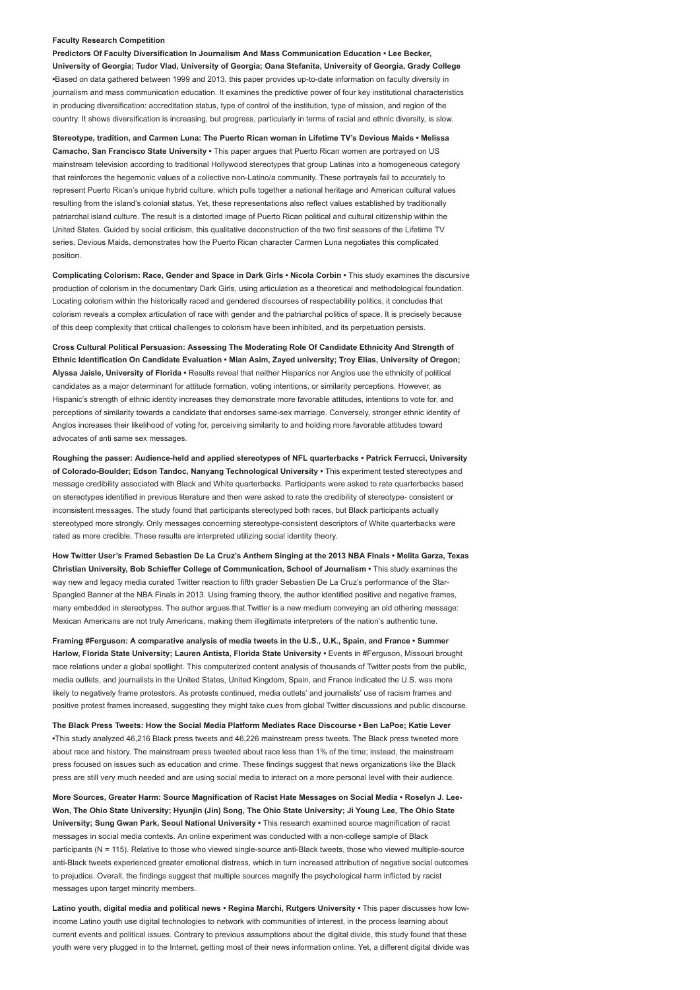### Faculty Research Competition

Predictors Of Faculty Diversification In Journalism And Mass Communication Education • Lee Becker, University of Georgia; Tudor Vlad, University of Georgia; Oana Stefanita, University of Georgia, Grady College •Based on data gathered between 1999 and 2013, this paper provides up-to-date information on faculty diversity in journalism and mass communication education. It examines the predictive power of four key institutional characteristics in producing diversification: accreditation status, type of control of the institution, type of mission, and region of the country. It shows diversification is increasing, but progress, particularly in terms of racial and ethnic diversity, is slow.

Stereotype, tradition, and Carmen Luna: The Puerto Rican woman in Lifetime TV's Devious Maids • Melissa Camacho, San Francisco State University • This paper argues that Puerto Rican women are portrayed on US mainstream television according to traditional Hollywood stereotypes that group Latinas into a homogeneous category that reinforces the hegemonic values of a collective non-Latino/a community. These portrayals fail to accurately to represent Puerto Rican's unique hybrid culture, which pulls together a national heritage and American cultural values resulting from the island's colonial status. Yet, these representations also reflect values established by traditionally patriarchal island culture. The result is a distorted image of Puerto Rican political and cultural citizenship within the United States. Guided by social criticism, this qualitative deconstruction of the two first seasons of the Lifetime TV series, Devious Maids, demonstrates how the Puerto Rican character Carmen Luna negotiates this complicated position.

Complicating Colorism: Race, Gender and Space in Dark Girls • Nicola Corbin • This study examines the discursive production of colorism in the documentary Dark Girls, using articulation as a theoretical and methodological foundation. Locating colorism within the historically raced and gendered discourses of respectability politics, it concludes that colorism reveals a complex articulation of race with gender and the patriarchal politics of space. It is precisely because of this deep complexity that critical challenges to colorism have been inhibited, and its perpetuation persists.

Cross Cultural Political Persuasion: Assessing The Moderating Role Of Candidate Ethnicity And Strength of Ethnic Identification On Candidate Evaluation • Mian Asim, Zayed university; Troy Elias, University of Oregon; Alyssa Jaisle, University of Florida • Results reveal that neither Hispanics nor Anglos use the ethnicity of political candidates as a major determinant for attitude formation, voting intentions, or similarity perceptions. However, as Hispanic's strength of ethnic identity increases they demonstrate more favorable attitudes, intentions to vote for, and perceptions of similarity towards a candidate that endorses same-sex marriage. Conversely, stronger ethnic identity of Anglos increases their likelihood of voting for, perceiving similarity to and holding more favorable attitudes toward advocates of anti same sex messages.

Roughing the passer: Audience-held and applied stereotypes of NFL quarterbacks • Patrick Ferrucci, University of Colorado-Boulder; Edson Tandoc, Nanyang Technological University • This experiment tested stereotypes and message credibility associated with Black and White quarterbacks. Participants were asked to rate quarterbacks based on stereotypes identified in previous literature and then were asked to rate the credibility of stereotype- consistent or inconsistent messages. The study found that participants stereotyped both races, but Black participants actually stereotyped more strongly. Only messages concerning stereotype-consistent descriptors of White quarterbacks were rated as more credible. These results are interpreted utilizing social identity theory.

How Twitter User's Framed Sebastien De La Cruz's Anthem Singing at the 2013 NBA FInals • Melita Garza, Texas Christian University, Bob Schieffer College of Communication, School of Journalism • This study examines the way new and legacy media curated Twitter reaction to fifth grader Sebastien De La Cruz's performance of the Star-Spangled Banner at the NBA Finals in 2013. Using framing theory, the author identified positive and negative frames, many embedded in stereotypes. The author argues that Twitter is a new medium conveying an old othering message: Mexican Americans are not truly Americans, making them illegitimate interpreters of the nation's authentic tune.

Framing #Ferguson: A comparative analysis of media tweets in the U.S., U.K., Spain, and France • Summer Harlow, Florida State University; Lauren Antista, Florida State University · Events in #Ferguson, Missouri brought race relations under a global spotlight. This computerized content analysis of thousands of Twitter posts from the public, media outlets, and journalists in the United States, United Kingdom, Spain, and France indicated the U.S. was more likely to negatively frame protestors. As protests continued, media outlets' and journalists' use of racism frames and positive protest frames increased, suggesting they might take cues from global Twitter discussions and public discourse.

The Black Press Tweets: How the Social Media Platform Mediates Race Discourse • Ben LaPoe; Katie Lever •This study analyzed 46,216 Black press tweets and 46,226 mainstream press tweets. The Black press tweeted more about race and history. The mainstream press tweeted about race less than 1% of the time; instead, the mainstream press focused on issues such as education and crime. These findings suggest that news organizations like the Black press are still very much needed and are using social media to interact on a more personal level with their audience.

More Sources, Greater Harm: Source Magnification of Racist Hate Messages on Social Media • Roselyn J. Lee-Won, The Ohio State University; Hyunjin (Jin) Song, The Ohio State University; Ji Young Lee, The Ohio State University; Sung Gwan Park, Seoul National University • This research examined source magnification of racist messages in social media contexts. An online experiment was conducted with a non-college sample of Black participants (N = 115). Relative to those who viewed single-source anti-Black tweets, those who viewed multiple-source anti-Black tweets experienced greater emotional distress, which in turn increased attribution of negative social outcomes to prejudice. Overall, the findings suggest that multiple sources magnify the psychological harm inflicted by racist messages upon target minority members.

Latino youth, digital media and political news • Regina Marchi, Rutgers University • This paper discusses how lowincome Latino youth use digital technologies to network with communities of interest, in the process learning about current events and political issues. Contrary to previous assumptions about the digital divide, this study found that these youth were very plugged in to the Internet, getting most of their news information online. Yet, a different digital divide was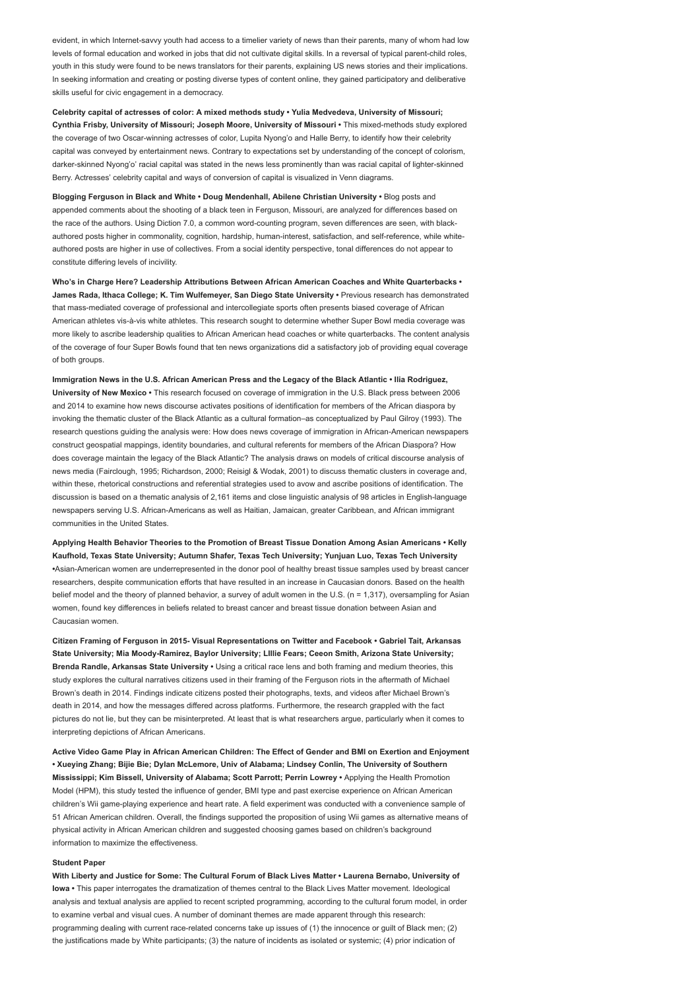evident, in which Internet-savvy youth had access to a timelier variety of news than their parents, many of whom had low levels of formal education and worked in jobs that did not cultivate digital skills. In a reversal of typical parent-child roles, youth in this study were found to be news translators for their parents, explaining US news stories and their implications. In seeking information and creating or posting diverse types of content online, they gained participatory and deliberative skills useful for civic engagement in a democracy.

Celebrity capital of actresses of color: A mixed methods study • Yulia Medvedeva, University of Missouri; Cynthia Frisby, University of Missouri; Joseph Moore, University of Missouri • This mixed-methods study explored the coverage of two Oscar-winning actresses of color, Lupita Nyong'o and Halle Berry, to identify how their celebrity capital was conveyed by entertainment news. Contrary to expectations set by understanding of the concept of colorism, darker-skinned Nyong'o' racial capital was stated in the news less prominently than was racial capital of lighter-skinned Berry. Actresses' celebrity capital and ways of conversion of capital is visualized in Venn diagrams.

Blogging Ferguson in Black and White • Doug Mendenhall, Abilene Christian University • Blog posts and appended comments about the shooting of a black teen in Ferguson, Missouri, are analyzed for differences based on the race of the authors. Using Diction 7.0, a common word-counting program, seven differences are seen, with blackauthored posts higher in commonality, cognition, hardship, human-interest, satisfaction, and self-reference, while whiteauthored posts are higher in use of collectives. From a social identity perspective, tonal differences do not appear to constitute differing levels of incivility.

Who's in Charge Here? Leadership Attributions Between African American Coaches and White Quarterbacks • James Rada, Ithaca College; K. Tim Wulfemeyer, San Diego State University • Previous research has demonstrated that mass-mediated coverage of professional and intercollegiate sports often presents biased coverage of African American athletes vis-à-vis white athletes. This research sought to determine whether Super Bowl media coverage was more likely to ascribe leadership qualities to African American head coaches or white quarterbacks. The content analysis of the coverage of four Super Bowls found that ten news organizations did a satisfactory job of providing equal coverage of both groups.

Immigration News in the U.S. African American Press and the Legacy of the Black Atlantic • Ilia Rodriguez, University of New Mexico • This research focused on coverage of immigration in the U.S. Black press between 2006 and 2014 to examine how news discourse activates positions of identification for members of the African diaspora by invoking the thematic cluster of the Black Atlantic as a cultural formation–as conceptualized by Paul Gilroy (1993). The research questions guiding the analysis were: How does news coverage of immigration in African-American newspapers construct geospatial mappings, identity boundaries, and cultural referents for members of the African Diaspora? How does coverage maintain the legacy of the Black Atlantic? The analysis draws on models of critical discourse analysis of news media (Fairclough, 1995; Richardson, 2000; Reisigl & Wodak, 2001) to discuss thematic clusters in coverage and, within these, rhetorical constructions and referential strategies used to avow and ascribe positions of identification. The discussion is based on a thematic analysis of 2,161 items and close linguistic analysis of 98 articles in English-language newspapers serving U.S. African-Americans as well as Haitian, Jamaican, greater Caribbean, and African immigrant communities in the United States.

Applying Health Behavior Theories to the Promotion of Breast Tissue Donation Among Asian Americans • Kelly Kaufhold, Texas State University; Autumn Shafer, Texas Tech University; Yunjuan Luo, Texas Tech University •Asian-American women are underrepresented in the donor pool of healthy breast tissue samples used by breast cancer researchers, despite communication efforts that have resulted in an increase in Caucasian donors. Based on the health belief model and the theory of planned behavior, a survey of adult women in the U.S. (n = 1,317), oversampling for Asian women, found key differences in beliefs related to breast cancer and breast tissue donation between Asian and Caucasian women.

Citizen Framing of Ferguson in 2015- Visual Representations on Twitter and Facebook • Gabriel Tait, Arkansas State University; Mia Moody-Ramirez, Baylor University; LIllie Fears; Ceeon Smith, Arizona State University; Brenda Randle, Arkansas State University • Using a critical race lens and both framing and medium theories, this study explores the cultural narratives citizens used in their framing of the Ferguson riots in the aftermath of Michael Brown's death in 2014. Findings indicate citizens posted their photographs, texts, and videos after Michael Brown's death in 2014, and how the messages differed across platforms. Furthermore, the research grappled with the fact pictures do not lie, but they can be misinterpreted. At least that is what researchers argue, particularly when it comes to interpreting depictions of African Americans.

Active Video Game Play in African American Children: The Effect of Gender and BMI on Exertion and Enjoyment • Xueying Zhang; Bijie Bie; Dylan McLemore, Univ of Alabama; Lindsey Conlin, The University of Southern Mississippi; Kim Bissell, University of Alabama; Scott Parrott; Perrin Lowrey • Applying the Health Promotion Model (HPM), this study tested the influence of gender, BMI type and past exercise experience on African American children's Wii game-playing experience and heart rate. A field experiment was conducted with a convenience sample of 51 African American children. Overall, the findings supported the proposition of using Wii games as alternative means of physical activity in African American children and suggested choosing games based on children's background information to maximize the effectiveness.

#### Student Paper

With Liberty and Justice for Some: The Cultural Forum of Black Lives Matter • Laurena Bernabo, University of Iowa • This paper interrogates the dramatization of themes central to the Black Lives Matter movement. Ideological analysis and textual analysis are applied to recent scripted programming, according to the cultural forum model, in order to examine verbal and visual cues. A number of dominant themes are made apparent through this research: programming dealing with current race-related concerns take up issues of (1) the innocence or guilt of Black men; (2) the justifications made by White participants; (3) the nature of incidents as isolated or systemic; (4) prior indication of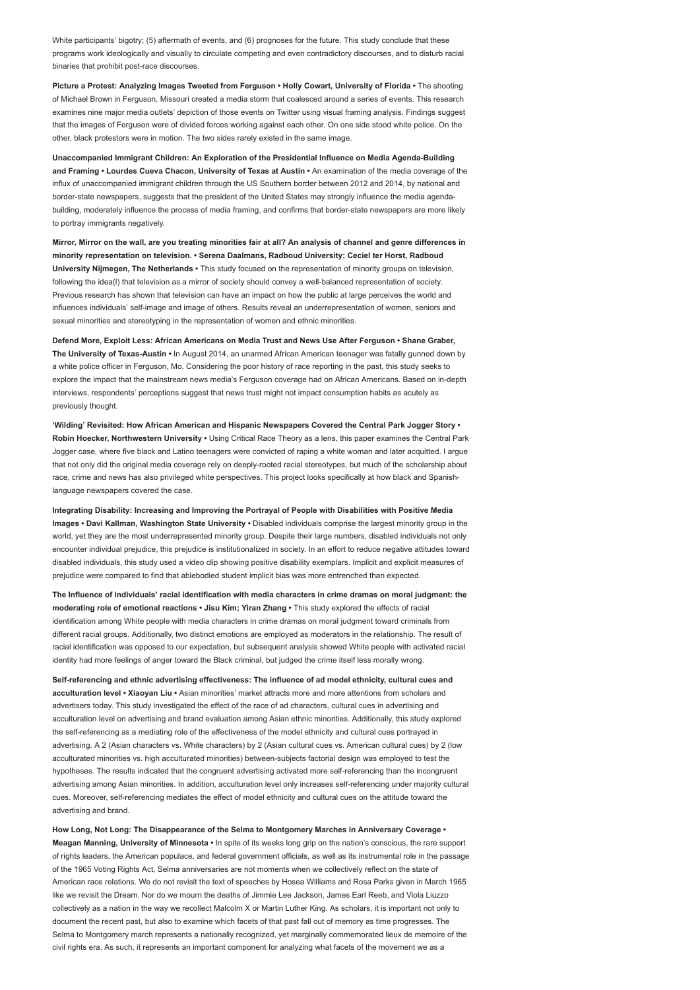White participants' bigotry: (5) aftermath of events, and (6) prognoses for the future. This study conclude that these programs work ideologically and visually to circulate competing and even contradictory discourses, and to disturb racial binaries that prohibit post-race discourses.

Picture a Protest: Analyzing Images Tweeted from Ferguson • Holly Cowart, University of Florida • The shooting of Michael Brown in Ferguson, Missouri created a media storm that coalesced around a series of events. This research examines nine major media outlets' depiction of those events on Twitter using visual framing analysis. Findings suggest that the images of Ferguson were of divided forces working against each other. On one side stood white police. On the other, black protestors were in motion. The two sides rarely existed in the same image.

Unaccompanied Immigrant Children: An Exploration of the Presidential Influence on Media Agenda-Building and Framing • Lourdes Cueva Chacon, University of Texas at Austin • An examination of the media coverage of the influx of unaccompanied immigrant children through the US Southern border between 2012 and 2014, by national and border-state newspapers, suggests that the president of the United States may strongly influence the media agendabuilding, moderately influence the process of media framing, and confirms that border-state newspapers are more likely to portray immigrants negatively.

Mirror, Mirror on the wall, are you treating minorities fair at all? An analysis of channel and genre differences in minority representation on television. • Serena Daalmans, Radboud University; Ceciel ter Horst, Radboud University Nijmegen, The Netherlands • This study focused on the representation of minority groups on television, following the idea(l) that television as a mirror of society should convey a well-balanced representation of society. Previous research has shown that television can have an impact on how the public at large perceives the world and influences individuals' self-image and image of others. Results reveal an underrepresentation of women, seniors and sexual minorities and stereotyping in the representation of women and ethnic minorities.

Defend More, Exploit Less: African Americans on Media Trust and News Use After Ferguson • Shane Graber, The University of Texas-Austin • In August 2014, an unarmed African American teenager was fatally gunned down by a white police officer in Ferguson, Mo. Considering the poor history of race reporting in the past, this study seeks to explore the impact that the mainstream news media's Ferguson coverage had on African Americans. Based on in-depth interviews, respondents' perceptions suggest that news trust might not impact consumption habits as acutely as previously thought.

'Wilding' Revisited: How African American and Hispanic Newspapers Covered the Central Park Jogger Story • Robin Hoecker, Northwestern University • Using Critical Race Theory as a lens, this paper examines the Central Park Jogger case, where five black and Latino teenagers were convicted of raping a white woman and later acquitted. I argue that not only did the original media coverage rely on deeply-rooted racial stereotypes, but much of the scholarship about race, crime and news has also privileged white perspectives. This project looks specifically at how black and Spanishlanguage newspapers covered the case.

Integrating Disability: Increasing and Improving the Portrayal of People with Disabilities with Positive Media Images • Davi Kallman, Washington State University • Disabled individuals comprise the largest minority group in the world, yet they are the most underrepresented minority group. Despite their large numbers, disabled individuals not only encounter individual prejudice, this prejudice is institutionalized in society. In an effort to reduce negative attitudes toward disabled individuals, this study used a video clip showing positive disability exemplars. Implicit and explicit measures of prejudice were compared to find that ablebodied student implicit bias was more entrenched than expected.

The Influence of individuals' racial identification with media characters in crime dramas on moral judgment: the moderating role of emotional reactions • Jisu Kim; Yiran Zhang • This study explored the effects of racial identification among White people with media characters in crime dramas on moral judgment toward criminals from different racial groups. Additionally, two distinct emotions are employed as moderators in the relationship. The result of racial identification was opposed to our expectation, but subsequent analysis showed White people with activated racial identity had more feelings of anger toward the Black criminal, but judged the crime itself less morally wrong.

Self-referencing and ethnic advertising effectiveness: The influence of ad model ethnicity, cultural cues and acculturation level • Xiaoyan Liu • Asian minorities' market attracts more and more attentions from scholars and advertisers today. This study investigated the effect of the race of ad characters, cultural cues in advertising and acculturation level on advertising and brand evaluation among Asian ethnic minorities. Additionally, this study explored the self-referencing as a mediating role of the effectiveness of the model ethnicity and cultural cues portrayed in advertising. A 2 (Asian characters vs. White characters) by 2 (Asian cultural cues vs. American cultural cues) by 2 (low acculturated minorities vs. high acculturated minorities) between-subjects factorial design was employed to test the hypotheses. The results indicated that the congruent advertising activated more self-referencing than the incongruent advertising among Asian minorities. In addition, acculturation level only increases self-referencing under majority cultural cues. Moreover, self-referencing mediates the effect of model ethnicity and cultural cues on the attitude toward the advertising and brand.

How Long, Not Long: The Disappearance of the Selma to Montgomery Marches in Anniversary Coverage • Meagan Manning, University of Minnesota • In spite of its weeks long grip on the nation's conscious, the rare support of rights leaders, the American populace, and federal government officials, as well as its instrumental role in the passage of the 1965 Voting Rights Act, Selma anniversaries are not moments when we collectively reflect on the state of American race relations. We do not revisit the text of speeches by Hosea Williams and Rosa Parks given in March 1965 like we revisit the Dream. Nor do we mourn the deaths of Jimmie Lee Jackson, James Earl Reeb, and Viola Liuzzo collectively as a nation in the way we recollect Malcolm X or Martin Luther King. As scholars, it is important not only to document the recent past, but also to examine which facets of that past fall out of memory as time progresses. The Selma to Montgomery march represents a nationally recognized, yet marginally commemorated lieux de memoire of the civil rights era. As such, it represents an important component for analyzing what facets of the movement we as a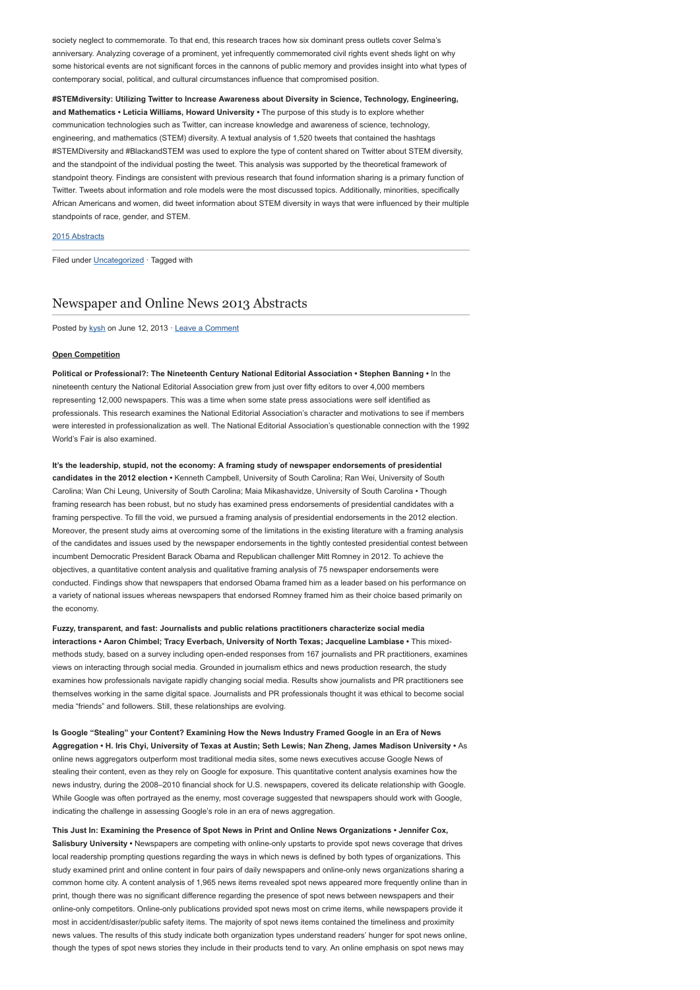society neglect to commemorate. To that end, this research traces how six dominant press outlets cover Selma's anniversary. Analyzing coverage of a prominent, yet infrequently commemorated civil rights event sheds light on why some historical events are not significant forces in the cannons of public memory and provides insight into what types of contemporary social, political, and cultural circumstances influence that compromised position.

#STEMdiversity: Utilizing Twitter to Increase Awareness about Diversity in Science, Technology, Engineering, and Mathematics • Leticia Williams, Howard University • The purpose of this study is to explore whether communication technologies such as Twitter, can increase knowledge and awareness of science, technology, engineering, and mathematics (STEM) diversity. A textual analysis of 1,520 tweets that contained the hashtags #STEMDiversity and #BlackandSTEM was used to explore the type of content shared on Twitter about STEM diversity, and the standpoint of the individual posting the tweet. This analysis was supported by the theoretical framework of standpoint theory. Findings are consistent with previous research that found information sharing is a primary function of Twitter. Tweets about information and role models were the most discussed topics. Additionally, minorities, specifically African Americans and women, did tweet information about STEM diversity in ways that were influenced by their multiple standpoints of race, gender, and STEM.

### [2015 Abstracts](http://www.aejmc.org/home/2015/06/2015-abstracts/)

Filed under [Uncategorized](http://www.aejmc.org/home/category/uncategorized/) · Tagged with

## [Newspaper and Online News 2013 Abstracts](http://www.aejmc.org/home/2013/06/news-2013-abstracts/)

Posted by [kysh](http://www.aejmc.org/home/author/kyshiab/) on June 12, 2013 · [Leave a Comment](http://www.aejmc.org/home/2013/06/news-2013-abstracts/#respond)

### Open Competition

Political or Professional?: The Nineteenth Century National Editorial Association • Stephen Banning • In the nineteenth century the National Editorial Association grew from just over fifty editors to over 4,000 members representing 12,000 newspapers. This was a time when some state press associations were self identified as professionals. This research examines the National Editorial Association's character and motivations to see if members were interested in professionalization as well. The National Editorial Association's questionable connection with the 1992 World's Fair is also examined.

It's the leadership, stupid, not the economy: A framing study of newspaper endorsements of presidential candidates in the 2012 election • Kenneth Campbell, University of South Carolina; Ran Wei, University of South Carolina; Wan Chi Leung, University of South Carolina; Maia Mikashavidze, University of South Carolina • Though framing research has been robust, but no study has examined press endorsements of presidential candidates with a framing perspective. To fill the void, we pursued a framing analysis of presidential endorsements in the 2012 election. Moreover, the present study aims at overcoming some of the limitations in the existing literature with a framing analysis of the candidates and issues used by the newspaper endorsements in the tightly contested presidential contest between incumbent Democratic President Barack Obama and Republican challenger Mitt Romney in 2012. To achieve the objectives, a quantitative content analysis and qualitative framing analysis of 75 newspaper endorsements were conducted. Findings show that newspapers that endorsed Obama framed him as a leader based on his performance on a variety of national issues whereas newspapers that endorsed Romney framed him as their choice based primarily on the economy.

Fuzzy, transparent, and fast: Journalists and public relations practitioners characterize social media interactions • Aaron Chimbel; Tracy Everbach, University of North Texas; Jacqueline Lambiase • This mixedmethods study, based on a survey including open-ended responses from 167 journalists and PR practitioners, examines views on interacting through social media. Grounded in journalism ethics and news production research, the study examines how professionals navigate rapidly changing social media. Results show journalists and PR practitioners see themselves working in the same digital space. Journalists and PR professionals thought it was ethical to become social media "friends" and followers. Still, these relationships are evolving.

Is Google "Stealing" your Content? Examining How the News Industry Framed Google in an Era of News Aggregation • H. Iris Chyi, University of Texas at Austin; Seth Lewis; Nan Zheng, James Madison University • As online news aggregators outperform most traditional media sites, some news executives accuse Google News of stealing their content, even as they rely on Google for exposure. This quantitative content analysis examines how the news industry, during the 2008–2010 financial shock for U.S. newspapers, covered its delicate relationship with Google. While Google was often portrayed as the enemy, most coverage suggested that newspapers should work with Google, indicating the challenge in assessing Google's role in an era of news aggregation.

This Just In: Examining the Presence of Spot News in Print and Online News Organizations • Jennifer Cox, Salisbury University • Newspapers are competing with online-only upstarts to provide spot news coverage that drives local readership prompting questions regarding the ways in which news is defined by both types of organizations. This study examined print and online content in four pairs of daily newspapers and online-only news organizations sharing a common home city. A content analysis of 1,965 news items revealed spot news appeared more frequently online than in print, though there was no significant difference regarding the presence of spot news between newspapers and their online-only competitors. Online-only publications provided spot news most on crime items, while newspapers provide it most in accident/disaster/public safety items. The majority of spot news items contained the timeliness and proximity news values. The results of this study indicate both organization types understand readers' hunger for spot news online, though the types of spot news stories they include in their products tend to vary. An online emphasis on spot news may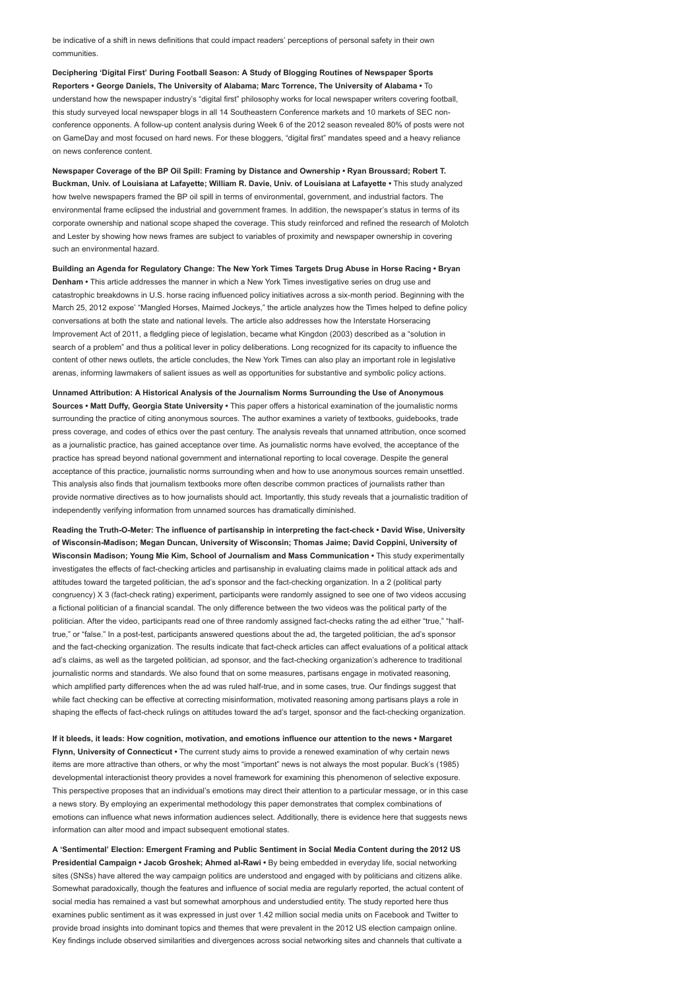be indicative of a shift in news definitions that could impact readers' perceptions of personal safety in their own communities.

Deciphering 'Digital First' During Football Season: A Study of Blogging Routines of Newspaper Sports Reporters • George Daniels, The University of Alabama; Marc Torrence, The University of Alabama • To understand how the newspaper industry's "digital first" philosophy works for local newspaper writers covering football, this study surveyed local newspaper blogs in all 14 Southeastern Conference markets and 10 markets of SEC nonconference opponents. A follow-up content analysis during Week 6 of the 2012 season revealed 80% of posts were not on GameDay and most focused on hard news. For these bloggers, "digital first" mandates speed and a heavy reliance on news conference content.

Newspaper Coverage of the BP Oil Spill: Framing by Distance and Ownership • Ryan Broussard; Robert T. Buckman, Univ. of Louisiana at Lafayette; William R. Davie, Univ. of Louisiana at Lafayette • This study analyzed how twelve newspapers framed the BP oil spill in terms of environmental, government, and industrial factors. The environmental frame eclipsed the industrial and government frames. In addition, the newspaper's status in terms of its corporate ownership and national scope shaped the coverage. This study reinforced and refined the research of Molotch and Lester by showing how news frames are subject to variables of proximity and newspaper ownership in covering such an environmental hazard.

Building an Agenda for Regulatory Change: The New York Times Targets Drug Abuse in Horse Racing • Bryan Denham • This article addresses the manner in which a New York Times investigative series on drug use and catastrophic breakdowns in U.S. horse racing influenced policy initiatives across a six-month period. Beginning with the March 25, 2012 expose' "Mangled Horses, Maimed Jockeys," the article analyzes how the Times helped to define policy conversations at both the state and national levels. The article also addresses how the Interstate Horseracing Improvement Act of 2011, a fledgling piece of legislation, became what Kingdon (2003) described as a "solution in search of a problem" and thus a political lever in policy deliberations. Long recognized for its capacity to influence the content of other news outlets, the article concludes, the New York Times can also play an important role in legislative arenas, informing lawmakers of salient issues as well as opportunities for substantive and symbolic policy actions.

Unnamed Attribution: A Historical Analysis of the Journalism Norms Surrounding the Use of Anonymous Sources • Matt Duffy, Georgia State University • This paper offers a historical examination of the journalistic norms surrounding the practice of citing anonymous sources. The author examines a variety of textbooks, guidebooks, trade press coverage, and codes of ethics over the past century. The analysis reveals that unnamed attribution, once scorned as a journalistic practice, has gained acceptance over time. As journalistic norms have evolved, the acceptance of the practice has spread beyond national government and international reporting to local coverage. Despite the general acceptance of this practice, journalistic norms surrounding when and how to use anonymous sources remain unsettled. This analysis also finds that journalism textbooks more often describe common practices of journalists rather than provide normative directives as to how journalists should act. Importantly, this study reveals that a journalistic tradition of independently verifying information from unnamed sources has dramatically diminished.

Reading the Truth-O-Meter: The influence of partisanship in interpreting the fact-check • David Wise, University of Wisconsin-Madison; Megan Duncan, University of Wisconsin; Thomas Jaime; David Coppini, University of Wisconsin Madison; Young Mie Kim, School of Journalism and Mass Communication • This study experimentally investigates the effects of fact-checking articles and partisanship in evaluating claims made in political attack ads and attitudes toward the targeted politician, the ad's sponsor and the fact-checking organization. In a 2 (political party congruency) X 3 (fact-check rating) experiment, participants were randomly assigned to see one of two videos accusing a fictional politician of a financial scandal. The only difference between the two videos was the political party of the politician. After the video, participants read one of three randomly assigned fact-checks rating the ad either "true," "halftrue," or "false." In a post-test, participants answered questions about the ad, the targeted politician, the ad's sponsor and the fact-checking organization. The results indicate that fact-check articles can affect evaluations of a political attack ad's claims, as well as the targeted politician, ad sponsor, and the fact-checking organization's adherence to traditional journalistic norms and standards. We also found that on some measures, partisans engage in motivated reasoning, which amplified party differences when the ad was ruled half-true, and in some cases, true. Our findings suggest that while fact checking can be effective at correcting misinformation, motivated reasoning among partisans plays a role in shaping the effects of fact-check rulings on attitudes toward the ad's target, sponsor and the fact-checking organization.

If it bleeds, it leads: How cognition, motivation, and emotions influence our attention to the news • Margaret Flynn, University of Connecticut • The current study aims to provide a renewed examination of why certain news items are more attractive than others, or why the most "important" news is not always the most popular. Buck's (1985) developmental interactionist theory provides a novel framework for examining this phenomenon of selective exposure. This perspective proposes that an individual's emotions may direct their attention to a particular message, or in this case a news story. By employing an experimental methodology this paper demonstrates that complex combinations of emotions can influence what news information audiences select. Additionally, there is evidence here that suggests news information can alter mood and impact subsequent emotional states.

A 'Sentimental' Election: Emergent Framing and Public Sentiment in Social Media Content during the 2012 US Presidential Campaign • Jacob Groshek; Ahmed al-Rawi • By being embedded in everyday life, social networking sites (SNSs) have altered the way campaign politics are understood and engaged with by politicians and citizens alike. Somewhat paradoxically, though the features and influence of social media are regularly reported, the actual content of social media has remained a vast but somewhat amorphous and understudied entity. The study reported here thus examines public sentiment as it was expressed in just over 1.42 million social media units on Facebook and Twitter to provide broad insights into dominant topics and themes that were prevalent in the 2012 US election campaign online. Key findings include observed similarities and divergences across social networking sites and channels that cultivate a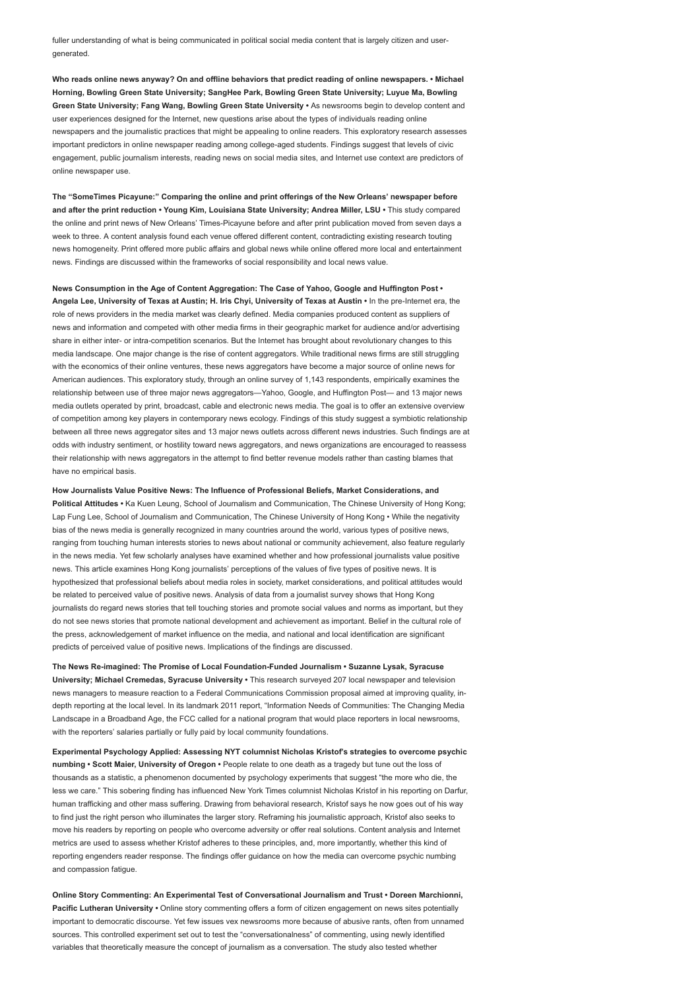fuller understanding of what is being communicated in political social media content that is largely citizen and usergenerated.

Who reads online news anyway? On and offline behaviors that predict reading of online newspapers. • Michael Horning, Bowling Green State University; SangHee Park, Bowling Green State University; Luyue Ma, Bowling Green State University; Fang Wang, Bowling Green State University • As newsrooms begin to develop content and user experiences designed for the Internet, new questions arise about the types of individuals reading online newspapers and the journalistic practices that might be appealing to online readers. This exploratory research assesses important predictors in online newspaper reading among college-aged students. Findings suggest that levels of civic engagement, public journalism interests, reading news on social media sites, and Internet use context are predictors of online newspaper use.

The "SomeTimes Picayune:" Comparing the online and print offerings of the New Orleans' newspaper before and after the print reduction • Young Kim, Louisiana State University; Andrea Miller, LSU • This study compared the online and print news of New Orleans' Times-Picayune before and after print publication moved from seven days a week to three. A content analysis found each venue offered different content, contradicting existing research touting news homogeneity. Print offered more public affairs and global news while online offered more local and entertainment news. Findings are discussed within the frameworks of social responsibility and local news value.

News Consumption in the Age of Content Aggregation: The Case of Yahoo, Google and Huffington Post • Angela Lee, University of Texas at Austin; H. Iris Chyi, University of Texas at Austin • In the pre-Internet era, the role of news providers in the media market was clearly defined. Media companies produced content as suppliers of news and information and competed with other media firms in their geographic market for audience and/or advertising share in either inter- or intra-competition scenarios. But the Internet has brought about revolutionary changes to this media landscape. One major change is the rise of content aggregators. While traditional news firms are still struggling with the economics of their online ventures, these news aggregators have become a major source of online news for American audiences. This exploratory study, through an online survey of 1,143 respondents, empirically examines the relationship between use of three major news aggregators—Yahoo, Google, and Huffington Post— and 13 major news media outlets operated by print, broadcast, cable and electronic news media. The goal is to offer an extensive overview of competition among key players in contemporary news ecology. Findings of this study suggest a symbiotic relationship between all three news aggregator sites and 13 major news outlets across different news industries. Such findings are at odds with industry sentiment, or hostility toward news aggregators, and news organizations are encouraged to reassess their relationship with news aggregators in the attempt to find better revenue models rather than casting blames that have no empirical basis.

How Journalists Value Positive News: The Influence of Professional Beliefs, Market Considerations, and Political Attitudes • Ka Kuen Leung, School of Journalism and Communication, The Chinese University of Hong Kong; Lap Fung Lee, School of Journalism and Communication, The Chinese University of Hong Kong • While the negativity bias of the news media is generally recognized in many countries around the world, various types of positive news, ranging from touching human interests stories to news about national or community achievement, also feature regularly in the news media. Yet few scholarly analyses have examined whether and how professional journalists value positive news. This article examines Hong Kong journalists' perceptions of the values of five types of positive news. It is hypothesized that professional beliefs about media roles in society, market considerations, and political attitudes would be related to perceived value of positive news. Analysis of data from a journalist survey shows that Hong Kong journalists do regard news stories that tell touching stories and promote social values and norms as important, but they do not see news stories that promote national development and achievement as important. Belief in the cultural role of the press, acknowledgement of market influence on the media, and national and local identification are significant predicts of perceived value of positive news. Implications of the findings are discussed.

The News Re-imagined: The Promise of Local Foundation-Funded Journalism • Suzanne Lysak, Syracuse University; Michael Cremedas, Syracuse University · This research surveyed 207 local newspaper and television news managers to measure reaction to a Federal Communications Commission proposal aimed at improving quality, indepth reporting at the local level. In its landmark 2011 report, "Information Needs of Communities: The Changing Media Landscape in a Broadband Age, the FCC called for a national program that would place reporters in local newsrooms, with the reporters' salaries partially or fully paid by local community foundations.

Experimental Psychology Applied: Assessing NYT columnist Nicholas Kristof's strategies to overcome psychic numbing • Scott Maier, University of Oregon • People relate to one death as a tragedy but tune out the loss of thousands as a statistic, a phenomenon documented by psychology experiments that suggest "the more who die, the less we care." This sobering finding has influenced New York Times columnist Nicholas Kristof in his reporting on Darfur, human trafficking and other mass suffering. Drawing from behavioral research, Kristof says he now goes out of his way to find just the right person who illuminates the larger story. Reframing his journalistic approach, Kristof also seeks to move his readers by reporting on people who overcome adversity or offer real solutions. Content analysis and Internet metrics are used to assess whether Kristof adheres to these principles, and, more importantly, whether this kind of reporting engenders reader response. The findings offer guidance on how the media can overcome psychic numbing and compassion fatigue.

Online Story Commenting: An Experimental Test of Conversational Journalism and Trust • Doreen Marchionni, Pacific Lutheran University • Online story commenting offers a form of citizen engagement on news sites potentially important to democratic discourse. Yet few issues vex newsrooms more because of abusive rants, often from unnamed sources. This controlled experiment set out to test the "conversationalness" of commenting, using newly identified variables that theoretically measure the concept of journalism as a conversation. The study also tested whether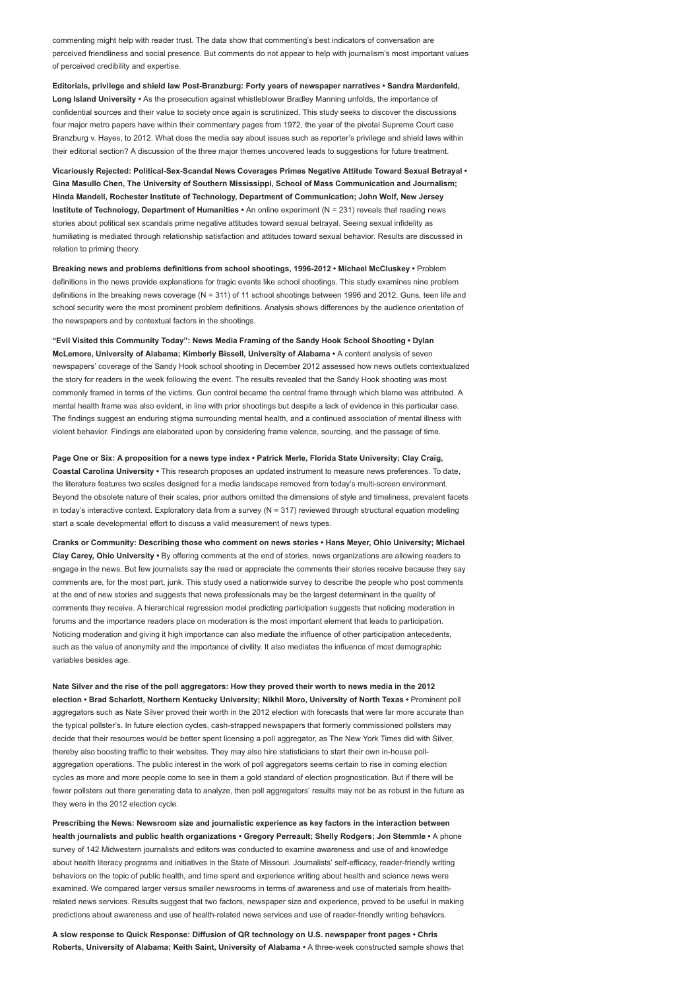commenting might help with reader trust. The data show that commenting's best indicators of conversation are perceived friendliness and social presence. But comments do not appear to help with journalism's most important values of perceived credibility and expertise.

Editorials, privilege and shield law Post-Branzburg: Forty years of newspaper narratives • Sandra Mardenfeld, Long Island University • As the prosecution against whistleblower Bradley Manning unfolds, the importance of confidential sources and their value to society once again is scrutinized. This study seeks to discover the discussions four major metro papers have within their commentary pages from 1972, the year of the pivotal Supreme Court case Branzburg v. Hayes, to 2012. What does the media say about issues such as reporter's privilege and shield laws within their editorial section? A discussion of the three major themes uncovered leads to suggestions for future treatment.

Vicariously Rejected: Political-Sex-Scandal News Coverages Primes Negative Attitude Toward Sexual Betrayal • Gina Masullo Chen, The University of Southern Mississippi, School of Mass Communication and Journalism; Hinda Mandell, Rochester Institute of Technology, Department of Communication; John Wolf, New Jersey Institute of Technology, Department of Humanities • An online experiment (N = 231) reveals that reading news stories about political sex scandals prime negative attitudes toward sexual betrayal. Seeing sexual infidelity as humiliating is mediated through relationship satisfaction and attitudes toward sexual behavior. Results are discussed in relation to priming theory.

Breaking news and problems definitions from school shootings, 1996-2012 • Michael McCluskey • Problem definitions in the news provide explanations for tragic events like school shootings. This study examines nine problem definitions in the breaking news coverage (N = 311) of 11 school shootings between 1996 and 2012. Guns, teen life and school security were the most prominent problem definitions. Analysis shows differences by the audience orientation of the newspapers and by contextual factors in the shootings.

"Evil Visited this Community Today": News Media Framing of the Sandy Hook School Shooting • Dylan McLemore, University of Alabama; Kimberly Bissell, University of Alabama • A content analysis of seven newspapers' coverage of the Sandy Hook school shooting in December 2012 assessed how news outlets contextualized the story for readers in the week following the event. The results revealed that the Sandy Hook shooting was most commonly framed in terms of the victims. Gun control became the central frame through which blame was attributed. A mental health frame was also evident, in line with prior shootings but despite a lack of evidence in this particular case. The findings suggest an enduring stigma surrounding mental health, and a continued association of mental illness with violent behavior. Findings are elaborated upon by considering frame valence, sourcing, and the passage of time.

Page One or Six: A proposition for a news type index • Patrick Merle, Florida State University; Clay Craig, Coastal Carolina University • This research proposes an updated instrument to measure news preferences. To date, the literature features two scales designed for a media landscape removed from today's multi-screen environment. Beyond the obsolete nature of their scales, prior authors omitted the dimensions of style and timeliness, prevalent facets in today's interactive context. Exploratory data from a survey (N = 317) reviewed through structural equation modeling start a scale developmental effort to discuss a valid measurement of news types.

Cranks or Community: Describing those who comment on news stories • Hans Meyer, Ohio University; Michael Clay Carey, Ohio University • By offering comments at the end of stories, news organizations are allowing readers to engage in the news. But few journalists say the read or appreciate the comments their stories receive because they say comments are, for the most part, junk. This study used a nationwide survey to describe the people who post comments at the end of new stories and suggests that news professionals may be the largest determinant in the quality of comments they receive. A hierarchical regression model predicting participation suggests that noticing moderation in forums and the importance readers place on moderation is the most important element that leads to participation. Noticing moderation and giving it high importance can also mediate the influence of other participation antecedents, such as the value of anonymity and the importance of civility. It also mediates the influence of most demographic variables besides age.

Nate Silver and the rise of the poll aggregators: How they proved their worth to news media in the 2012 election • Brad Scharlott, Northern Kentucky University; Nikhil Moro, University of North Texas • Prominent poll aggregators such as Nate Silver proved their worth in the 2012 election with forecasts that were far more accurate than the typical pollster's. In future election cycles, cash-strapped newspapers that formerly commissioned pollsters may decide that their resources would be better spent licensing a poll aggregator, as The New York Times did with Silver, thereby also boosting traffic to their websites. They may also hire statisticians to start their own in-house pollaggregation operations. The public interest in the work of poll aggregators seems certain to rise in coming election cycles as more and more people come to see in them a gold standard of election prognostication. But if there will be fewer pollsters out there generating data to analyze, then poll aggregators' results may not be as robust in the future as they were in the 2012 election cycle.

Prescribing the News: Newsroom size and journalistic experience as key factors in the interaction between health journalists and public health organizations • Gregory Perreault; Shelly Rodgers; Jon Stemmle • A phone survey of 142 Midwestern journalists and editors was conducted to examine awareness and use of and knowledge about health literacy programs and initiatives in the State of Missouri. Journalists' self-efficacy, reader-friendly writing behaviors on the topic of public health, and time spent and experience writing about health and science news were examined. We compared larger versus smaller newsrooms in terms of awareness and use of materials from healthrelated news services. Results suggest that two factors, newspaper size and experience, proved to be useful in making predictions about awareness and use of health-related news services and use of reader-friendly writing behaviors.

A slow response to Quick Response: Diffusion of QR technology on U.S. newspaper front pages • Chris Roberts, University of Alabama; Keith Saint, University of Alabama • A three-week constructed sample shows that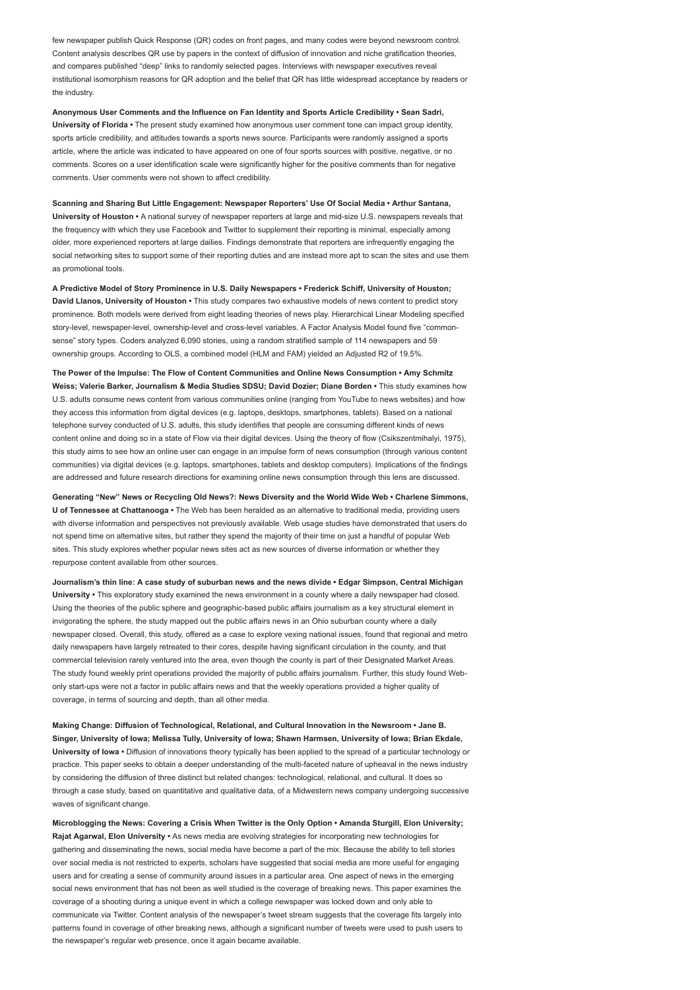few newspaper publish Quick Response (QR) codes on front pages, and many codes were beyond newsroom control. Content analysis describes QR use by papers in the context of diffusion of innovation and niche gratification theories, and compares published "deep" links to randomly selected pages. Interviews with newspaper executives reveal institutional isomorphism reasons for QR adoption and the belief that QR has little widespread acceptance by readers or the industry.

Anonymous User Comments and the Influence on Fan Identity and Sports Article Credibility • Sean Sadri, University of Florida • The present study examined how anonymous user comment tone can impact group identity, sports article credibility, and attitudes towards a sports news source. Participants were randomly assigned a sports article, where the article was indicated to have appeared on one of four sports sources with positive, negative, or no comments. Scores on a user identification scale were significantly higher for the positive comments than for negative comments. User comments were not shown to affect credibility.

Scanning and Sharing But Little Engagement: Newspaper Reporters' Use Of Social Media • Arthur Santana, University of Houston • A national survey of newspaper reporters at large and mid-size U.S. newspapers reveals that the frequency with which they use Facebook and Twitter to supplement their reporting is minimal, especially among older, more experienced reporters at large dailies. Findings demonstrate that reporters are infrequently engaging the social networking sites to support some of their reporting duties and are instead more apt to scan the sites and use them as promotional tools.

A Predictive Model of Story Prominence in U.S. Daily Newspapers • Frederick Schiff, University of Houston; David Llanos, University of Houston • This study compares two exhaustive models of news content to predict story prominence. Both models were derived from eight leading theories of news play. Hierarchical Linear Modeling specified story-level, newspaper-level, ownership-level and cross-level variables. A Factor Analysis Model found five "commonsense" story types. Coders analyzed 6,090 stories, using a random stratified sample of 114 newspapers and 59 ownership groups. According to OLS, a combined model (HLM and FAM) yielded an Adjusted R2 of 19.5%.

The Power of the Impulse: The Flow of Content Communities and Online News Consumption • Amy Schmitz Weiss; Valerie Barker, Journalism & Media Studies SDSU; David Dozier; Diane Borden • This study examines how U.S. adults consume news content from various communities online (ranging from YouTube to news websites) and how they access this information from digital devices (e.g. laptops, desktops, smartphones, tablets). Based on a national telephone survey conducted of U.S. adults, this study identifies that people are consuming different kinds of news content online and doing so in a state of Flow via their digital devices. Using the theory of flow (Csikszentmihalyi, 1975), this study aims to see how an online user can engage in an impulse form of news consumption (through various content communities) via digital devices (e.g. laptops, smartphones, tablets and desktop computers). Implications of the findings are addressed and future research directions for examining online news consumption through this lens are discussed.

Generating "New" News or Recycling Old News?: News Diversity and the World Wide Web • Charlene Simmons, U of Tennessee at Chattanooga • The Web has been heralded as an alternative to traditional media, providing users with diverse information and perspectives not previously available. Web usage studies have demonstrated that users do not spend time on alternative sites, but rather they spend the majority of their time on just a handful of popular Web sites. This study explores whether popular news sites act as new sources of diverse information or whether they repurpose content available from other sources.

Journalism's thin line: A case study of suburban news and the news divide • Edgar Simpson, Central Michigan University • This exploratory study examined the news environment in a county where a daily newspaper had closed. Using the theories of the public sphere and geographic-based public affairs journalism as a key structural element in invigorating the sphere, the study mapped out the public affairs news in an Ohio suburban county where a daily newspaper closed. Overall, this study, offered as a case to explore vexing national issues, found that regional and metro daily newspapers have largely retreated to their cores, despite having significant circulation in the county, and that commercial television rarely ventured into the area, even though the county is part of their Designated Market Areas. The study found weekly print operations provided the majority of public affairs journalism. Further, this study found Webonly start-ups were not a factor in public affairs news and that the weekly operations provided a higher quality of coverage, in terms of sourcing and depth, than all other media.

Making Change: Diffusion of Technological, Relational, and Cultural Innovation in the Newsroom • Jane B. Singer, University of Iowa; Melissa Tully, University of Iowa; Shawn Harmsen, University of Iowa; Brian Ekdale, University of Iowa • Diffusion of innovations theory typically has been applied to the spread of a particular technology or practice. This paper seeks to obtain a deeper understanding of the multi-faceted nature of upheaval in the news industry by considering the diffusion of three distinct but related changes: technological, relational, and cultural. It does so through a case study, based on quantitative and qualitative data, of a Midwestern news company undergoing successive waves of significant change.

Microblogging the News: Covering a Crisis When Twitter is the Only Option • Amanda Sturgill, Elon University; Rajat Agarwal, Elon University • As news media are evolving strategies for incorporating new technologies for gathering and disseminating the news, social media have become a part of the mix. Because the ability to tell stories over social media is not restricted to experts, scholars have suggested that social media are more useful for engaging users and for creating a sense of community around issues in a particular area. One aspect of news in the emerging social news environment that has not been as well studied is the coverage of breaking news. This paper examines the coverage of a shooting during a unique event in which a college newspaper was locked down and only able to communicate via Twitter. Content analysis of the newspaper's tweet stream suggests that the coverage fits largely into patterns found in coverage of other breaking news, although a significant number of tweets were used to push users to the newspaper's regular web presence, once it again became available.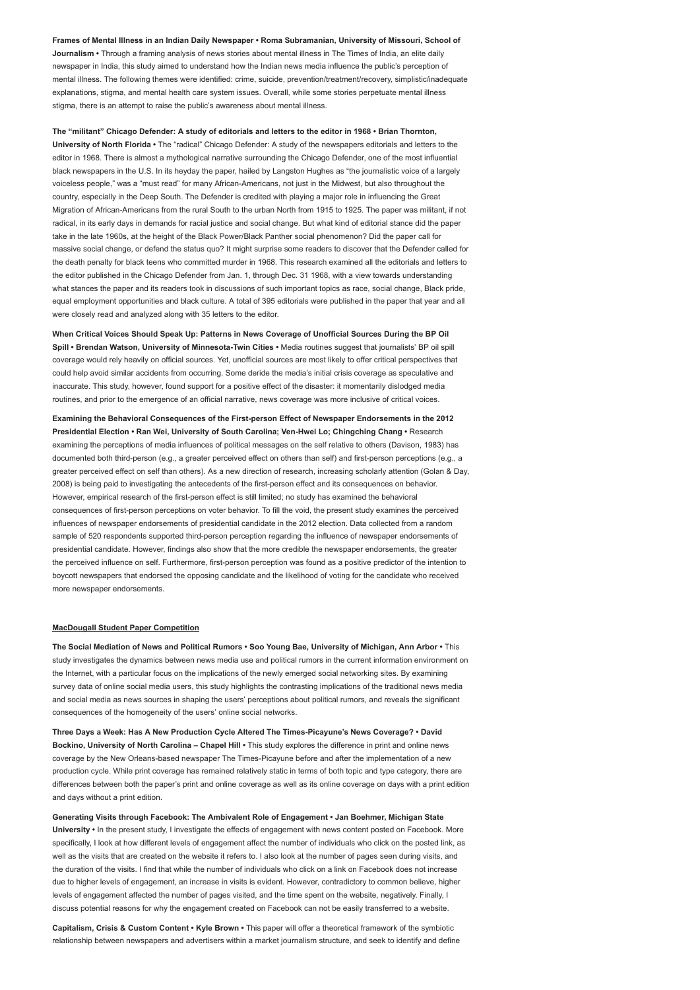Frames of Mental Illness in an Indian Daily Newspaper • Roma Subramanian, University of Missouri, School of Journalism • Through a framing analysis of news stories about mental illness in The Times of India, an elite daily newspaper in India, this study aimed to understand how the Indian news media influence the public's perception of mental illness. The following themes were identified: crime, suicide, prevention/treatment/recovery, simplistic/inadequate explanations, stigma, and mental health care system issues. Overall, while some stories perpetuate mental illness stigma, there is an attempt to raise the public's awareness about mental illness.

### The "militant" Chicago Defender: A study of editorials and letters to the editor in 1968 • Brian Thornton,

University of North Florida • The "radical" Chicago Defender: A study of the newspapers editorials and letters to the editor in 1968. There is almost a mythological narrative surrounding the Chicago Defender, one of the most influential black newspapers in the U.S. In its heyday the paper, hailed by Langston Hughes as "the journalistic voice of a largely voiceless people," was a "must read" for many African-Americans, not just in the Midwest, but also throughout the country, especially in the Deep South. The Defender is credited with playing a major role in influencing the Great Migration of African-Americans from the rural South to the urban North from 1915 to 1925. The paper was militant, if not radical, in its early days in demands for racial justice and social change. But what kind of editorial stance did the paper take in the late 1960s, at the height of the Black Power/Black Panther social phenomenon? Did the paper call for massive social change, or defend the status quo? It might surprise some readers to discover that the Defender called for the death penalty for black teens who committed murder in 1968. This research examined all the editorials and letters to the editor published in the Chicago Defender from Jan. 1, through Dec. 31 1968, with a view towards understanding what stances the paper and its readers took in discussions of such important topics as race, social change, Black pride, equal employment opportunities and black culture. A total of 395 editorials were published in the paper that year and all were closely read and analyzed along with 35 letters to the editor.

When Critical Voices Should Speak Up: Patterns in News Coverage of Unofficial Sources During the BP Oil Spill • Brendan Watson, University of Minnesota-Twin Cities • Media routines suggest that journalists' BP oil spill coverage would rely heavily on official sources. Yet, unofficial sources are most likely to offer critical perspectives that could help avoid similar accidents from occurring. Some deride the media's initial crisis coverage as speculative and inaccurate. This study, however, found support for a positive effect of the disaster: it momentarily dislodged media routines, and prior to the emergence of an official narrative, news coverage was more inclusive of critical voices.

Examining the Behavioral Consequences of the First-person Effect of Newspaper Endorsements in the 2012 Presidential Election • Ran Wei, University of South Carolina; Ven-Hwei Lo; Chingching Chang • Research examining the perceptions of media influences of political messages on the self relative to others (Davison, 1983) has documented both third-person (e.g., a greater perceived effect on others than self) and first-person perceptions (e.g., a greater perceived effect on self than others). As a new direction of research, increasing scholarly attention (Golan & Day, 2008) is being paid to investigating the antecedents of the first-person effect and its consequences on behavior. However, empirical research of the first-person effect is still limited; no study has examined the behavioral consequences of first-person perceptions on voter behavior. To fill the void, the present study examines the perceived influences of newspaper endorsements of presidential candidate in the 2012 election. Data collected from a random sample of 520 respondents supported third-person perception regarding the influence of newspaper endorsements of presidential candidate. However, findings also show that the more credible the newspaper endorsements, the greater the perceived influence on self. Furthermore, first-person perception was found as a positive predictor of the intention to boycott newspapers that endorsed the opposing candidate and the likelihood of voting for the candidate who received more newspaper endorsements.

#### MacDougall Student Paper Competition

The Social Mediation of News and Political Rumors • Soo Young Bae, University of Michigan, Ann Arbor • This study investigates the dynamics between news media use and political rumors in the current information environment on the Internet, with a particular focus on the implications of the newly emerged social networking sites. By examining survey data of online social media users, this study highlights the contrasting implications of the traditional news media and social media as news sources in shaping the users' perceptions about political rumors, and reveals the significant consequences of the homogeneity of the users' online social networks.

Three Days a Week: Has A New Production Cycle Altered The Times-Picayune's News Coverage? • David Bockino, University of North Carolina – Chapel Hill • This study explores the difference in print and online news coverage by the New Orleans-based newspaper The Times-Picayune before and after the implementation of a new production cycle. While print coverage has remained relatively static in terms of both topic and type category, there are differences between both the paper's print and online coverage as well as its online coverage on days with a print edition and days without a print edition.

Generating Visits through Facebook: The Ambivalent Role of Engagement • Jan Boehmer, Michigan State University • In the present study, I investigate the effects of engagement with news content posted on Facebook. More specifically, I look at how different levels of engagement affect the number of individuals who click on the posted link, as well as the visits that are created on the website it refers to. I also look at the number of pages seen during visits, and the duration of the visits. I find that while the number of individuals who click on a link on Facebook does not increase due to higher levels of engagement, an increase in visits is evident. However, contradictory to common believe, higher levels of engagement affected the number of pages visited, and the time spent on the website, negatively. Finally, I discuss potential reasons for why the engagement created on Facebook can not be easily transferred to a website.

Capitalism, Crisis & Custom Content • Kyle Brown • This paper will offer a theoretical framework of the symbiotic relationship between newspapers and advertisers within a market journalism structure, and seek to identify and define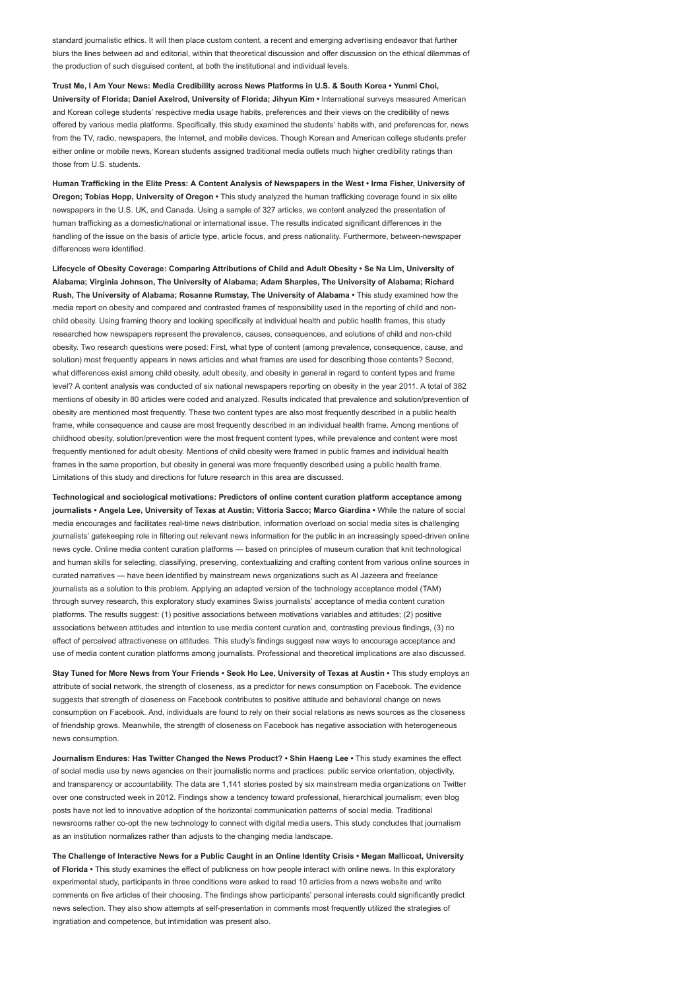standard journalistic ethics. It will then place custom content, a recent and emerging advertising endeavor that further blurs the lines between ad and editorial, within that theoretical discussion and offer discussion on the ethical dilemmas of the production of such disguised content, at both the institutional and individual levels.

Trust Me, I Am Your News: Media Credibility across News Platforms in U.S. & South Korea • Yunmi Choi, University of Florida; Daniel Axelrod, University of Florida; Jihyun Kim • International surveys measured American and Korean college students' respective media usage habits, preferences and their views on the credibility of news offered by various media platforms. Specifically, this study examined the students' habits with, and preferences for, news from the TV, radio, newspapers, the Internet, and mobile devices. Though Korean and American college students prefer either online or mobile news, Korean students assigned traditional media outlets much higher credibility ratings than those from U.S. students.

Human Trafficking in the Elite Press: A Content Analysis of Newspapers in the West • Irma Fisher, University of Oregon; Tobias Hopp, University of Oregon • This study analyzed the human trafficking coverage found in six elite newspapers in the U.S. UK, and Canada. Using a sample of 327 articles, we content analyzed the presentation of human trafficking as a domestic/national or international issue. The results indicated significant differences in the handling of the issue on the basis of article type, article focus, and press nationality. Furthermore, between-newspaper differences were identified.

Lifecycle of Obesity Coverage: Comparing Attributions of Child and Adult Obesity • Se Na Lim, University of Alabama; Virginia Johnson, The University of Alabama; Adam Sharples, The University of Alabama; Richard Rush, The University of Alabama; Rosanne Rumstay, The University of Alabama • This study examined how the media report on obesity and compared and contrasted frames of responsibility used in the reporting of child and nonchild obesity. Using framing theory and looking specifically at individual health and public health frames, this study researched how newspapers represent the prevalence, causes, consequences, and solutions of child and non-child obesity. Two research questions were posed: First, what type of content (among prevalence, consequence, cause, and solution) most frequently appears in news articles and what frames are used for describing those contents? Second, what differences exist among child obesity, adult obesity, and obesity in general in regard to content types and frame level? A content analysis was conducted of six national newspapers reporting on obesity in the year 2011. A total of 382 mentions of obesity in 80 articles were coded and analyzed. Results indicated that prevalence and solution/prevention of obesity are mentioned most frequently. These two content types are also most frequently described in a public health frame, while consequence and cause are most frequently described in an individual health frame. Among mentions of childhood obesity, solution/prevention were the most frequent content types, while prevalence and content were most frequently mentioned for adult obesity. Mentions of child obesity were framed in public frames and individual health frames in the same proportion, but obesity in general was more frequently described using a public health frame. Limitations of this study and directions for future research in this area are discussed.

Technological and sociological motivations: Predictors of online content curation platform acceptance among journalists • Angela Lee, University of Texas at Austin; Vittoria Sacco; Marco Giardina • While the nature of social media encourages and facilitates real-time news distribution, information overload on social media sites is challenging journalists' gatekeeping role in filtering out relevant news information for the public in an increasingly speed-driven online news cycle. Online media content curation platforms — based on principles of museum curation that knit technological and human skills for selecting, classifying, preserving, contextualizing and crafting content from various online sources in curated narratives — have been identified by mainstream news organizations such as Al Jazeera and freelance journalists as a solution to this problem. Applying an adapted version of the technology acceptance model (TAM) through survey research, this exploratory study examines Swiss journalists' acceptance of media content curation platforms. The results suggest: (1) positive associations between motivations variables and attitudes; (2) positive associations between attitudes and intention to use media content curation and, contrasting previous findings, (3) no effect of perceived attractiveness on attitudes. This study's findings suggest new ways to encourage acceptance and use of media content curation platforms among journalists. Professional and theoretical implications are also discussed.

Stay Tuned for More News from Your Friends • Seok Ho Lee, University of Texas at Austin • This study employs an attribute of social network, the strength of closeness, as a predictor for news consumption on Facebook. The evidence suggests that strength of closeness on Facebook contributes to positive attitude and behavioral change on news consumption on Facebook. And, individuals are found to rely on their social relations as news sources as the closeness of friendship grows. Meanwhile, the strength of closeness on Facebook has negative association with heterogeneous news consumption.

Journalism Endures: Has Twitter Changed the News Product? • Shin Haeng Lee • This study examines the effect of social media use by news agencies on their journalistic norms and practices: public service orientation, objectivity, and transparency or accountability. The data are 1,141 stories posted by six mainstream media organizations on Twitter over one constructed week in 2012. Findings show a tendency toward professional, hierarchical journalism; even blog posts have not led to innovative adoption of the horizontal communication patterns of social media. Traditional newsrooms rather co-opt the new technology to connect with digital media users. This study concludes that journalism as an institution normalizes rather than adjusts to the changing media landscape.

The Challenge of Interactive News for a Public Caught in an Online Identity Crisis • Megan Mallicoat, University of Florida • This study examines the effect of publicness on how people interact with online news. In this exploratory experimental study, participants in three conditions were asked to read 10 articles from a news website and write comments on five articles of their choosing. The findings show participants' personal interests could significantly predict news selection. They also show attempts at self-presentation in comments most frequently utilized the strategies of ingratiation and competence, but intimidation was present also.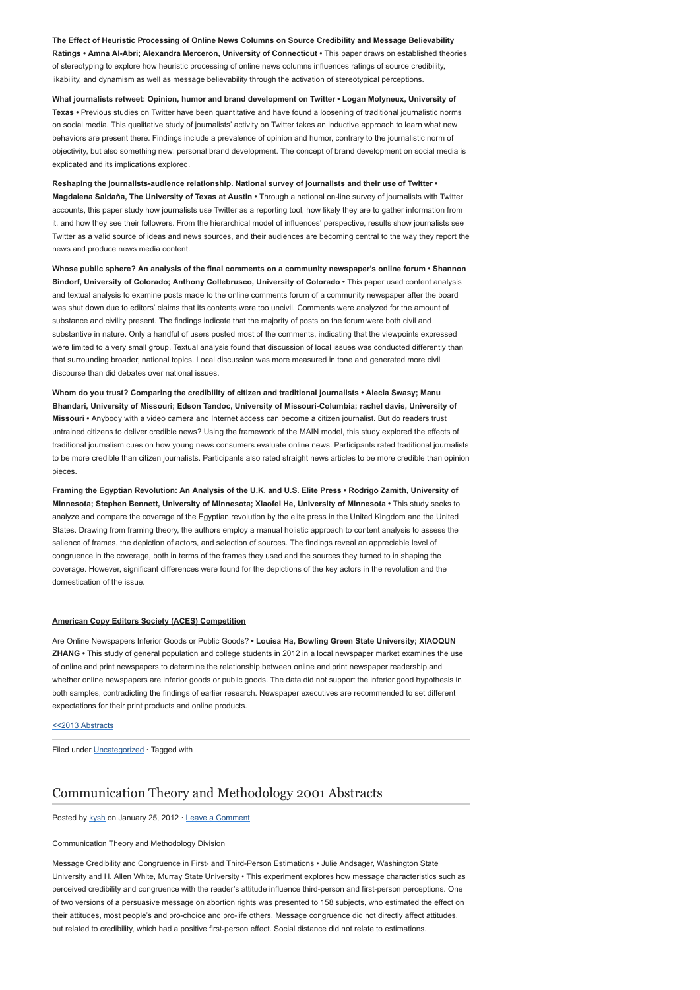The Effect of Heuristic Processing of Online News Columns on Source Credibility and Message Believability Ratings • Amna Al-Abri; Alexandra Merceron, University of Connecticut • This paper draws on established theories of stereotyping to explore how heuristic processing of online news columns influences ratings of source credibility, likability, and dynamism as well as message believability through the activation of stereotypical perceptions.

What journalists retweet: Opinion, humor and brand development on Twitter • Logan Molyneux, University of Texas • Previous studies on Twitter have been quantitative and have found a loosening of traditional journalistic norms on social media. This qualitative study of journalists' activity on Twitter takes an inductive approach to learn what new behaviors are present there. Findings include a prevalence of opinion and humor, contrary to the journalistic norm of objectivity, but also something new: personal brand development. The concept of brand development on social media is explicated and its implications explored.

Reshaping the journalists-audience relationship. National survey of journalists and their use of Twitter • Magdalena Saldaña, The University of Texas at Austin • Through a national on-line survey of journalists with Twitter accounts, this paper study how journalists use Twitter as a reporting tool, how likely they are to gather information from it, and how they see their followers. From the hierarchical model of influences' perspective, results show journalists see Twitter as a valid source of ideas and news sources, and their audiences are becoming central to the way they report the news and produce news media content.

Whose public sphere? An analysis of the final comments on a community newspaper's online forum • Shannon Sindorf, University of Colorado; Anthony Collebrusco, University of Colorado • This paper used content analysis and textual analysis to examine posts made to the online comments forum of a community newspaper after the board was shut down due to editors' claims that its contents were too uncivil. Comments were analyzed for the amount of substance and civility present. The findings indicate that the majority of posts on the forum were both civil and substantive in nature. Only a handful of users posted most of the comments, indicating that the viewpoints expressed were limited to a very small group. Textual analysis found that discussion of local issues was conducted differently than that surrounding broader, national topics. Local discussion was more measured in tone and generated more civil discourse than did debates over national issues.

Whom do you trust? Comparing the credibility of citizen and traditional journalists • Alecia Swasy; Manu Bhandari, University of Missouri; Edson Tandoc, University of Missouri-Columbia; rachel davis, University of Missouri • Anybody with a video camera and Internet access can become a citizen journalist. But do readers trust untrained citizens to deliver credible news? Using the framework of the MAIN model, this study explored the effects of traditional journalism cues on how young news consumers evaluate online news. Participants rated traditional journalists to be more credible than citizen journalists. Participants also rated straight news articles to be more credible than opinion pieces.

Framing the Egyptian Revolution: An Analysis of the U.K. and U.S. Elite Press • Rodrigo Zamith, University of Minnesota; Stephen Bennett, University of Minnesota; Xiaofei He, University of Minnesota • This study seeks to analyze and compare the coverage of the Egyptian revolution by the elite press in the United Kingdom and the United States. Drawing from framing theory, the authors employ a manual holistic approach to content analysis to assess the salience of frames, the depiction of actors, and selection of sources. The findings reveal an appreciable level of congruence in the coverage, both in terms of the frames they used and the sources they turned to in shaping the coverage. However, significant differences were found for the depictions of the key actors in the revolution and the domestication of the issue.

### American Copy Editors Society (ACES) Competition

Are Online Newspapers Inferior Goods or Public Goods? • Louisa Ha, Bowling Green State University; XIAOQUN ZHANG • This study of general population and college students in 2012 in a local newspaper market examines the use of online and print newspapers to determine the relationship between online and print newspaper readership and whether online newspapers are inferior goods or public goods. The data did not support the inferior good hypothesis in both samples, contradicting the findings of earlier research. Newspaper executives are recommended to set different expectations for their print products and online products.

#### [<<2013 Abstracts](http://www.aejmc.org/home/2013/03/2013-abstracts/)

Filed under [Uncategorized](http://www.aejmc.org/home/category/uncategorized/) · Tagged with

### [Communication Theory and Methodology 2001 Abstracts](http://www.aejmc.org/home/2012/01/ctm-2001-abstracts/)

Posted by [kysh](http://www.aejmc.org/home/author/kyshiab/) on January 25, 2012 · [Leave a Comment](http://www.aejmc.org/home/2012/01/ctm-2001-abstracts/#respond)

Communication Theory and Methodology Division

Message Credibility and Congruence in First- and Third-Person Estimations • Julie Andsager, Washington State University and H. Allen White, Murray State University • This experiment explores how message characteristics such as perceived credibility and congruence with the reader's attitude influence third-person and first-person perceptions. One of two versions of a persuasive message on abortion rights was presented to 158 subjects, who estimated the effect on their attitudes, most people's and pro-choice and pro-life others. Message congruence did not directly affect attitudes, but related to credibility, which had a positive first-person effect. Social distance did not relate to estimations.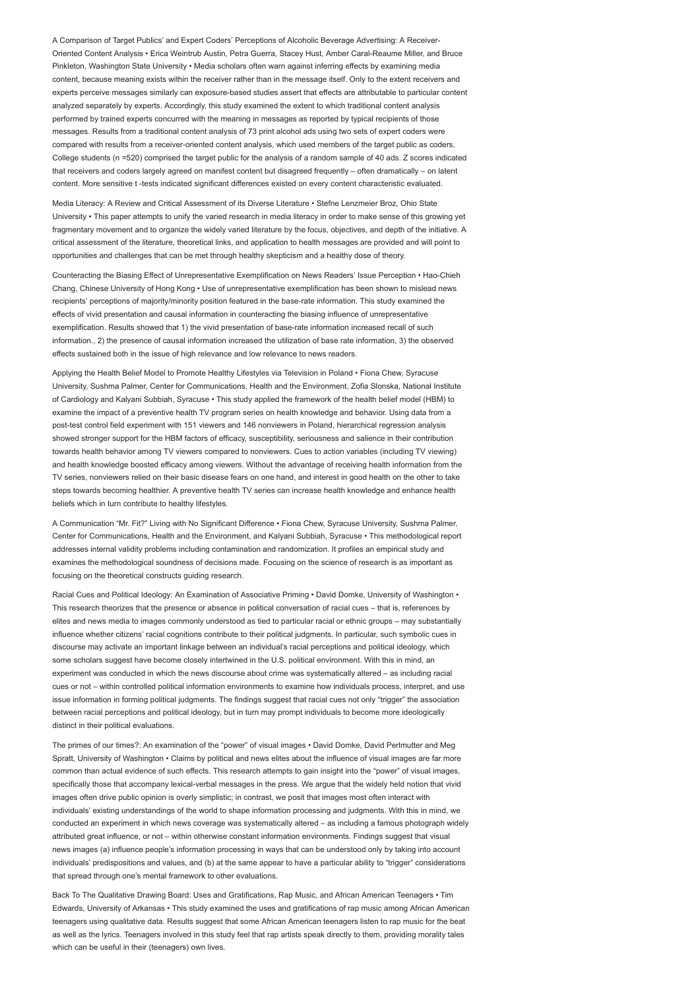A Comparison of Target Publics' and Expert Coders' Perceptions of Alcoholic Beverage Advertising: A Receiver-Oriented Content Analysis • Erica Weintrub Austin, Petra Guerra, Stacey Hust, Amber Caral-Reaume Miller, and Bruce Pinkleton, Washington State University • Media scholars often warn against inferring effects by examining media content, because meaning exists within the receiver rather than in the message itself. Only to the extent receivers and experts perceive messages similarly can exposure-based studies assert that effects are attributable to particular content analyzed separately by experts. Accordingly, this study examined the extent to which traditional content analysis performed by trained experts concurred with the meaning in messages as reported by typical recipients of those messages. Results from a traditional content analysis of 73 print alcohol ads using two sets of expert coders were compared with results from a receiver-oriented content analysis, which used members of the target public as coders. College students (n =520) comprised the target public for the analysis of a random sample of 40 ads. Z scores indicated that receivers and coders largely agreed on manifest content but disagreed frequently – often dramatically – on latent content. More sensitive t -tests indicated significant differences existed on every content characteristic evaluated.

Media Literacy: A Review and Critical Assessment of its Diverse Literature • Stefne Lenzmeier Broz, Ohio State University • This paper attempts to unify the varied research in media literacy in order to make sense of this growing yet fragmentary movement and to organize the widely varied literature by the focus, objectives, and depth of the initiative. A critical assessment of the literature, theoretical links, and application to health messages are provided and will point to opportunities and challenges that can be met through healthy skepticism and a healthy dose of theory.

Counteracting the Biasing Effect of Unrepresentative Exemplification on News Readers' Issue Perception • Hao-Chieh Chang, Chinese University of Hong Kong • Use of unrepresentative exemplification has been shown to mislead news recipients' perceptions of majority/minority position featured in the base-rate information. This study examined the effects of vivid presentation and causal information in counteracting the biasing influence of unrepresentative exemplification. Results showed that 1) the vivid presentation of base-rate information increased recall of such information., 2) the presence of causal information increased the utilization of base rate information, 3) the observed effects sustained both in the issue of high relevance and low relevance to news readers.

Applying the Health Belief Model to Promote Healthy Lifestyles via Television in Poland • Fiona Chew, Syracuse University, Sushma Palmer, Center for Communications, Health and the Environment, Zofia Slonska, National Institute of Cardiology and Kalyani Subbiah, Syracuse • This study applied the framework of the health belief model (HBM) to examine the impact of a preventive health TV program series on health knowledge and behavior. Using data from a post-test control field experiment with 151 viewers and 146 nonviewers in Poland, hierarchical regression analysis showed stronger support for the HBM factors of efficacy, susceptibility, seriousness and salience in their contribution towards health behavior among TV viewers compared to nonviewers. Cues to action variables (including TV viewing) and health knowledge boosted efficacy among viewers. Without the advantage of receiving health information from the TV series, nonviewers relied on their basic disease fears on one hand, and interest in good health on the other to take steps towards becoming healthier. A preventive health TV series can increase health knowledge and enhance health beliefs which in turn contribute to healthy lifestyles.

A Communication "Mr. Fit?" Living with No Significant Difference • Fiona Chew, Syracuse University, Sushma Palmer, Center for Communications, Health and the Environment, and Kalyani Subbiah, Syracuse • This methodological report addresses internal validity problems including contamination and randomization. It profiles an empirical study and examines the methodological soundness of decisions made. Focusing on the science of research is as important as focusing on the theoretical constructs guiding research.

Racial Cues and Political Ideology: An Examination of Associative Priming • David Domke, University of Washington • This research theorizes that the presence or absence in political conversation of racial cues – that is, references by elites and news media to images commonly understood as tied to particular racial or ethnic groups – may substantially influence whether citizens' racial cognitions contribute to their political judgments. In particular, such symbolic cues in discourse may activate an important linkage between an individual's racial perceptions and political ideology, which some scholars suggest have become closely intertwined in the U.S. political environment. With this in mind, an experiment was conducted in which the news discourse about crime was systematically altered – as including racial cues or not – within controlled political information environments to examine how individuals process, interpret, and use issue information in forming political judgments. The findings suggest that racial cues not only "trigger" the association between racial perceptions and political ideology, but in turn may prompt individuals to become more ideologically distinct in their political evaluations.

The primes of our times?: An examination of the "power" of visual images • David Domke, David Perlmutter and Meg Spratt, University of Washington • Claims by political and news elites about the influence of visual images are far more common than actual evidence of such effects. This research attempts to gain insight into the "power" of visual images, specifically those that accompany lexical-verbal messages in the press. We argue that the widely held notion that vivid images often drive public opinion is overly simplistic; in contrast, we posit that images most often interact with individuals' existing understandings of the world to shape information processing and judgments. With this in mind, we conducted an experiment in which news coverage was systematically altered – as including a famous photograph widely attributed great influence, or not – within otherwise constant information environments. Findings suggest that visual news images (a) influence people's information processing in ways that can be understood only by taking into account individuals' predispositions and values, and (b) at the same appear to have a particular ability to "trigger" considerations that spread through one's mental framework to other evaluations.

Back To The Qualitative Drawing Board: Uses and Gratifications, Rap Music, and African American Teenagers • Tim Edwards, University of Arkansas • This study examined the uses and gratifications of rap music among African American teenagers using qualitative data. Results suggest that some African American teenagers listen to rap music for the beat as well as the lyrics. Teenagers involved in this study feel that rap artists speak directly to them, providing morality tales which can be useful in their (teenagers) own lives.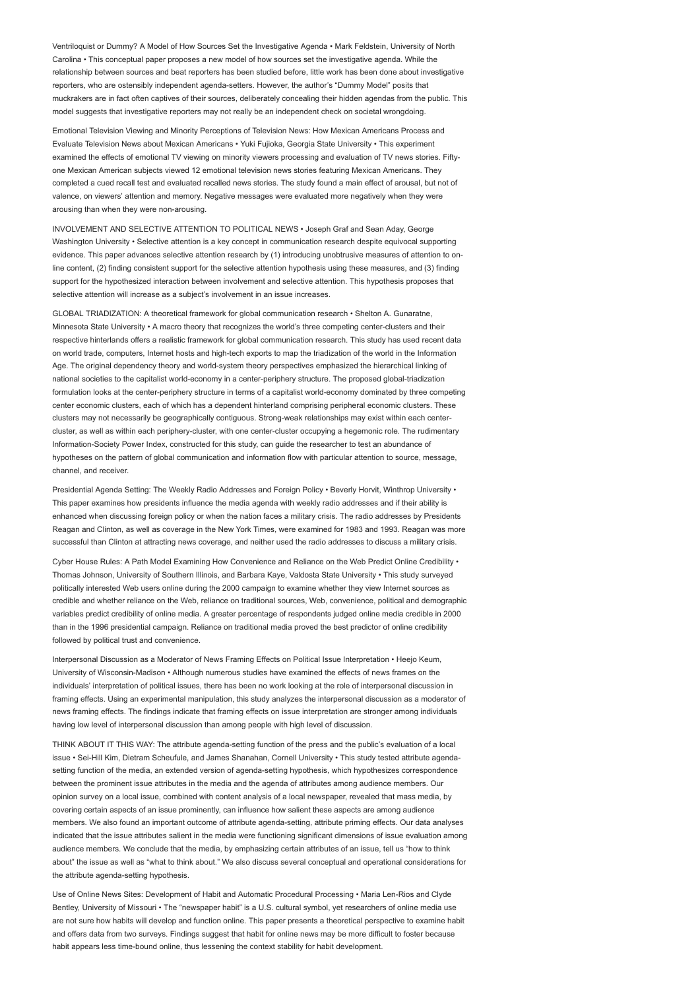Ventriloquist or Dummy? A Model of How Sources Set the Investigative Agenda • Mark Feldstein, University of North Carolina • This conceptual paper proposes a new model of how sources set the investigative agenda. While the relationship between sources and beat reporters has been studied before, little work has been done about investigative reporters, who are ostensibly independent agenda-setters. However, the author's "Dummy Model" posits that muckrakers are in fact often captives of their sources, deliberately concealing their hidden agendas from the public. This model suggests that investigative reporters may not really be an independent check on societal wrongdoing.

Emotional Television Viewing and Minority Perceptions of Television News: How Mexican Americans Process and Evaluate Television News about Mexican Americans • Yuki Fujioka, Georgia State University • This experiment examined the effects of emotional TV viewing on minority viewers processing and evaluation of TV news stories. Fiftyone Mexican American subjects viewed 12 emotional television news stories featuring Mexican Americans. They completed a cued recall test and evaluated recalled news stories. The study found a main effect of arousal, but not of valence, on viewers' attention and memory. Negative messages were evaluated more negatively when they were arousing than when they were non-arousing.

INVOLVEMENT AND SELECTIVE ATTENTION TO POLITICAL NEWS • Joseph Graf and Sean Aday, George Washington University • Selective attention is a key concept in communication research despite equivocal supporting evidence. This paper advances selective attention research by (1) introducing unobtrusive measures of attention to online content, (2) finding consistent support for the selective attention hypothesis using these measures, and (3) finding support for the hypothesized interaction between involvement and selective attention. This hypothesis proposes that selective attention will increase as a subject's involvement in an issue increases.

GLOBAL TRIADIZATION: A theoretical framework for global communication research • Shelton A. Gunaratne, Minnesota State University • A macro theory that recognizes the world's three competing center-clusters and their respective hinterlands offers a realistic framework for global communication research. This study has used recent data on world trade, computers, Internet hosts and high-tech exports to map the triadization of the world in the Information Age. The original dependency theory and world-system theory perspectives emphasized the hierarchical linking of national societies to the capitalist world-economy in a center-periphery structure. The proposed global-triadization formulation looks at the center-periphery structure in terms of a capitalist world-economy dominated by three competing center economic clusters, each of which has a dependent hinterland comprising peripheral economic clusters. These clusters may not necessarily be geographically contiguous. Strong-weak relationships may exist within each centercluster, as well as within each periphery-cluster, with one center-cluster occupying a hegemonic role. The rudimentary Information-Society Power Index, constructed for this study, can guide the researcher to test an abundance of hypotheses on the pattern of global communication and information flow with particular attention to source, message, channel, and receiver.

Presidential Agenda Setting: The Weekly Radio Addresses and Foreign Policy • Beverly Horvit, Winthrop University • This paper examines how presidents influence the media agenda with weekly radio addresses and if their ability is enhanced when discussing foreign policy or when the nation faces a military crisis. The radio addresses by Presidents Reagan and Clinton, as well as coverage in the New York Times, were examined for 1983 and 1993. Reagan was more successful than Clinton at attracting news coverage, and neither used the radio addresses to discuss a military crisis.

Cyber House Rules: A Path Model Examining How Convenience and Reliance on the Web Predict Online Credibility • Thomas Johnson, University of Southern Illinois, and Barbara Kaye, Valdosta State University • This study surveyed politically interested Web users online during the 2000 campaign to examine whether they view Internet sources as credible and whether reliance on the Web, reliance on traditional sources, Web, convenience, political and demographic variables predict credibility of online media. A greater percentage of respondents judged online media credible in 2000 than in the 1996 presidential campaign. Reliance on traditional media proved the best predictor of online credibility followed by political trust and convenience.

Interpersonal Discussion as a Moderator of News Framing Effects on Political Issue Interpretation • Heejo Keum, University of Wisconsin-Madison • Although numerous studies have examined the effects of news frames on the individuals' interpretation of political issues, there has been no work looking at the role of interpersonal discussion in framing effects. Using an experimental manipulation, this study analyzes the interpersonal discussion as a moderator of news framing effects. The findings indicate that framing effects on issue interpretation are stronger among individuals having low level of interpersonal discussion than among people with high level of discussion.

THINK ABOUT IT THIS WAY: The attribute agenda-setting function of the press and the public's evaluation of a local issue • Sei-Hill Kim, Dietram Scheufule, and James Shanahan, Cornell University • This study tested attribute agendasetting function of the media, an extended version of agenda-setting hypothesis, which hypothesizes correspondence between the prominent issue attributes in the media and the agenda of attributes among audience members. Our opinion survey on a local issue, combined with content analysis of a local newspaper, revealed that mass media, by covering certain aspects of an issue prominently, can influence how salient these aspects are among audience members. We also found an important outcome of attribute agenda-setting, attribute priming effects. Our data analyses indicated that the issue attributes salient in the media were functioning significant dimensions of issue evaluation among audience members. We conclude that the media, by emphasizing certain attributes of an issue, tell us "how to think about" the issue as well as "what to think about." We also discuss several conceptual and operational considerations for the attribute agenda-setting hypothesis.

Use of Online News Sites: Development of Habit and Automatic Procedural Processing • Maria Len-Rios and Clyde Bentley, University of Missouri • The "newspaper habit" is a U.S. cultural symbol, yet researchers of online media use are not sure how habits will develop and function online. This paper presents a theoretical perspective to examine habit and offers data from two surveys. Findings suggest that habit for online news may be more difficult to foster because habit appears less time-bound online, thus lessening the context stability for habit development.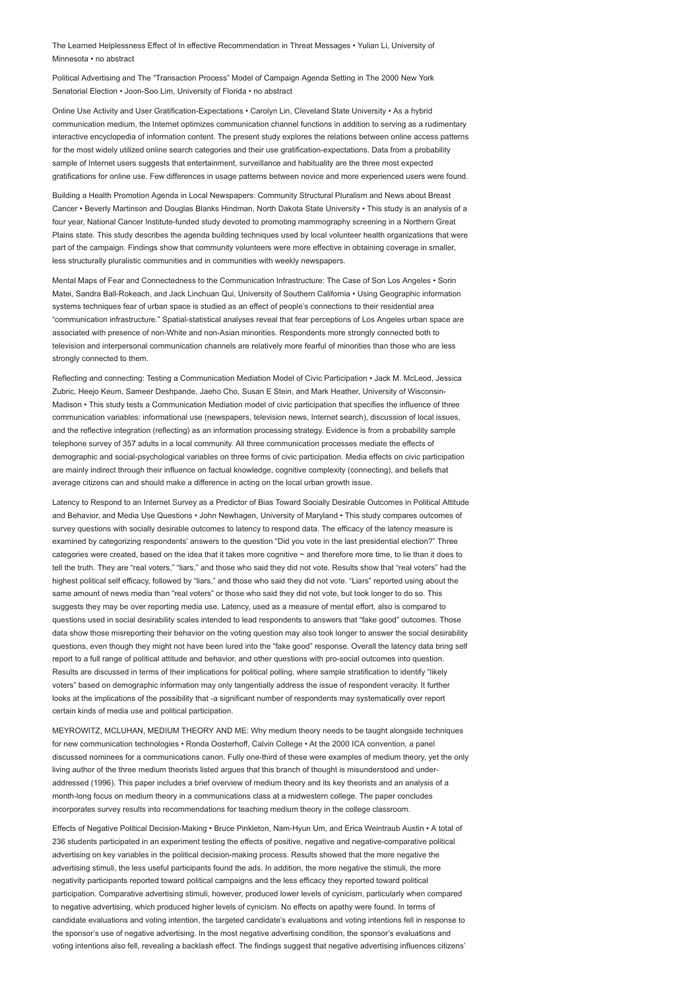The Learned Helplessness Effect of In effective Recommendation in Threat Messages • Yulian Li, University of Minnesota • no abstract

Political Advertising and The "Transaction Process" Model of Campaign Agenda Setting in The 2000 New York Senatorial Election • Joon-Soo Lim, University of Florida • no abstract

Online Use Activity and User Gratification-Expectations • Carolyn Lin, Cleveland State University • As a hybrid communication medium, the Internet optimizes communication channel functions in addition to serving as a rudimentary interactive encyclopedia of information content. The present study explores the relations between online access patterns for the most widely utilized online search categories and their use gratification-expectations. Data from a probability sample of Internet users suggests that entertainment, surveillance and habituality are the three most expected gratifications for online use. Few differences in usage patterns between novice and more experienced users were found.

Building a Health Promotion Agenda in Local Newspapers: Community Structural Pluralism and News about Breast Cancer • Beverly Martinson and Douglas Blanks Hindman, North Dakota State University • This study is an analysis of a four year, National Cancer Institute-funded study devoted to promoting mammography screening in a Northern Great Plains state. This study describes the agenda building techniques used by local volunteer health organizations that were part of the campaign. Findings show that community volunteers were more effective in obtaining coverage in smaller, less structurally pluralistic communities and in communities with weekly newspapers.

Mental Maps of Fear and Connectedness to the Communication Infrastructure: The Case of Son Los Angeles • Sorin Matei, Sandra Ball-Rokeach, and Jack Linchuan Qui, University of Southern California • Using Geographic information systems techniques fear of urban space is studied as an effect of people's connections to their residential area "communication infrastructure." Spatial-statistical analyses reveal that fear perceptions of Los Angeles urban space are associated with presence of non-White and non-Asian minorities. Respondents more strongly connected both to television and interpersonal communication channels are relatively more fearful of minorities than those who are less strongly connected to them.

Reflecting and connecting: Testing a Communication Mediation Model of Civic Participation • Jack M. McLeod, Jessica Zubric, Heejo Keum, Sameer Deshpande, Jaeho Cho, Susan E Stein, and Mark Heather, University of Wisconsin-Madison • This study tests a Communication Mediation model of civic participation that specifies the influence of three communication variables: informational use (newspapers, television news, Internet search), discussion of local issues, and the reflective integration (reflecting) as an information processing strategy. Evidence is from a probability sample telephone survey of 357 adults in a local community. All three communication processes mediate the effects of demographic and social-psychological variables on three forms of civic participation. Media effects on civic participation are mainly indirect through their influence on factual knowledge, cognitive complexity (connecting), and beliefs that average citizens can and should make a difference in acting on the local urban growth issue.

Latency to Respond to an Internet Survey as a Predictor of Bias Toward Socially Desirable Outcomes in Political Attitude and Behavior, and Media Use Questions • John Newhagen, University of Maryland • This study compares outcomes of survey questions with socially desirable outcomes to latency to respond data. The efficacy of the latency measure is examined by categorizing respondents' answers to the question "Did you vote in the last presidential election?" Three categories were created, based on the idea that it takes more cognitive ~ and therefore more time, to lie than it does to tell the truth. They are "real voters," "liars," and those who said they did not vote. Results show that "real voters" had the highest political self efficacy, followed by "liars," and those who said they did not vote. "Liars" reported using about the same amount of news media than "real voters" or those who said they did not vote, but took longer to do so. This suggests they may be over reporting media use. Latency, used as a measure of mental effort, also is compared to questions used in social desirability scales intended to lead respondents to answers that "fake good" outcomes. Those data show those misreporting their behavior on the voting question may also took longer to answer the social desirability questions, even though they might not have been lured into the "fake good" response. Overall the latency data bring self report to a full range of political attitude and behavior, and other questions with pro-social outcomes into question. Results are discussed in terms of their implications for political polling, where sample stratification to identify "likely voters" based on demographic information may only tangentially address the issue of respondent veracity. It further looks at the implications of the possibility that -a significant number of respondents may systematically over report certain kinds of media use and political participation.

MEYROWITZ, MCLUHAN, MEDIUM THEORY AND ME: Why medium theory needs to be taught alongside techniques for new communication technologies • Ronda Oosterhoff, Calvin College • At the 2000 ICA convention, a panel discussed nominees for a communications canon. Fully one-third of these were examples of medium theory, yet the only living author of the three medium theorists listed argues that this branch of thought is misunderstood and underaddressed (1996). This paper includes a brief overview of medium theory and its key theorists and an analysis of a month-long focus on medium theory in a communications class at a midwestern college. The paper concludes incorporates survey results into recommendations for teaching medium theory in the college classroom.

Effects of Negative Political Decision-Making • Bruce Pinkleton, Nam-Hyun Um, and Erica Weintraub Austin • A total of 236 students participated in an experiment testing the effects of positive, negative and negative-comparative political advertising on key variables in the political decision-making process. Results showed that the more negative the advertising stimuli, the less useful participants found the ads. In addition, the more negative the stimuli, the more negativity participants reported toward political campaigns and the less efficacy they reported toward political participation. Comparative advertising stimuli, however, produced lower levels of cynicism, particularly when compared to negative advertising, which produced higher levels of cynicism. No effects on apathy were found. In terms of candidate evaluations and voting intention, the targeted candidate's evaluations and voting intentions fell in response to the sponsor's use of negative advertising. In the most negative advertising condition, the sponsor's evaluations and voting intentions also fell, revealing a backlash effect. The findings suggest that negative advertising influences citizens'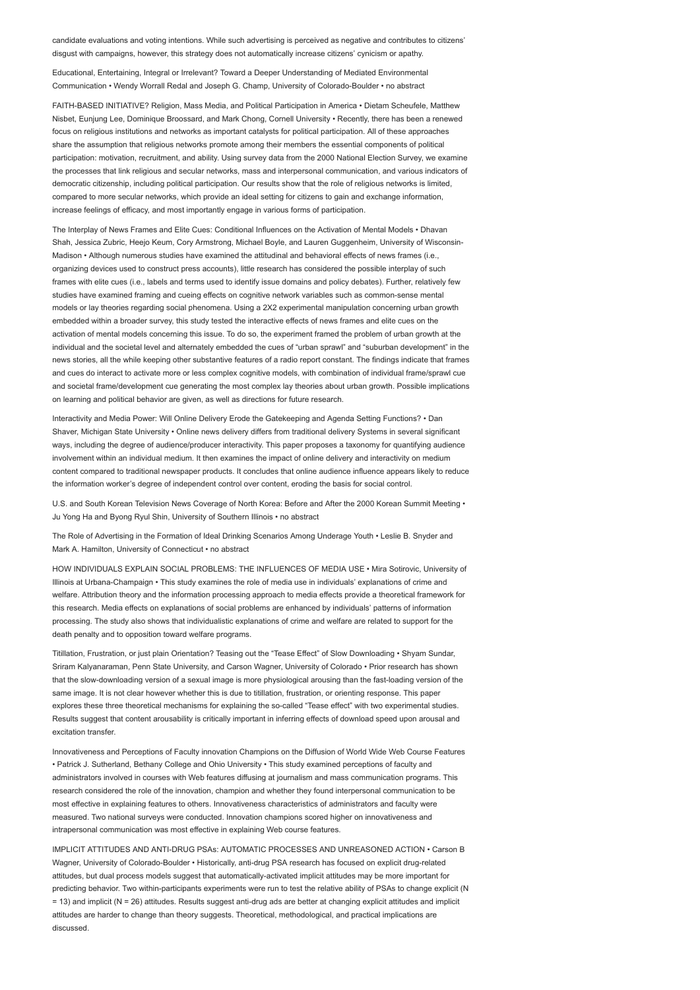candidate evaluations and voting intentions. While such advertising is perceived as negative and contributes to citizens' disgust with campaigns, however, this strategy does not automatically increase citizens' cynicism or apathy.

Educational, Entertaining, Integral or Irrelevant? Toward a Deeper Understanding of Mediated Environmental Communication • Wendy Worrall Redal and Joseph G. Champ, University of Colorado-Boulder • no abstract

FAITH-BASED INITIATIVE? Religion, Mass Media, and Political Participation in America • Dietam Scheufele, Matthew Nisbet, Eunjung Lee, Dominique Broossard, and Mark Chong, Cornell University • Recently, there has been a renewed focus on religious institutions and networks as important catalysts for political participation. All of these approaches share the assumption that religious networks promote among their members the essential components of political participation: motivation, recruitment, and ability. Using survey data from the 2000 National Election Survey, we examine the processes that link religious and secular networks, mass and interpersonal communication, and various indicators of democratic citizenship, including political participation. Our results show that the role of religious networks is limited, compared to more secular networks, which provide an ideal setting for citizens to gain and exchange information, increase feelings of efficacy, and most importantly engage in various forms of participation.

The Interplay of News Frames and Elite Cues: Conditional Influences on the Activation of Mental Models • Dhavan Shah, Jessica Zubric, Heejo Keum, Cory Armstrong, Michael Boyle, and Lauren Guggenheim, University of Wisconsin-Madison • Although numerous studies have examined the attitudinal and behavioral effects of news frames (i.e., organizing devices used to construct press accounts), little research has considered the possible interplay of such frames with elite cues (i.e., labels and terms used to identify issue domains and policy debates). Further, relatively few studies have examined framing and cueing effects on cognitive network variables such as common-sense mental models or lay theories regarding social phenomena. Using a 2X2 experimental manipulation concerning urban growth embedded within a broader survey, this study tested the interactive effects of news frames and elite cues on the activation of mental models concerning this issue. To do so, the experiment framed the problem of urban growth at the individual and the societal level and alternately embedded the cues of "urban sprawl" and "suburban development" in the news stories, all the while keeping other substantive features of a radio report constant. The findings indicate that frames and cues do interact to activate more or less complex cognitive models, with combination of individual frame/sprawl cue and societal frame/development cue generating the most complex lay theories about urban growth. Possible implications on learning and political behavior are given, as well as directions for future research.

Interactivity and Media Power: Will Online Delivery Erode the Gatekeeping and Agenda Setting Functions? • Dan Shaver, Michigan State University • Online news delivery differs from traditional delivery Systems in several significant ways, including the degree of audience/producer interactivity. This paper proposes a taxonomy for quantifying audience involvement within an individual medium. It then examines the impact of online delivery and interactivity on medium content compared to traditional newspaper products. It concludes that online audience influence appears likely to reduce the information worker's degree of independent control over content, eroding the basis for social control.

U.S. and South Korean Television News Coverage of North Korea: Before and After the 2000 Korean Summit Meeting • Ju Yong Ha and Byong Ryul Shin, University of Southern Illinois • no abstract

The Role of Advertising in the Formation of Ideal Drinking Scenarios Among Underage Youth • Leslie B. Snyder and Mark A. Hamilton, University of Connecticut • no abstract

HOW INDIVIDUALS EXPLAIN SOCIAL PROBLEMS: THE INFLUENCES OF MEDIA USE • Mira Sotirovic, University of Illinois at Urbana-Champaign • This study examines the role of media use in individuals' explanations of crime and welfare. Attribution theory and the information processing approach to media effects provide a theoretical framework for this research. Media effects on explanations of social problems are enhanced by individuals' patterns of information processing. The study also shows that individualistic explanations of crime and welfare are related to support for the death penalty and to opposition toward welfare programs.

Titillation, Frustration, or just plain Orientation? Teasing out the "Tease Effect" of Slow Downloading • Shyam Sundar, Sriram Kalyanaraman, Penn State University, and Carson Wagner, University of Colorado • Prior research has shown that the slow-downloading version of a sexual image is more physiological arousing than the fast-loading version of the same image. It is not clear however whether this is due to titillation, frustration, or orienting response. This paper explores these three theoretical mechanisms for explaining the so-called "Tease effect" with two experimental studies. Results suggest that content arousability is critically important in inferring effects of download speed upon arousal and excitation transfer.

Innovativeness and Perceptions of Faculty innovation Champions on the Diffusion of World Wide Web Course Features • Patrick J. Sutherland, Bethany College and Ohio University • This study examined perceptions of faculty and administrators involved in courses with Web features diffusing at journalism and mass communication programs. This research considered the role of the innovation, champion and whether they found interpersonal communication to be most effective in explaining features to others. Innovativeness characteristics of administrators and faculty were measured. Two national surveys were conducted. Innovation champions scored higher on innovativeness and intrapersonal communication was most effective in explaining Web course features.

IMPLICIT ATTITUDES AND ANTI-DRUG PSAs: AUTOMATIC PROCESSES AND UNREASONED ACTION • Carson B Wagner, University of Colorado-Boulder • Historically, anti-drug PSA research has focused on explicit drug-related attitudes, but dual process models suggest that automatically-activated implicit attitudes may be more important for predicting behavior. Two within-participants experiments were run to test the relative ability of PSAs to change explicit (N = 13) and implicit (N = 26) attitudes. Results suggest anti-drug ads are better at changing explicit attitudes and implicit attitudes are harder to change than theory suggests. Theoretical, methodological, and practical implications are discussed.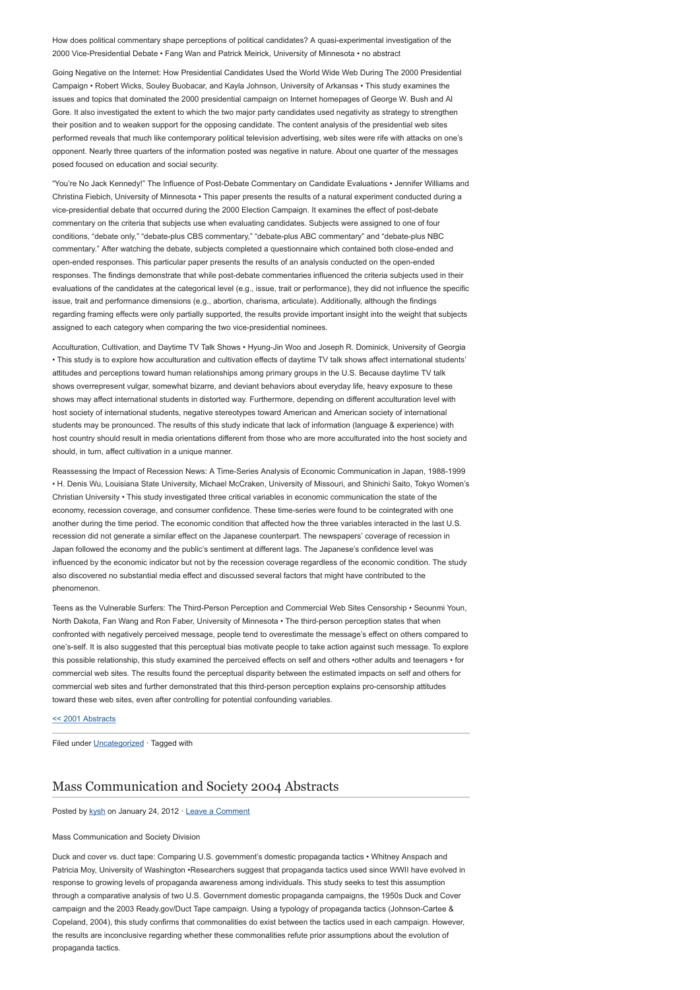How does political commentary shape perceptions of political candidates? A quasi-experimental investigation of the 2000 Vice-Presidential Debate • Fang Wan and Patrick Meirick, University of Minnesota • no abstract

Going Negative on the Internet: How Presidential Candidates Used the World Wide Web During The 2000 Presidential Campaign • Robert Wicks, Souley Buobacar, and Kayla Johnson, University of Arkansas • This study examines the issues and topics that dominated the 2000 presidential campaign on Internet homepages of George W. Bush and Al Gore. It also investigated the extent to which the two major party candidates used negativity as strategy to strengthen their position and to weaken support for the opposing candidate. The content analysis of the presidential web sites performed reveals that much like contemporary political television advertising, web sites were rife with attacks on one's opponent. Nearly three quarters of the information posted was negative in nature. About one quarter of the messages posed focused on education and social security.

"You're No Jack Kennedy!" The Influence of Post-Debate Commentary on Candidate Evaluations • Jennifer Williams and Christina Fiebich, University of Minnesota • This paper presents the results of a natural experiment conducted during a vice-presidential debate that occurred during the 2000 Election Campaign. It examines the effect of post-debate commentary on the criteria that subjects use when evaluating candidates. Subjects were assigned to one of four conditions, "debate only," "debate-plus CBS commentary," "debate-plus ABC commentary" and "debate-plus NBC commentary." After watching the debate, subjects completed a questionnaire which contained both close-ended and open-ended responses. This particular paper presents the results of an analysis conducted on the open-ended responses. The findings demonstrate that while post-debate commentaries influenced the criteria subjects used in their evaluations of the candidates at the categorical level (e.g., issue, trait or performance), they did not influence the specific issue, trait and performance dimensions (e.g., abortion, charisma, articulate). Additionally, although the findings regarding framing effects were only partially supported, the results provide important insight into the weight that subjects assigned to each category when comparing the two vice-presidential nominees.

Acculturation, Cultivation, and Daytime TV Talk Shows • Hyung-Jin Woo and Joseph R. Dominick, University of Georgia • This study is to explore how acculturation and cultivation effects of daytime TV talk shows affect international students' attitudes and perceptions toward human relationships among primary groups in the U.S. Because daytime TV talk shows overrepresent vulgar, somewhat bizarre, and deviant behaviors about everyday life, heavy exposure to these shows may affect international students in distorted way. Furthermore, depending on different acculturation level with host society of international students, negative stereotypes toward American and American society of international students may be pronounced. The results of this study indicate that lack of information (language & experience) with host country should result in media orientations different from those who are more acculturated into the host society and should, in turn, affect cultivation in a unique manner.

Reassessing the Impact of Recession News: A Time-Series Analysis of Economic Communication in Japan, 1988-1999 • H. Denis Wu, Louisiana State University, Michael McCraken, University of Missouri, and Shinichi Saito, Tokyo Women's Christian University • This study investigated three critical variables in economic communication the state of the economy, recession coverage, and consumer confidence. These time-series were found to be cointegrated with one another during the time period. The economic condition that affected how the three variables interacted in the last U.S. recession did not generate a similar effect on the Japanese counterpart. The newspapers' coverage of recession in Japan followed the economy and the public's sentiment at different lags. The Japanese's confidence level was influenced by the economic indicator but not by the recession coverage regardless of the economic condition. The study also discovered no substantial media effect and discussed several factors that might have contributed to the phenomenon.

Teens as the Vulnerable Surfers: The Third-Person Perception and Commercial Web Sites Censorship • Seounmi Youn, North Dakota, Fan Wang and Ron Faber, University of Minnesota • The third-person perception states that when confronted with negatively perceived message, people tend to overestimate the message's effect on others compared to one's-self. It is also suggested that this perceptual bias motivate people to take action against such message. To explore this possible relationship, this study examined the perceived effects on self and others •other adults and teenagers • for commercial web sites. The results found the perceptual disparity between the estimated impacts on self and others for commercial web sites and further demonstrated that this third-person perception explains pro-censorship attitudes toward these web sites, even after controlling for potential confounding variables.

[<< 2001 Abstracts](http://www.aejmc.com/home/2011/03/2001-abstracts/)

Filed under [Uncategorized](http://www.aejmc.org/home/category/uncategorized/) · Tagged with

## [Mass Communication and Society 2004 Abstracts](http://www.aejmc.org/home/2012/01/mcs-2004-abstracts/)

Posted by [kysh](http://www.aejmc.org/home/author/kyshiab/) on January 24, 2012 · [Leave a Comment](http://www.aejmc.org/home/2012/01/mcs-2004-abstracts/#respond)

#### Mass Communication and Society Division

Duck and cover vs. duct tape: Comparing U.S. government's domestic propaganda tactics • Whitney Anspach and Patricia Moy, University of Washington •Researchers suggest that propaganda tactics used since WWII have evolved in response to growing levels of propaganda awareness among individuals. This study seeks to test this assumption through a comparative analysis of two U.S. Government domestic propaganda campaigns, the 1950s Duck and Cover campaign and the 2003 Ready.gov/Duct Tape campaign. Using a typology of propaganda tactics (Johnson-Cartee & Copeland, 2004), this study confirms that commonalities do exist between the tactics used in each campaign. However, the results are inconclusive regarding whether these commonalities refute prior assumptions about the evolution of propaganda tactics.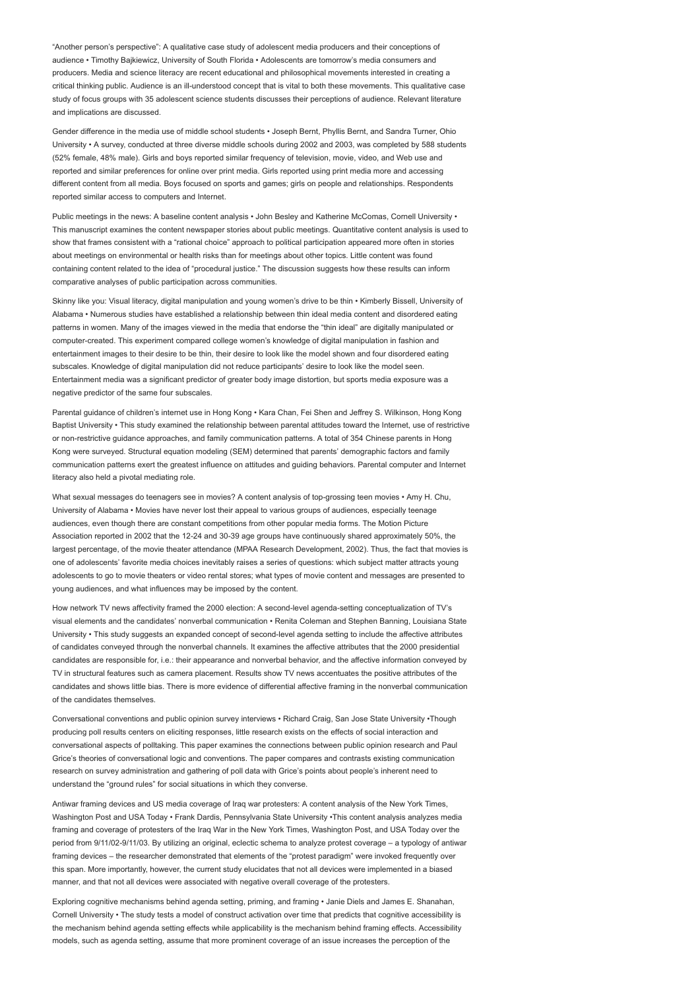"Another person's perspective": A qualitative case study of adolescent media producers and their conceptions of audience • Timothy Bajkiewicz, University of South Florida • Adolescents are tomorrow's media consumers and producers. Media and science literacy are recent educational and philosophical movements interested in creating a critical thinking public. Audience is an ill-understood concept that is vital to both these movements. This qualitative case study of focus groups with 35 adolescent science students discusses their perceptions of audience. Relevant literature and implications are discussed.

Gender difference in the media use of middle school students • Joseph Bernt, Phyllis Bernt, and Sandra Turner, Ohio University • A survey, conducted at three diverse middle schools during 2002 and 2003, was completed by 588 students (52% female, 48% male). Girls and boys reported similar frequency of television, movie, video, and Web use and reported and similar preferences for online over print media. Girls reported using print media more and accessing different content from all media. Boys focused on sports and games; girls on people and relationships. Respondents reported similar access to computers and Internet.

Public meetings in the news: A baseline content analysis • John Besley and Katherine McComas, Cornell University • This manuscript examines the content newspaper stories about public meetings. Quantitative content analysis is used to show that frames consistent with a "rational choice" approach to political participation appeared more often in stories about meetings on environmental or health risks than for meetings about other topics. Little content was found containing content related to the idea of "procedural justice." The discussion suggests how these results can inform comparative analyses of public participation across communities.

Skinny like you: Visual literacy, digital manipulation and young women's drive to be thin • Kimberly Bissell, University of Alabama • Numerous studies have established a relationship between thin ideal media content and disordered eating patterns in women. Many of the images viewed in the media that endorse the "thin ideal" are digitally manipulated or computer-created. This experiment compared college women's knowledge of digital manipulation in fashion and entertainment images to their desire to be thin, their desire to look like the model shown and four disordered eating subscales. Knowledge of digital manipulation did not reduce participants' desire to look like the model seen. Entertainment media was a significant predictor of greater body image distortion, but sports media exposure was a negative predictor of the same four subscales.

Parental guidance of children's internet use in Hong Kong • Kara Chan, Fei Shen and Jeffrey S. Wilkinson, Hong Kong Baptist University • This study examined the relationship between parental attitudes toward the Internet, use of restrictive or non-restrictive guidance approaches, and family communication patterns. A total of 354 Chinese parents in Hong Kong were surveyed. Structural equation modeling (SEM) determined that parents' demographic factors and family communication patterns exert the greatest influence on attitudes and guiding behaviors. Parental computer and Internet literacy also held a pivotal mediating role.

What sexual messages do teenagers see in movies? A content analysis of top-grossing teen movies • Amy H. Chu, University of Alabama • Movies have never lost their appeal to various groups of audiences, especially teenage audiences, even though there are constant competitions from other popular media forms. The Motion Picture Association reported in 2002 that the 12-24 and 30-39 age groups have continuously shared approximately 50%, the largest percentage, of the movie theater attendance (MPAA Research Development, 2002). Thus, the fact that movies is one of adolescents' favorite media choices inevitably raises a series of questions: which subject matter attracts young adolescents to go to movie theaters or video rental stores; what types of movie content and messages are presented to young audiences, and what influences may be imposed by the content.

How network TV news affectivity framed the 2000 election: A second-level agenda-setting conceptualization of TV's visual elements and the candidates' nonverbal communication • Renita Coleman and Stephen Banning, Louisiana State University • This study suggests an expanded concept of second-level agenda setting to include the affective attributes of candidates conveyed through the nonverbal channels. It examines the affective attributes that the 2000 presidential candidates are responsible for, i.e.: their appearance and nonverbal behavior, and the affective information conveyed by TV in structural features such as camera placement. Results show TV news accentuates the positive attributes of the candidates and shows little bias. There is more evidence of differential affective framing in the nonverbal communication of the candidates themselves.

Conversational conventions and public opinion survey interviews • Richard Craig, San Jose State University •Though producing poll results centers on eliciting responses, little research exists on the effects of social interaction and conversational aspects of polltaking. This paper examines the connections between public opinion research and Paul Grice's theories of conversational logic and conventions. The paper compares and contrasts existing communication research on survey administration and gathering of poll data with Grice's points about people's inherent need to understand the "ground rules" for social situations in which they converse.

Antiwar framing devices and US media coverage of Iraq war protesters: A content analysis of the New York Times, Washington Post and USA Today • Frank Dardis, Pennsylvania State University •This content analysis analyzes media framing and coverage of protesters of the Iraq War in the New York Times, Washington Post, and USA Today over the period from 9/11/02-9/11/03. By utilizing an original, eclectic schema to analyze protest coverage – a typology of antiwar framing devices – the researcher demonstrated that elements of the "protest paradigm" were invoked frequently over this span. More importantly, however, the current study elucidates that not all devices were implemented in a biased manner, and that not all devices were associated with negative overall coverage of the protesters.

Exploring cognitive mechanisms behind agenda setting, priming, and framing • Janie Diels and James E. Shanahan, Cornell University • The study tests a model of construct activation over time that predicts that cognitive accessibility is the mechanism behind agenda setting effects while applicability is the mechanism behind framing effects. Accessibility models, such as agenda setting, assume that more prominent coverage of an issue increases the perception of the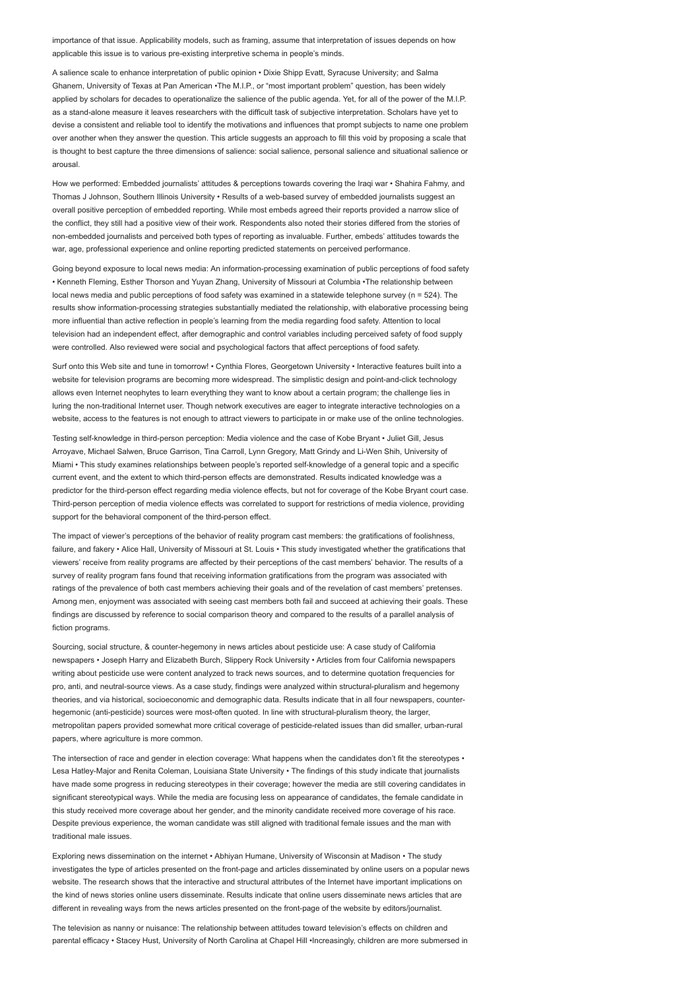importance of that issue. Applicability models, such as framing, assume that interpretation of issues depends on how applicable this issue is to various pre-existing interpretive schema in people's minds.

A salience scale to enhance interpretation of public opinion • Dixie Shipp Evatt, Syracuse University; and Salma Ghanem, University of Texas at Pan American •The M.I.P., or "most important problem" question, has been widely applied by scholars for decades to operationalize the salience of the public agenda. Yet, for all of the power of the M.I.P. as a stand-alone measure it leaves researchers with the difficult task of subjective interpretation. Scholars have yet to devise a consistent and reliable tool to identify the motivations and influences that prompt subjects to name one problem over another when they answer the question. This article suggests an approach to fill this void by proposing a scale that is thought to best capture the three dimensions of salience: social salience, personal salience and situational salience or arousal.

How we performed: Embedded journalists' attitudes & perceptions towards covering the Iraqi war • Shahira Fahmy, and Thomas J Johnson, Southern Illinois University • Results of a web-based survey of embedded journalists suggest an overall positive perception of embedded reporting. While most embeds agreed their reports provided a narrow slice of the conflict, they still had a positive view of their work. Respondents also noted their stories differed from the stories of non-embedded journalists and perceived both types of reporting as invaluable. Further, embeds' attitudes towards the war, age, professional experience and online reporting predicted statements on perceived performance.

Going beyond exposure to local news media: An information-processing examination of public perceptions of food safety • Kenneth Fleming, Esther Thorson and Yuyan Zhang, University of Missouri at Columbia •The relationship between local news media and public perceptions of food safety was examined in a statewide telephone survey (n = 524). The results show information-processing strategies substantially mediated the relationship, with elaborative processing being more influential than active reflection in people's learning from the media regarding food safety. Attention to local television had an independent effect, after demographic and control variables including perceived safety of food supply were controlled. Also reviewed were social and psychological factors that affect perceptions of food safety.

Surf onto this Web site and tune in tomorrow! • Cynthia Flores, Georgetown University • Interactive features built into a website for television programs are becoming more widespread. The simplistic design and point-and-click technology allows even Internet neophytes to learn everything they want to know about a certain program; the challenge lies in luring the non-traditional Internet user. Though network executives are eager to integrate interactive technologies on a website, access to the features is not enough to attract viewers to participate in or make use of the online technologies.

Testing self-knowledge in third-person perception: Media violence and the case of Kobe Bryant • Juliet Gill, Jesus Arroyave, Michael Salwen, Bruce Garrison, Tina Carroll, Lynn Gregory, Matt Grindy and Li-Wen Shih, University of Miami • This study examines relationships between people's reported self-knowledge of a general topic and a specific current event, and the extent to which third-person effects are demonstrated. Results indicated knowledge was a predictor for the third-person effect regarding media violence effects, but not for coverage of the Kobe Bryant court case. Third-person perception of media violence effects was correlated to support for restrictions of media violence, providing support for the behavioral component of the third-person effect.

The impact of viewer's perceptions of the behavior of reality program cast members: the gratifications of foolishness, failure, and fakery • Alice Hall, University of Missouri at St. Louis • This study investigated whether the gratifications that viewers' receive from reality programs are affected by their perceptions of the cast members' behavior. The results of a survey of reality program fans found that receiving information gratifications from the program was associated with ratings of the prevalence of both cast members achieving their goals and of the revelation of cast members' pretenses. Among men, enjoyment was associated with seeing cast members both fail and succeed at achieving their goals. These findings are discussed by reference to social comparison theory and compared to the results of a parallel analysis of fiction programs.

Sourcing, social structure, & counter-hegemony in news articles about pesticide use: A case study of California newspapers • Joseph Harry and Elizabeth Burch, Slippery Rock University • Articles from four California newspapers writing about pesticide use were content analyzed to track news sources, and to determine quotation frequencies for pro, anti, and neutral-source views. As a case study, findings were analyzed within structural-pluralism and hegemony theories, and via historical, socioeconomic and demographic data. Results indicate that in all four newspapers, counterhegemonic (anti-pesticide) sources were most-often quoted. In line with structural-pluralism theory, the larger, metropolitan papers provided somewhat more critical coverage of pesticide-related issues than did smaller, urban-rural papers, where agriculture is more common.

The intersection of race and gender in election coverage: What happens when the candidates don't fit the stereotypes • Lesa Hatley-Major and Renita Coleman, Louisiana State University • The findings of this study indicate that journalists have made some progress in reducing stereotypes in their coverage; however the media are still covering candidates in significant stereotypical ways. While the media are focusing less on appearance of candidates, the female candidate in this study received more coverage about her gender, and the minority candidate received more coverage of his race. Despite previous experience, the woman candidate was still aligned with traditional female issues and the man with traditional male issues.

Exploring news dissemination on the internet • Abhiyan Humane, University of Wisconsin at Madison • The study investigates the type of articles presented on the front-page and articles disseminated by online users on a popular news website. The research shows that the interactive and structural attributes of the Internet have important implications on the kind of news stories online users disseminate. Results indicate that online users disseminate news articles that are different in revealing ways from the news articles presented on the front-page of the website by editors/journalist.

The television as nanny or nuisance: The relationship between attitudes toward television's effects on children and parental efficacy • Stacey Hust, University of North Carolina at Chapel Hill •Increasingly, children are more submersed in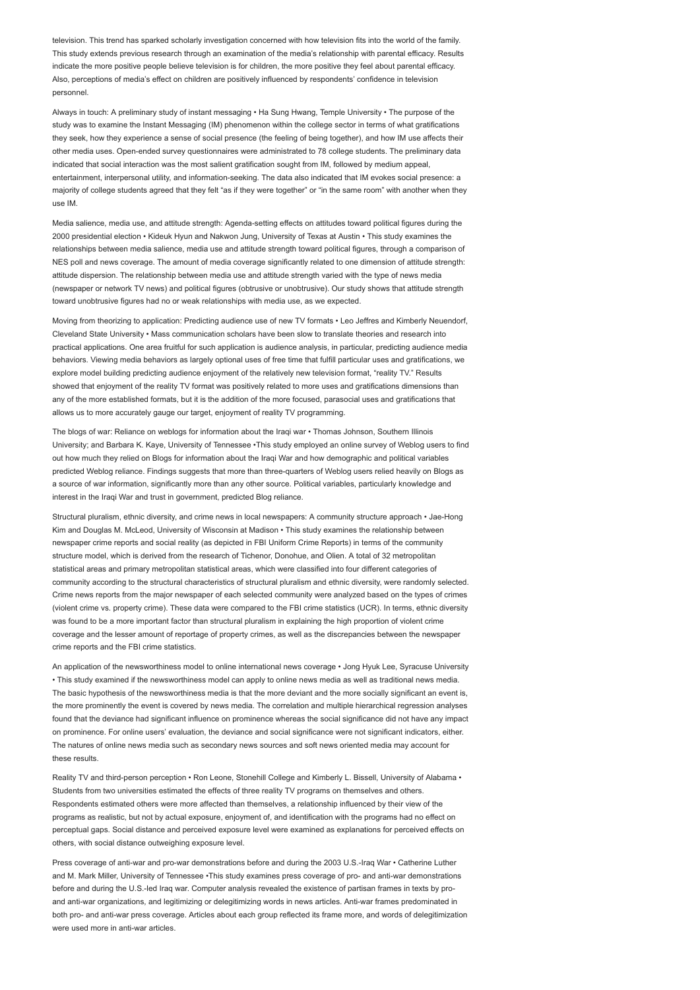television. This trend has sparked scholarly investigation concerned with how television fits into the world of the family. This study extends previous research through an examination of the media's relationship with parental efficacy. Results indicate the more positive people believe television is for children, the more positive they feel about parental efficacy. Also, perceptions of media's effect on children are positively influenced by respondents' confidence in television personnel.

Always in touch: A preliminary study of instant messaging • Ha Sung Hwang, Temple University • The purpose of the study was to examine the Instant Messaging (IM) phenomenon within the college sector in terms of what gratifications they seek, how they experience a sense of social presence (the feeling of being together), and how IM use affects their other media uses. Open-ended survey questionnaires were administrated to 78 college students. The preliminary data indicated that social interaction was the most salient gratification sought from IM, followed by medium appeal entertainment, interpersonal utility, and information-seeking. The data also indicated that IM evokes social presence: a majority of college students agreed that they felt "as if they were together" or "in the same room" with another when they use IM.

Media salience, media use, and attitude strength: Agenda-setting effects on attitudes toward political figures during the 2000 presidential election • Kideuk Hyun and Nakwon Jung, University of Texas at Austin • This study examines the relationships between media salience, media use and attitude strength toward political figures, through a comparison of NES poll and news coverage. The amount of media coverage significantly related to one dimension of attitude strength: attitude dispersion. The relationship between media use and attitude strength varied with the type of news media (newspaper or network TV news) and political figures (obtrusive or unobtrusive). Our study shows that attitude strength toward unobtrusive figures had no or weak relationships with media use, as we expected.

Moving from theorizing to application: Predicting audience use of new TV formats • Leo Jeffres and Kimberly Neuendorf, Cleveland State University • Mass communication scholars have been slow to translate theories and research into practical applications. One area fruitful for such application is audience analysis, in particular, predicting audience media behaviors. Viewing media behaviors as largely optional uses of free time that fulfill particular uses and gratifications, we explore model building predicting audience enjoyment of the relatively new television format, "reality TV." Results showed that enjoyment of the reality TV format was positively related to more uses and gratifications dimensions than any of the more established formats, but it is the addition of the more focused, parasocial uses and gratifications that allows us to more accurately gauge our target, enjoyment of reality TV programming.

The blogs of war: Reliance on weblogs for information about the Iraqi war • Thomas Johnson, Southern Illinois University; and Barbara K. Kaye, University of Tennessee •This study employed an online survey of Weblog users to find out how much they relied on Blogs for information about the Iraqi War and how demographic and political variables predicted Weblog reliance. Findings suggests that more than three-quarters of Weblog users relied heavily on Blogs as a source of war information, significantly more than any other source. Political variables, particularly knowledge and interest in the Iraqi War and trust in government, predicted Blog reliance.

Structural pluralism, ethnic diversity, and crime news in local newspapers: A community structure approach • Jae-Hong Kim and Douglas M. McLeod, University of Wisconsin at Madison • This study examines the relationship between newspaper crime reports and social reality (as depicted in FBI Uniform Crime Reports) in terms of the community structure model, which is derived from the research of Tichenor, Donohue, and Olien. A total of 32 metropolitan statistical areas and primary metropolitan statistical areas, which were classified into four different categories of community according to the structural characteristics of structural pluralism and ethnic diversity, were randomly selected. Crime news reports from the major newspaper of each selected community were analyzed based on the types of crimes (violent crime vs. property crime). These data were compared to the FBI crime statistics (UCR). In terms, ethnic diversity was found to be a more important factor than structural pluralism in explaining the high proportion of violent crime coverage and the lesser amount of reportage of property crimes, as well as the discrepancies between the newspaper crime reports and the FBI crime statistics.

An application of the newsworthiness model to online international news coverage • Jong Hyuk Lee, Syracuse University • This study examined if the newsworthiness model can apply to online news media as well as traditional news media. The basic hypothesis of the newsworthiness media is that the more deviant and the more socially significant an event is, the more prominently the event is covered by news media. The correlation and multiple hierarchical regression analyses found that the deviance had significant influence on prominence whereas the social significance did not have any impact on prominence. For online users' evaluation, the deviance and social significance were not significant indicators, either. The natures of online news media such as secondary news sources and soft news oriented media may account for these results.

Reality TV and third-person perception • Ron Leone, Stonehill College and Kimberly L. Bissell, University of Alabama • Students from two universities estimated the effects of three reality TV programs on themselves and others. Respondents estimated others were more affected than themselves, a relationship influenced by their view of the programs as realistic, but not by actual exposure, enjoyment of, and identification with the programs had no effect on perceptual gaps. Social distance and perceived exposure level were examined as explanations for perceived effects on others, with social distance outweighing exposure level.

Press coverage of anti-war and pro-war demonstrations before and during the 2003 U.S.-Iraq War • Catherine Luther and M. Mark Miller, University of Tennessee •This study examines press coverage of pro- and anti-war demonstrations before and during the U.S.-led Iraq war. Computer analysis revealed the existence of partisan frames in texts by proand anti-war organizations, and legitimizing or delegitimizing words in news articles. Anti-war frames predominated in both pro- and anti-war press coverage. Articles about each group reflected its frame more, and words of delegitimization were used more in anti-war articles.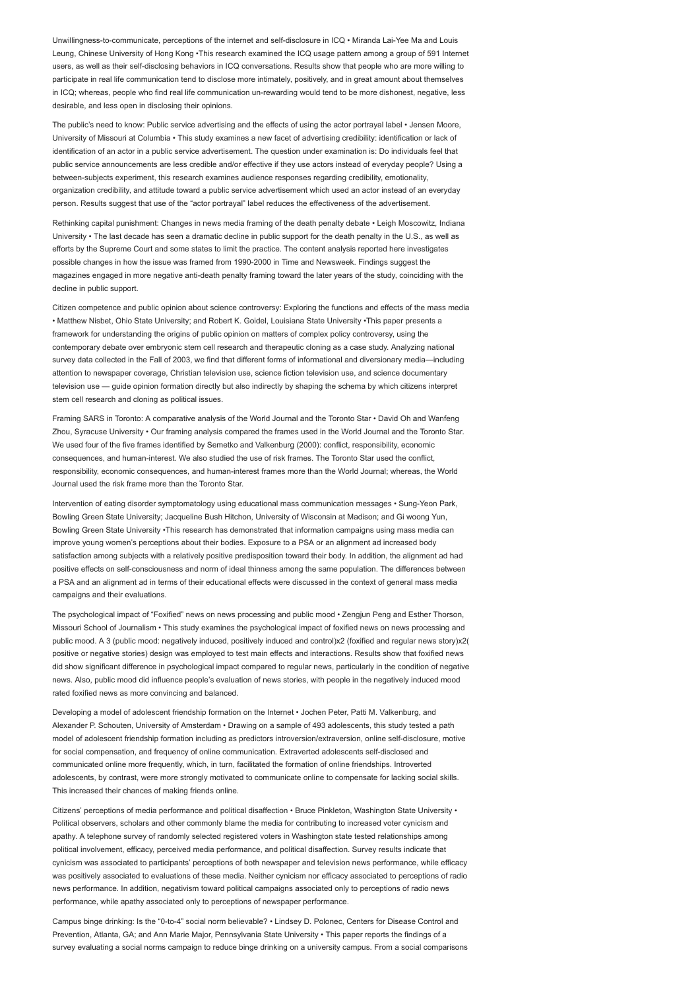Unwillingness-to-communicate, perceptions of the internet and self-disclosure in ICQ • Miranda Lai-Yee Ma and Louis Leung, Chinese University of Hong Kong •This research examined the ICQ usage pattern among a group of 591 Internet users, as well as their self-disclosing behaviors in ICQ conversations. Results show that people who are more willing to participate in real life communication tend to disclose more intimately, positively, and in great amount about themselves in ICQ; whereas, people who find real life communication un-rewarding would tend to be more dishonest, negative, less desirable, and less open in disclosing their opinions.

The public's need to know: Public service advertising and the effects of using the actor portrayal label • Jensen Moore, University of Missouri at Columbia • This study examines a new facet of advertising credibility: identification or lack of identification of an actor in a public service advertisement. The question under examination is: Do individuals feel that public service announcements are less credible and/or effective if they use actors instead of everyday people? Using a between-subjects experiment, this research examines audience responses regarding credibility, emotionality, organization credibility, and attitude toward a public service advertisement which used an actor instead of an everyday person. Results suggest that use of the "actor portrayal" label reduces the effectiveness of the advertisement.

Rethinking capital punishment: Changes in news media framing of the death penalty debate • Leigh Moscowitz, Indiana University • The last decade has seen a dramatic decline in public support for the death penalty in the U.S., as well as efforts by the Supreme Court and some states to limit the practice. The content analysis reported here investigates possible changes in how the issue was framed from 1990-2000 in Time and Newsweek. Findings suggest the magazines engaged in more negative anti-death penalty framing toward the later years of the study, coinciding with the decline in public support.

Citizen competence and public opinion about science controversy: Exploring the functions and effects of the mass media • Matthew Nisbet, Ohio State University; and Robert K. Goidel, Louisiana State University •This paper presents a framework for understanding the origins of public opinion on matters of complex policy controversy, using the contemporary debate over embryonic stem cell research and therapeutic cloning as a case study. Analyzing national survey data collected in the Fall of 2003, we find that different forms of informational and diversionary media—including attention to newspaper coverage, Christian television use, science fiction television use, and science documentary television use — guide opinion formation directly but also indirectly by shaping the schema by which citizens interpret stem cell research and cloning as political issues.

Framing SARS in Toronto: A comparative analysis of the World Journal and the Toronto Star • David Oh and Wanfeng Zhou, Syracuse University • Our framing analysis compared the frames used in the World Journal and the Toronto Star. We used four of the five frames identified by Semetko and Valkenburg (2000): conflict, responsibility, economic consequences, and human-interest. We also studied the use of risk frames. The Toronto Star used the conflict, responsibility, economic consequences, and human-interest frames more than the World Journal; whereas, the World Journal used the risk frame more than the Toronto Star.

Intervention of eating disorder symptomatology using educational mass communication messages • Sung-Yeon Park, Bowling Green State University; Jacqueline Bush Hitchon, University of Wisconsin at Madison; and Gi woong Yun, Bowling Green State University •This research has demonstrated that information campaigns using mass media can improve young women's perceptions about their bodies. Exposure to a PSA or an alignment ad increased body satisfaction among subjects with a relatively positive predisposition toward their body. In addition, the alignment ad had positive effects on self-consciousness and norm of ideal thinness among the same population. The differences between a PSA and an alignment ad in terms of their educational effects were discussed in the context of general mass media campaigns and their evaluations.

The psychological impact of "Foxified" news on news processing and public mood • Zengjun Peng and Esther Thorson, Missouri School of Journalism • This study examines the psychological impact of foxified news on news processing and public mood. A 3 (public mood: negatively induced, positively induced and control)x2 (foxified and regular news story)x2( positive or negative stories) design was employed to test main effects and interactions. Results show that foxified news did show significant difference in psychological impact compared to regular news, particularly in the condition of negative news. Also, public mood did influence people's evaluation of news stories, with people in the negatively induced mood rated foxified news as more convincing and balanced.

Developing a model of adolescent friendship formation on the Internet • Jochen Peter, Patti M. Valkenburg, and Alexander P. Schouten, University of Amsterdam • Drawing on a sample of 493 adolescents, this study tested a path model of adolescent friendship formation including as predictors introversion/extraversion, online self-disclosure, motive for social compensation, and frequency of online communication. Extraverted adolescents self-disclosed and communicated online more frequently, which, in turn, facilitated the formation of online friendships. Introverted adolescents, by contrast, were more strongly motivated to communicate online to compensate for lacking social skills. This increased their chances of making friends online.

Citizens' perceptions of media performance and political disaffection • Bruce Pinkleton, Washington State University • Political observers, scholars and other commonly blame the media for contributing to increased voter cynicism and apathy. A telephone survey of randomly selected registered voters in Washington state tested relationships among political involvement, efficacy, perceived media performance, and political disaffection. Survey results indicate that cynicism was associated to participants' perceptions of both newspaper and television news performance, while efficacy was positively associated to evaluations of these media. Neither cynicism nor efficacy associated to perceptions of radio news performance. In addition, negativism toward political campaigns associated only to perceptions of radio news performance, while apathy associated only to perceptions of newspaper performance.

Campus binge drinking: Is the "0-to-4" social norm believable? • Lindsey D. Polonec, Centers for Disease Control and Prevention, Atlanta, GA; and Ann Marie Major, Pennsylvania State University • This paper reports the findings of a survey evaluating a social norms campaign to reduce binge drinking on a university campus. From a social comparisons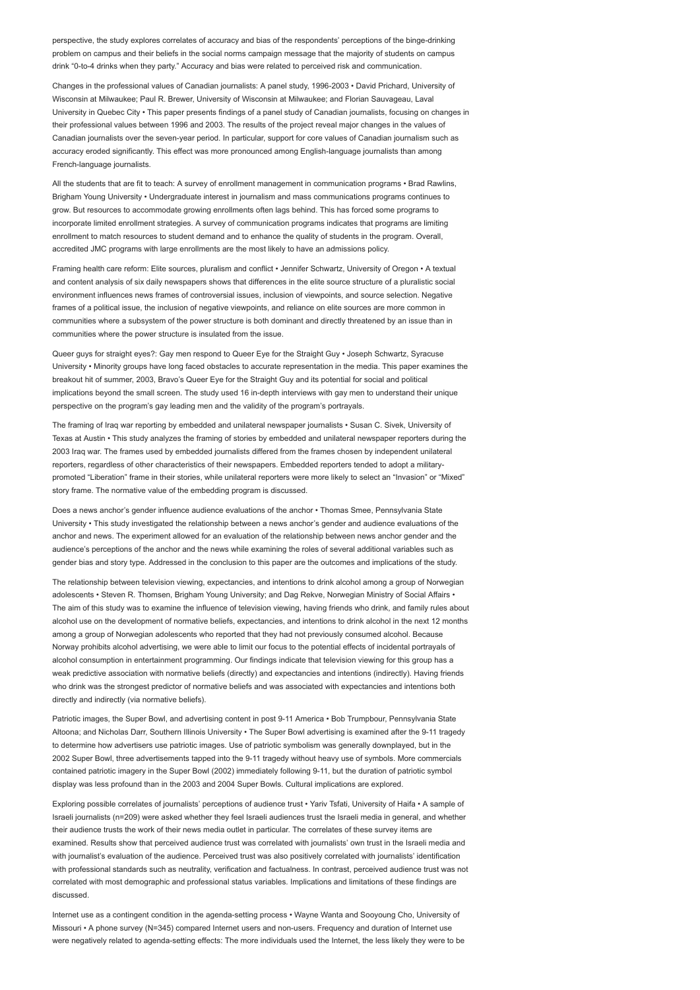perspective, the study explores correlates of accuracy and bias of the respondents' perceptions of the binge-drinking problem on campus and their beliefs in the social norms campaign message that the majority of students on campus drink "0-to-4 drinks when they party." Accuracy and bias were related to perceived risk and communication.

Changes in the professional values of Canadian journalists: A panel study, 1996-2003 • David Prichard, University of Wisconsin at Milwaukee; Paul R. Brewer, University of Wisconsin at Milwaukee; and Florian Sauvageau, Laval University in Quebec City • This paper presents findings of a panel study of Canadian journalists, focusing on changes in their professional values between 1996 and 2003. The results of the project reveal major changes in the values of Canadian journalists over the seven-year period. In particular, support for core values of Canadian journalism such as accuracy eroded significantly. This effect was more pronounced among English-language journalists than among French-language journalists.

All the students that are fit to teach: A survey of enrollment management in communication programs • Brad Rawlins, Brigham Young University • Undergraduate interest in journalism and mass communications programs continues to grow. But resources to accommodate growing enrollments often lags behind. This has forced some programs to incorporate limited enrollment strategies. A survey of communication programs indicates that programs are limiting enrollment to match resources to student demand and to enhance the quality of students in the program. Overall, accredited JMC programs with large enrollments are the most likely to have an admissions policy.

Framing health care reform: Elite sources, pluralism and conflict • Jennifer Schwartz, University of Oregon • A textual and content analysis of six daily newspapers shows that differences in the elite source structure of a pluralistic social environment influences news frames of controversial issues, inclusion of viewpoints, and source selection. Negative frames of a political issue, the inclusion of negative viewpoints, and reliance on elite sources are more common in communities where a subsystem of the power structure is both dominant and directly threatened by an issue than in communities where the power structure is insulated from the issue.

Queer guys for straight eyes?: Gay men respond to Queer Eye for the Straight Guy • Joseph Schwartz, Syracuse University • Minority groups have long faced obstacles to accurate representation in the media. This paper examines the breakout hit of summer, 2003, Bravo's Queer Eye for the Straight Guy and its potential for social and political implications beyond the small screen. The study used 16 in-depth interviews with gay men to understand their unique perspective on the program's gay leading men and the validity of the program's portrayals.

The framing of Iraq war reporting by embedded and unilateral newspaper journalists • Susan C. Sivek, University of Texas at Austin • This study analyzes the framing of stories by embedded and unilateral newspaper reporters during the 2003 Iraq war. The frames used by embedded journalists differed from the frames chosen by independent unilateral reporters, regardless of other characteristics of their newspapers. Embedded reporters tended to adopt a militarypromoted "Liberation" frame in their stories, while unilateral reporters were more likely to select an "Invasion" or "Mixed" story frame. The normative value of the embedding program is discussed.

Does a news anchor's gender influence audience evaluations of the anchor • Thomas Smee, Pennsylvania State University • This study investigated the relationship between a news anchor's gender and audience evaluations of the anchor and news. The experiment allowed for an evaluation of the relationship between news anchor gender and the audience's perceptions of the anchor and the news while examining the roles of several additional variables such as gender bias and story type. Addressed in the conclusion to this paper are the outcomes and implications of the study.

The relationship between television viewing, expectancies, and intentions to drink alcohol among a group of Norwegian adolescents • Steven R. Thomsen, Brigham Young University; and Dag Rekve, Norwegian Ministry of Social Affairs • The aim of this study was to examine the influence of television viewing, having friends who drink, and family rules about alcohol use on the development of normative beliefs, expectancies, and intentions to drink alcohol in the next 12 months among a group of Norwegian adolescents who reported that they had not previously consumed alcohol. Because Norway prohibits alcohol advertising, we were able to limit our focus to the potential effects of incidental portrayals of alcohol consumption in entertainment programming. Our findings indicate that television viewing for this group has a weak predictive association with normative beliefs (directly) and expectancies and intentions (indirectly). Having friends who drink was the strongest predictor of normative beliefs and was associated with expectancies and intentions both directly and indirectly (via normative beliefs).

Patriotic images, the Super Bowl, and advertising content in post 9-11 America • Bob Trumpbour, Pennsylvania State Altoona; and Nicholas Darr, Southern Illinois University • The Super Bowl advertising is examined after the 9-11 tragedy to determine how advertisers use patriotic images. Use of patriotic symbolism was generally downplayed, but in the 2002 Super Bowl, three advertisements tapped into the 9-11 tragedy without heavy use of symbols. More commercials contained patriotic imagery in the Super Bowl (2002) immediately following 9-11, but the duration of patriotic symbol display was less profound than in the 2003 and 2004 Super Bowls. Cultural implications are explored.

Exploring possible correlates of journalists' perceptions of audience trust • Yariv Tsfati, University of Haifa • A sample of Israeli journalists (n=209) were asked whether they feel Israeli audiences trust the Israeli media in general, and whether their audience trusts the work of their news media outlet in particular. The correlates of these survey items are examined. Results show that perceived audience trust was correlated with journalists' own trust in the Israeli media and with journalist's evaluation of the audience. Perceived trust was also positively correlated with journalists' identification with professional standards such as neutrality, verification and factualness. In contrast, perceived audience trust was not correlated with most demographic and professional status variables. Implications and limitations of these findings are discussed.

Internet use as a contingent condition in the agenda-setting process • Wayne Wanta and Sooyoung Cho, University of Missouri • A phone survey (N=345) compared Internet users and non-users. Frequency and duration of Internet use were negatively related to agenda-setting effects: The more individuals used the Internet, the less likely they were to be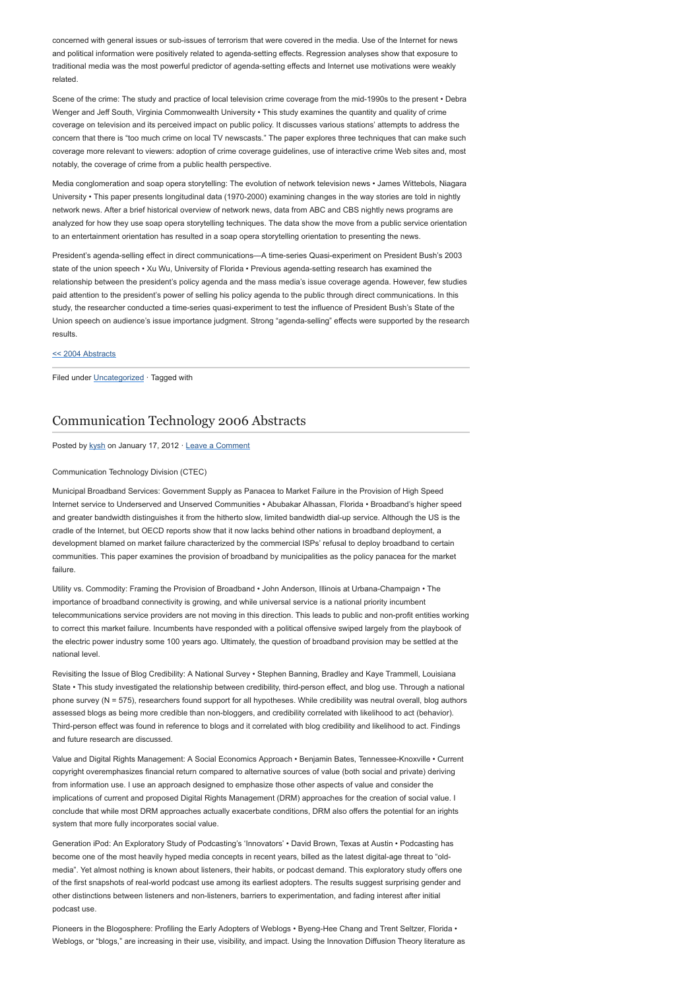concerned with general issues or sub-issues of terrorism that were covered in the media. Use of the Internet for news and political information were positively related to agenda-setting effects. Regression analyses show that exposure to traditional media was the most powerful predictor of agenda-setting effects and Internet use motivations were weakly related.

Scene of the crime: The study and practice of local television crime coverage from the mid-1990s to the present • Debra Wenger and Jeff South, Virginia Commonwealth University • This study examines the quantity and quality of crime coverage on television and its perceived impact on public policy. It discusses various stations' attempts to address the concern that there is "too much crime on local TV newscasts." The paper explores three techniques that can make such coverage more relevant to viewers: adoption of crime coverage guidelines, use of interactive crime Web sites and, most notably, the coverage of crime from a public health perspective.

Media conglomeration and soap opera storytelling: The evolution of network television news • James Wittebols, Niagara University • This paper presents longitudinal data (1970-2000) examining changes in the way stories are told in nightly network news. After a brief historical overview of network news, data from ABC and CBS nightly news programs are analyzed for how they use soap opera storytelling techniques. The data show the move from a public service orientation to an entertainment orientation has resulted in a soap opera storytelling orientation to presenting the news.

President's agenda-selling effect in direct communications—A time-series Quasi-experiment on President Bush's 2003 state of the union speech • Xu Wu, University of Florida • Previous agenda-setting research has examined the relationship between the president's policy agenda and the mass media's issue coverage agenda. However, few studies paid attention to the president's power of selling his policy agenda to the public through direct communications. In this study, the researcher conducted a time-series quasi-experiment to test the influence of President Bush's State of the Union speech on audience's issue importance judgment. Strong "agenda-selling" effects were supported by the research results.

### [<< 2004 Abstracts](http://www.aejmc.com/home/2011/03/2004-abstracts/)

Filed under [Uncategorized](http://www.aejmc.org/home/category/uncategorized/) · Tagged with

### [Communication Technology 2006 Abstracts](http://www.aejmc.org/home/2012/01/ctec-2006-abstracts/)

Posted by [kysh](http://www.aejmc.org/home/author/kyshiab/) on January 17, 2012 · [Leave a Comment](http://www.aejmc.org/home/2012/01/ctec-2006-abstracts/#respond)

#### Communication Technology Division (CTEC)

Municipal Broadband Services: Government Supply as Panacea to Market Failure in the Provision of High Speed Internet service to Underserved and Unserved Communities • Abubakar Alhassan, Florida • Broadband's higher speed and greater bandwidth distinguishes it from the hitherto slow, limited bandwidth dial-up service. Although the US is the cradle of the Internet, but OECD reports show that it now lacks behind other nations in broadband deployment, a development blamed on market failure characterized by the commercial ISPs' refusal to deploy broadband to certain communities. This paper examines the provision of broadband by municipalities as the policy panacea for the market failure.

Utility vs. Commodity: Framing the Provision of Broadband • John Anderson, Illinois at Urbana-Champaign • The importance of broadband connectivity is growing, and while universal service is a national priority incumbent telecommunications service providers are not moving in this direction. This leads to public and non-profit entities working to correct this market failure. Incumbents have responded with a political offensive swiped largely from the playbook of the electric power industry some 100 years ago. Ultimately, the question of broadband provision may be settled at the national level.

Revisiting the Issue of Blog Credibility: A National Survey • Stephen Banning, Bradley and Kaye Trammell, Louisiana State • This study investigated the relationship between credibility, third-person effect, and blog use. Through a national phone survey (N = 575), researchers found support for all hypotheses. While credibility was neutral overall, blog authors assessed blogs as being more credible than non-bloggers, and credibility correlated with likelihood to act (behavior). Third-person effect was found in reference to blogs and it correlated with blog credibility and likelihood to act. Findings and future research are discussed.

Value and Digital Rights Management: A Social Economics Approach • Benjamin Bates, Tennessee-Knoxville • Current copyright overemphasizes financial return compared to alternative sources of value (both social and private) deriving from information use. I use an approach designed to emphasize those other aspects of value and consider the implications of current and proposed Digital Rights Management (DRM) approaches for the creation of social value. I conclude that while most DRM approaches actually exacerbate conditions, DRM also offers the potential for an irights system that more fully incorporates social value.

Generation iPod: An Exploratory Study of Podcasting's 'Innovators' • David Brown, Texas at Austin • Podcasting has become one of the most heavily hyped media concepts in recent years, billed as the latest digital-age threat to "oldmedia". Yet almost nothing is known about listeners, their habits, or podcast demand. This exploratory study offers one of the first snapshots of real-world podcast use among its earliest adopters. The results suggest surprising gender and other distinctions between listeners and non-listeners, barriers to experimentation, and fading interest after initial podcast use.

Pioneers in the Blogosphere: Profiling the Early Adopters of Weblogs • Byeng-Hee Chang and Trent Seltzer, Florida • Weblogs, or "blogs," are increasing in their use, visibility, and impact. Using the Innovation Diffusion Theory literature as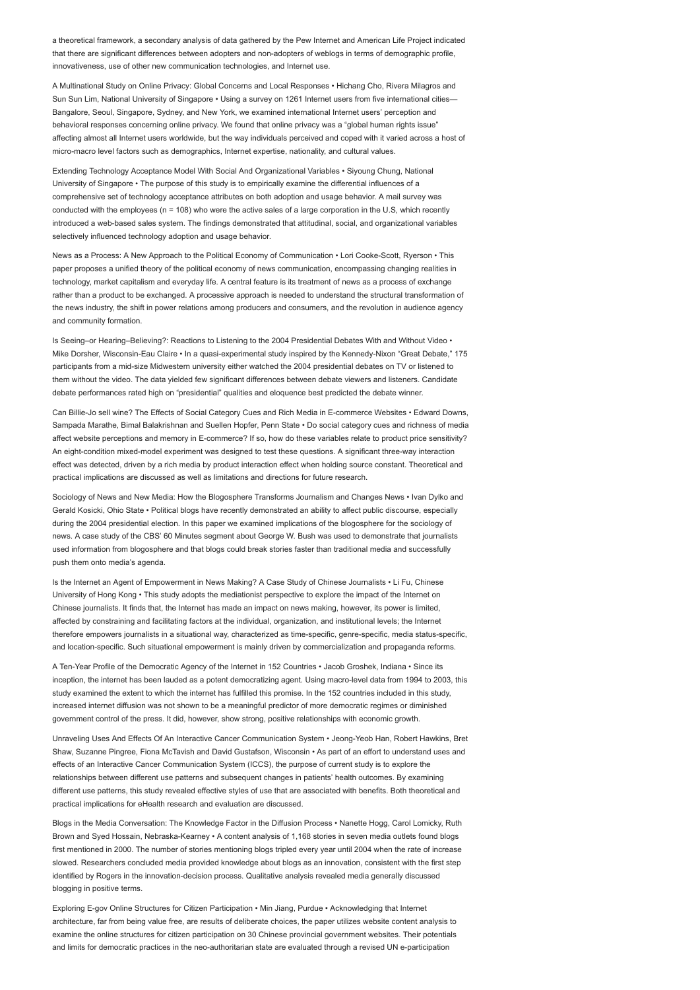a theoretical framework, a secondary analysis of data gathered by the Pew Internet and American Life Project indicated that there are significant differences between adopters and non-adopters of weblogs in terms of demographic profile, innovativeness, use of other new communication technologies, and Internet use.

A Multinational Study on Online Privacy: Global Concerns and Local Responses • Hichang Cho, Rivera Milagros and Sun Sun Lim, National University of Singapore • Using a survey on 1261 Internet users from five international cities-Bangalore, Seoul, Singapore, Sydney, and New York, we examined international Internet users' perception and behavioral responses concerning online privacy. We found that online privacy was a "global human rights issue" affecting almost all Internet users worldwide, but the way individuals perceived and coped with it varied across a host of micro-macro level factors such as demographics, Internet expertise, nationality, and cultural values.

Extending Technology Acceptance Model With Social And Organizational Variables • Siyoung Chung, National University of Singapore • The purpose of this study is to empirically examine the differential influences of a comprehensive set of technology acceptance attributes on both adoption and usage behavior. A mail survey was conducted with the employees (n = 108) who were the active sales of a large corporation in the U.S, which recently introduced a web-based sales system. The findings demonstrated that attitudinal, social, and organizational variables selectively influenced technology adoption and usage behavior.

News as a Process: A New Approach to the Political Economy of Communication • Lori Cooke-Scott, Ryerson • This paper proposes a unified theory of the political economy of news communication, encompassing changing realities in technology, market capitalism and everyday life. A central feature is its treatment of news as a process of exchange rather than a product to be exchanged. A processive approach is needed to understand the structural transformation of the news industry, the shift in power relations among producers and consumers, and the revolution in audience agency and community formation.

Is Seeing–or Hearing–Believing?: Reactions to Listening to the 2004 Presidential Debates With and Without Video • Mike Dorsher, Wisconsin-Eau Claire • In a quasi-experimental study inspired by the Kennedy-Nixon "Great Debate," 175 participants from a mid-size Midwestern university either watched the 2004 presidential debates on TV or listened to them without the video. The data yielded few significant differences between debate viewers and listeners. Candidate debate performances rated high on "presidential" qualities and eloquence best predicted the debate winner.

Can Billie-Jo sell wine? The Effects of Social Category Cues and Rich Media in E-commerce Websites • Edward Downs, Sampada Marathe, Bimal Balakrishnan and Suellen Hopfer, Penn State • Do social category cues and richness of media affect website perceptions and memory in E-commerce? If so, how do these variables relate to product price sensitivity? An eight-condition mixed-model experiment was designed to test these questions. A significant three-way interaction effect was detected, driven by a rich media by product interaction effect when holding source constant. Theoretical and practical implications are discussed as well as limitations and directions for future research.

Sociology of News and New Media: How the Blogosphere Transforms Journalism and Changes News • Ivan Dylko and Gerald Kosicki, Ohio State • Political blogs have recently demonstrated an ability to affect public discourse, especially during the 2004 presidential election. In this paper we examined implications of the blogosphere for the sociology of news. A case study of the CBS' 60 Minutes segment about George W. Bush was used to demonstrate that journalists used information from blogosphere and that blogs could break stories faster than traditional media and successfully push them onto media's agenda.

Is the Internet an Agent of Empowerment in News Making? A Case Study of Chinese Journalists • Li Fu, Chinese University of Hong Kong • This study adopts the mediationist perspective to explore the impact of the Internet on Chinese journalists. It finds that, the Internet has made an impact on news making, however, its power is limited, affected by constraining and facilitating factors at the individual, organization, and institutional levels; the Internet therefore empowers journalists in a situational way, characterized as time-specific, genre-specific, media status-specific, and location-specific. Such situational empowerment is mainly driven by commercialization and propaganda reforms.

A Ten-Year Profile of the Democratic Agency of the Internet in 152 Countries • Jacob Groshek, Indiana • Since its inception, the internet has been lauded as a potent democratizing agent. Using macro-level data from 1994 to 2003, this study examined the extent to which the internet has fulfilled this promise. In the 152 countries included in this study, increased internet diffusion was not shown to be a meaningful predictor of more democratic regimes or diminished government control of the press. It did, however, show strong, positive relationships with economic growth.

Unraveling Uses And Effects Of An Interactive Cancer Communication System • Jeong-Yeob Han, Robert Hawkins, Bret Shaw, Suzanne Pingree, Fiona McTavish and David Gustafson, Wisconsin • As part of an effort to understand uses and effects of an Interactive Cancer Communication System (ICCS), the purpose of current study is to explore the relationships between different use patterns and subsequent changes in patients' health outcomes. By examining different use patterns, this study revealed effective styles of use that are associated with benefits. Both theoretical and practical implications for eHealth research and evaluation are discussed.

Blogs in the Media Conversation: The Knowledge Factor in the Diffusion Process • Nanette Hogg, Carol Lomicky, Ruth Brown and Syed Hossain, Nebraska-Kearney • A content analysis of 1,168 stories in seven media outlets found blogs first mentioned in 2000. The number of stories mentioning blogs tripled every year until 2004 when the rate of increase slowed. Researchers concluded media provided knowledge about blogs as an innovation, consistent with the first step identified by Rogers in the innovation-decision process. Qualitative analysis revealed media generally discussed blogging in positive terms.

Exploring E-gov Online Structures for Citizen Participation • Min Jiang, Purdue • Acknowledging that Internet architecture, far from being value free, are results of deliberate choices, the paper utilizes website content analysis to examine the online structures for citizen participation on 30 Chinese provincial government websites. Their potentials and limits for democratic practices in the neo-authoritarian state are evaluated through a revised UN e-participation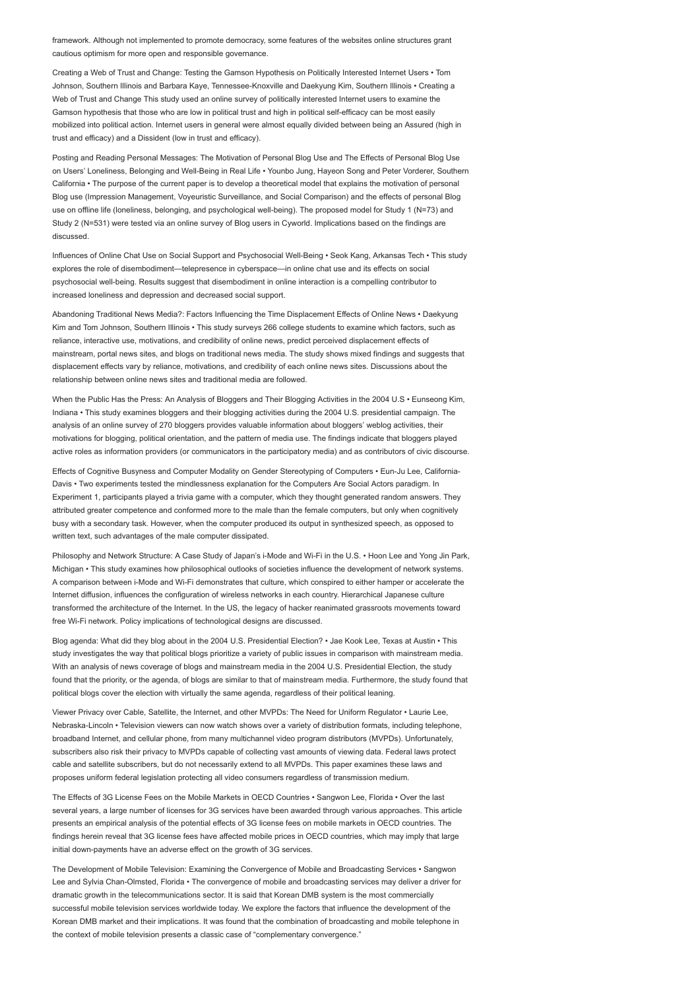framework. Although not implemented to promote democracy, some features of the websites online structures grant cautious optimism for more open and responsible governance.

Creating a Web of Trust and Change: Testing the Gamson Hypothesis on Politically Interested Internet Users • Tom Johnson, Southern Illinois and Barbara Kaye, Tennessee-Knoxville and Daekyung Kim, Southern Illinois • Creating a Web of Trust and Change This study used an online survey of politically interested Internet users to examine the Gamson hypothesis that those who are low in political trust and high in political self-efficacy can be most easily mobilized into political action. Internet users in general were almost equally divided between being an Assured (high in trust and efficacy) and a Dissident (low in trust and efficacy).

Posting and Reading Personal Messages: The Motivation of Personal Blog Use and The Effects of Personal Blog Use on Users' Loneliness, Belonging and Well-Being in Real Life • Younbo Jung, Hayeon Song and Peter Vorderer, Southern California • The purpose of the current paper is to develop a theoretical model that explains the motivation of personal Blog use (Impression Management, Voyeuristic Surveillance, and Social Comparison) and the effects of personal Blog use on offline life (loneliness, belonging, and psychological well-being). The proposed model for Study 1 (N=73) and Study 2 (N=531) were tested via an online survey of Blog users in Cyworld. Implications based on the findings are discussed.

Influences of Online Chat Use on Social Support and Psychosocial Well-Being • Seok Kang, Arkansas Tech • This study explores the role of disembodiment—telepresence in cyberspace—in online chat use and its effects on social psychosocial well-being. Results suggest that disembodiment in online interaction is a compelling contributor to increased loneliness and depression and decreased social support.

Abandoning Traditional News Media?: Factors Influencing the Time Displacement Effects of Online News • Daekyung Kim and Tom Johnson, Southern Illinois • This study surveys 266 college students to examine which factors, such as reliance, interactive use, motivations, and credibility of online news, predict perceived displacement effects of mainstream, portal news sites, and blogs on traditional news media. The study shows mixed findings and suggests that displacement effects vary by reliance, motivations, and credibility of each online news sites. Discussions about the relationship between online news sites and traditional media are followed.

When the Public Has the Press: An Analysis of Bloggers and Their Blogging Activities in the 2004 U.S • Eunseong Kim, Indiana • This study examines bloggers and their blogging activities during the 2004 U.S. presidential campaign. The analysis of an online survey of 270 bloggers provides valuable information about bloggers' weblog activities, their motivations for blogging, political orientation, and the pattern of media use. The findings indicate that bloggers played active roles as information providers (or communicators in the participatory media) and as contributors of civic discourse.

Effects of Cognitive Busyness and Computer Modality on Gender Stereotyping of Computers • Eun-Ju Lee, California-Davis • Two experiments tested the mindlessness explanation for the Computers Are Social Actors paradigm. In Experiment 1, participants played a trivia game with a computer, which they thought generated random answers. They attributed greater competence and conformed more to the male than the female computers, but only when cognitively busy with a secondary task. However, when the computer produced its output in synthesized speech, as opposed to written text, such advantages of the male computer dissipated.

Philosophy and Network Structure: A Case Study of Japan's i-Mode and Wi-Fi in the U.S. • Hoon Lee and Yong Jin Park, Michigan • This study examines how philosophical outlooks of societies influence the development of network systems. A comparison between i-Mode and Wi-Fi demonstrates that culture, which conspired to either hamper or accelerate the Internet diffusion, influences the configuration of wireless networks in each country. Hierarchical Japanese culture transformed the architecture of the Internet. In the US, the legacy of hacker reanimated grassroots movements toward free Wi-Fi network. Policy implications of technological designs are discussed.

Blog agenda: What did they blog about in the 2004 U.S. Presidential Election? • Jae Kook Lee, Texas at Austin • This study investigates the way that political blogs prioritize a variety of public issues in comparison with mainstream media. With an analysis of news coverage of blogs and mainstream media in the 2004 U.S. Presidential Election, the study found that the priority, or the agenda, of blogs are similar to that of mainstream media. Furthermore, the study found that political blogs cover the election with virtually the same agenda, regardless of their political leaning.

Viewer Privacy over Cable, Satellite, the Internet, and other MVPDs: The Need for Uniform Regulator • Laurie Lee, Nebraska-Lincoln • Television viewers can now watch shows over a variety of distribution formats, including telephone, broadband Internet, and cellular phone, from many multichannel video program distributors (MVPDs). Unfortunately, subscribers also risk their privacy to MVPDs capable of collecting vast amounts of viewing data. Federal laws protect cable and satellite subscribers, but do not necessarily extend to all MVPDs. This paper examines these laws and proposes uniform federal legislation protecting all video consumers regardless of transmission medium.

The Effects of 3G License Fees on the Mobile Markets in OECD Countries • Sangwon Lee, Florida • Over the last several years, a large number of licenses for 3G services have been awarded through various approaches. This article presents an empirical analysis of the potential effects of 3G license fees on mobile markets in OECD countries. The findings herein reveal that 3G license fees have affected mobile prices in OECD countries, which may imply that large initial down-payments have an adverse effect on the growth of 3G services.

The Development of Mobile Television: Examining the Convergence of Mobile and Broadcasting Services • Sangwon Lee and Sylvia Chan-Olmsted, Florida • The convergence of mobile and broadcasting services may deliver a driver for dramatic growth in the telecommunications sector. It is said that Korean DMB system is the most commercially successful mobile television services worldwide today. We explore the factors that influence the development of the Korean DMB market and their implications. It was found that the combination of broadcasting and mobile telephone in the context of mobile television presents a classic case of "complementary convergence."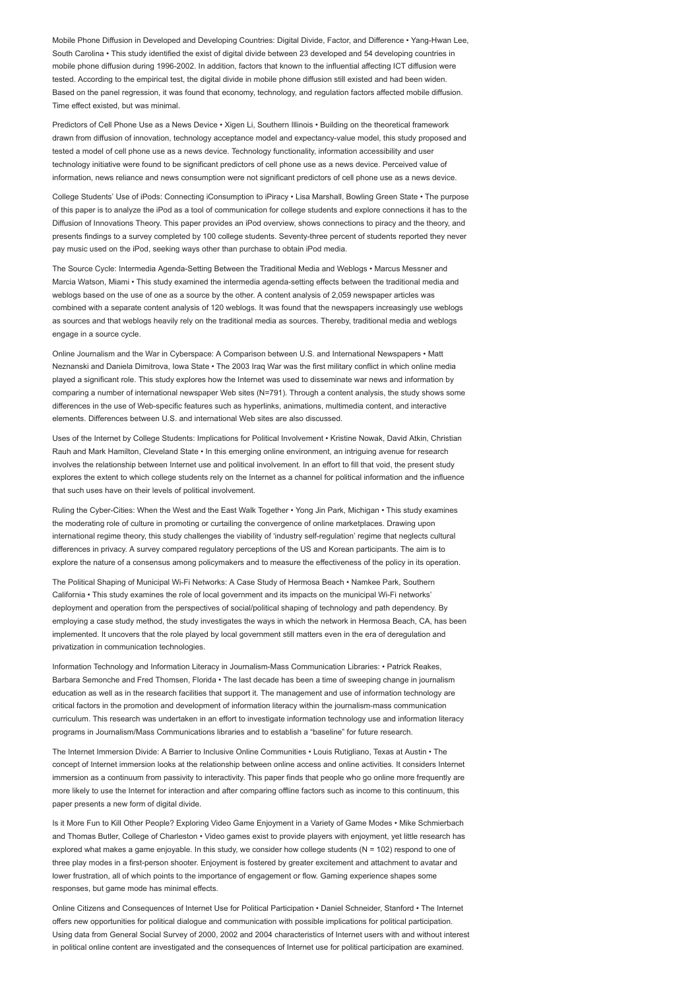Mobile Phone Diffusion in Developed and Developing Countries: Digital Divide, Factor, and Difference • Yang-Hwan Lee, South Carolina • This study identified the exist of digital divide between 23 developed and 54 developing countries in mobile phone diffusion during 1996-2002. In addition, factors that known to the influential affecting ICT diffusion were tested. According to the empirical test, the digital divide in mobile phone diffusion still existed and had been widen. Based on the panel regression, it was found that economy, technology, and regulation factors affected mobile diffusion. Time effect existed, but was minimal.

Predictors of Cell Phone Use as a News Device • Xigen Li, Southern Illinois • Building on the theoretical framework drawn from diffusion of innovation, technology acceptance model and expectancy-value model, this study proposed and tested a model of cell phone use as a news device. Technology functionality, information accessibility and user technology initiative were found to be significant predictors of cell phone use as a news device. Perceived value of information, news reliance and news consumption were not significant predictors of cell phone use as a news device.

College Students' Use of iPods: Connecting iConsumption to iPiracy • Lisa Marshall, Bowling Green State • The purpose of this paper is to analyze the iPod as a tool of communication for college students and explore connections it has to the Diffusion of Innovations Theory. This paper provides an iPod overview, shows connections to piracy and the theory, and presents findings to a survey completed by 100 college students. Seventy-three percent of students reported they never pay music used on the iPod, seeking ways other than purchase to obtain iPod media.

The Source Cycle: Intermedia Agenda-Setting Between the Traditional Media and Weblogs • Marcus Messner and Marcia Watson, Miami • This study examined the intermedia agenda-setting effects between the traditional media and weblogs based on the use of one as a source by the other. A content analysis of 2,059 newspaper articles was combined with a separate content analysis of 120 weblogs. It was found that the newspapers increasingly use weblogs as sources and that weblogs heavily rely on the traditional media as sources. Thereby, traditional media and weblogs engage in a source cycle.

Online Journalism and the War in Cyberspace: A Comparison between U.S. and International Newspapers • Matt Neznanski and Daniela Dimitrova, Iowa State • The 2003 Iraq War was the first military conflict in which online media played a significant role. This study explores how the Internet was used to disseminate war news and information by comparing a number of international newspaper Web sites (N=791). Through a content analysis, the study shows some differences in the use of Web-specific features such as hyperlinks, animations, multimedia content, and interactive elements. Differences between U.S. and international Web sites are also discussed.

Uses of the Internet by College Students: Implications for Political Involvement • Kristine Nowak, David Atkin, Christian Rauh and Mark Hamilton, Cleveland State • In this emerging online environment, an intriguing avenue for research involves the relationship between Internet use and political involvement. In an effort to fill that void, the present study explores the extent to which college students rely on the Internet as a channel for political information and the influence that such uses have on their levels of political involvement.

Ruling the Cyber-Cities: When the West and the East Walk Together • Yong Jin Park, Michigan • This study examines the moderating role of culture in promoting or curtailing the convergence of online marketplaces. Drawing upon international regime theory, this study challenges the viability of 'industry self-regulation' regime that neglects cultural differences in privacy. A survey compared regulatory perceptions of the US and Korean participants. The aim is to explore the nature of a consensus among policymakers and to measure the effectiveness of the policy in its operation.

The Political Shaping of Municipal Wi-Fi Networks: A Case Study of Hermosa Beach • Namkee Park, Southern California • This study examines the role of local government and its impacts on the municipal Wi-Fi networks' deployment and operation from the perspectives of social/political shaping of technology and path dependency. By employing a case study method, the study investigates the ways in which the network in Hermosa Beach, CA, has been implemented. It uncovers that the role played by local government still matters even in the era of deregulation and privatization in communication technologies.

Information Technology and Information Literacy in Journalism-Mass Communication Libraries: • Patrick Reakes, Barbara Semonche and Fred Thomsen, Florida • The last decade has been a time of sweeping change in journalism education as well as in the research facilities that support it. The management and use of information technology are critical factors in the promotion and development of information literacy within the journalism-mass communication curriculum. This research was undertaken in an effort to investigate information technology use and information literacy programs in Journalism/Mass Communications libraries and to establish a "baseline" for future research.

The Internet Immersion Divide: A Barrier to Inclusive Online Communities • Louis Rutigliano, Texas at Austin • The concept of Internet immersion looks at the relationship between online access and online activities. It considers Internet immersion as a continuum from passivity to interactivity. This paper finds that people who go online more frequently are more likely to use the Internet for interaction and after comparing offline factors such as income to this continuum, this paper presents a new form of digital divide.

Is it More Fun to Kill Other People? Exploring Video Game Enjoyment in a Variety of Game Modes • Mike Schmierbach and Thomas Butler, College of Charleston • Video games exist to provide players with enjoyment, yet little research has explored what makes a game enjoyable. In this study, we consider how college students (N = 102) respond to one of three play modes in a first-person shooter. Enjoyment is fostered by greater excitement and attachment to avatar and lower frustration, all of which points to the importance of engagement or flow. Gaming experience shapes some responses, but game mode has minimal effects.

Online Citizens and Consequences of Internet Use for Political Participation • Daniel Schneider, Stanford • The Internet offers new opportunities for political dialogue and communication with possible implications for political participation. Using data from General Social Survey of 2000, 2002 and 2004 characteristics of Internet users with and without interest in political online content are investigated and the consequences of Internet use for political participation are examined.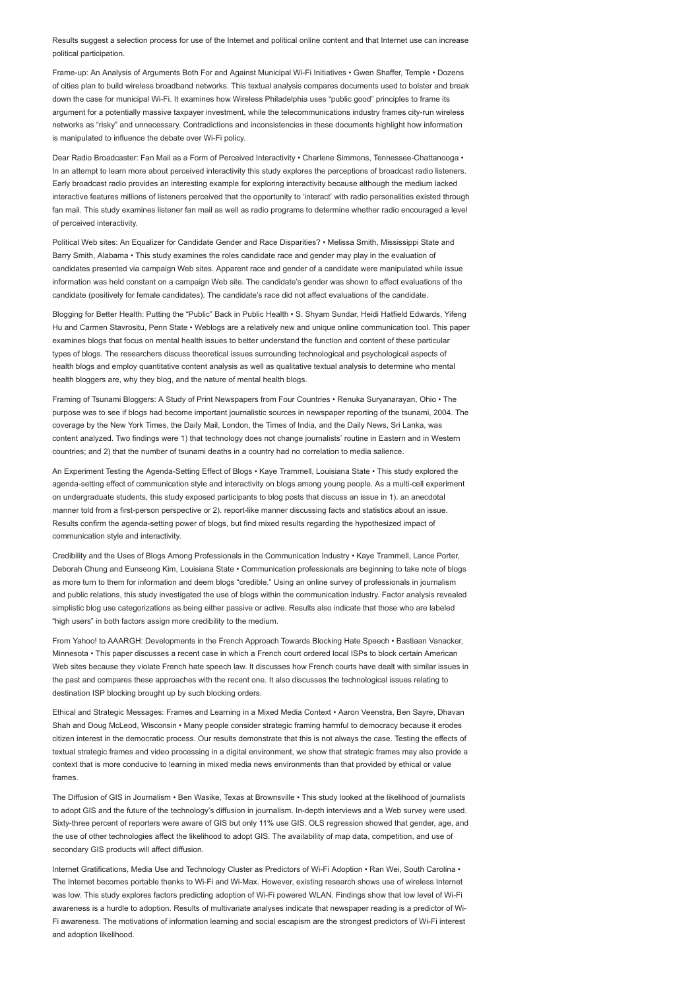Results suggest a selection process for use of the Internet and political online content and that Internet use can increase political participation.

Frame-up: An Analysis of Arguments Both For and Against Municipal Wi-Fi Initiatives • Gwen Shaffer, Temple • Dozens of cities plan to build wireless broadband networks. This textual analysis compares documents used to bolster and break down the case for municipal Wi-Fi. It examines how Wireless Philadelphia uses "public good" principles to frame its argument for a potentially massive taxpayer investment, while the telecommunications industry frames city-run wireless networks as "risky" and unnecessary. Contradictions and inconsistencies in these documents highlight how information is manipulated to influence the debate over Wi-Fi policy.

Dear Radio Broadcaster: Fan Mail as a Form of Perceived Interactivity • Charlene Simmons, Tennessee-Chattanooga • In an attempt to learn more about perceived interactivity this study explores the perceptions of broadcast radio listeners. Early broadcast radio provides an interesting example for exploring interactivity because although the medium lacked interactive features millions of listeners perceived that the opportunity to 'interact' with radio personalities existed through fan mail. This study examines listener fan mail as well as radio programs to determine whether radio encouraged a level of perceived interactivity.

Political Web sites: An Equalizer for Candidate Gender and Race Disparities? • Melissa Smith, Mississippi State and Barry Smith, Alabama • This study examines the roles candidate race and gender may play in the evaluation of candidates presented via campaign Web sites. Apparent race and gender of a candidate were manipulated while issue information was held constant on a campaign Web site. The candidate's gender was shown to affect evaluations of the candidate (positively for female candidates). The candidate's race did not affect evaluations of the candidate.

Blogging for Better Health: Putting the "Public" Back in Public Health • S. Shyam Sundar, Heidi Hatfield Edwards, Yifeng Hu and Carmen Stavrositu, Penn State • Weblogs are a relatively new and unique online communication tool. This paper examines blogs that focus on mental health issues to better understand the function and content of these particular types of blogs. The researchers discuss theoretical issues surrounding technological and psychological aspects of health blogs and employ quantitative content analysis as well as qualitative textual analysis to determine who mental health bloggers are, why they blog, and the nature of mental health blogs.

Framing of Tsunami Bloggers: A Study of Print Newspapers from Four Countries • Renuka Suryanarayan, Ohio • The purpose was to see if blogs had become important journalistic sources in newspaper reporting of the tsunami, 2004. The coverage by the New York Times, the Daily Mail, London, the Times of India, and the Daily News, Sri Lanka, was content analyzed. Two findings were 1) that technology does not change journalists' routine in Eastern and in Western countries; and 2) that the number of tsunami deaths in a country had no correlation to media salience.

An Experiment Testing the Agenda-Setting Effect of Blogs • Kaye Trammell, Louisiana State • This study explored the agenda-setting effect of communication style and interactivity on blogs among young people. As a multi-cell experiment on undergraduate students, this study exposed participants to blog posts that discuss an issue in 1). an anecdotal manner told from a first-person perspective or 2). report-like manner discussing facts and statistics about an issue. Results confirm the agenda-setting power of blogs, but find mixed results regarding the hypothesized impact of communication style and interactivity.

Credibility and the Uses of Blogs Among Professionals in the Communication Industry • Kaye Trammell, Lance Porter, Deborah Chung and Eunseong Kim, Louisiana State • Communication professionals are beginning to take note of blogs as more turn to them for information and deem blogs "credible." Using an online survey of professionals in journalism and public relations, this study investigated the use of blogs within the communication industry. Factor analysis revealed simplistic blog use categorizations as being either passive or active. Results also indicate that those who are labeled "high users" in both factors assign more credibility to the medium.

From Yahoo! to AAARGH: Developments in the French Approach Towards Blocking Hate Speech • Bastiaan Vanacker, Minnesota • This paper discusses a recent case in which a French court ordered local ISPs to block certain American Web sites because they violate French hate speech law. It discusses how French courts have dealt with similar issues in the past and compares these approaches with the recent one. It also discusses the technological issues relating to destination ISP blocking brought up by such blocking orders.

Ethical and Strategic Messages: Frames and Learning in a Mixed Media Context • Aaron Veenstra, Ben Sayre, Dhavan Shah and Doug McLeod, Wisconsin • Many people consider strategic framing harmful to democracy because it erodes citizen interest in the democratic process. Our results demonstrate that this is not always the case. Testing the effects of textual strategic frames and video processing in a digital environment, we show that strategic frames may also provide a context that is more conducive to learning in mixed media news environments than that provided by ethical or value frames.

The Diffusion of GIS in Journalism • Ben Wasike, Texas at Brownsville • This study looked at the likelihood of journalists to adopt GIS and the future of the technology's diffusion in journalism. In-depth interviews and a Web survey were used. Sixty-three percent of reporters were aware of GIS but only 11% use GIS. OLS regression showed that gender, age, and the use of other technologies affect the likelihood to adopt GIS. The availability of map data, competition, and use of secondary GIS products will affect diffusion.

Internet Gratifications, Media Use and Technology Cluster as Predictors of Wi-Fi Adoption • Ran Wei, South Carolina • The Internet becomes portable thanks to Wi-Fi and Wi-Max. However, existing research shows use of wireless Internet was low. This study explores factors predicting adoption of Wi-Fi powered WLAN. Findings show that low level of Wi-Fi awareness is a hurdle to adoption. Results of multivariate analyses indicate that newspaper reading is a predictor of Wi-Fi awareness. The motivations of information learning and social escapism are the strongest predictors of Wi-Fi interest and adoption likelihood.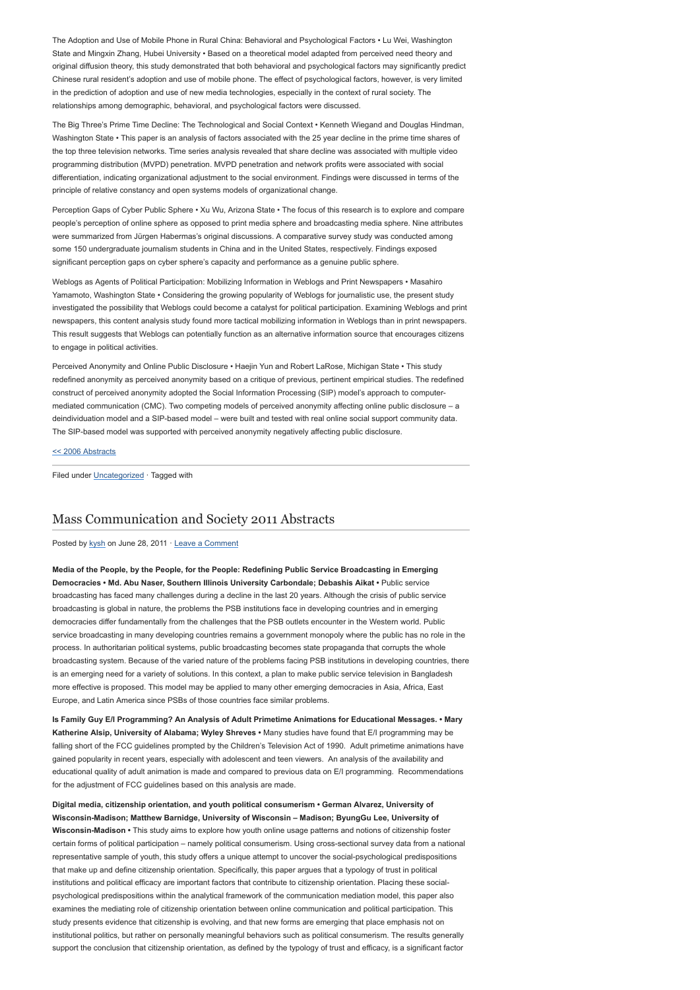The Adoption and Use of Mobile Phone in Rural China: Behavioral and Psychological Factors • Lu Wei, Washington State and Mingxin Zhang, Hubei University • Based on a theoretical model adapted from perceived need theory and original diffusion theory, this study demonstrated that both behavioral and psychological factors may significantly predict Chinese rural resident's adoption and use of mobile phone. The effect of psychological factors, however, is very limited in the prediction of adoption and use of new media technologies, especially in the context of rural society. The relationships among demographic, behavioral, and psychological factors were discussed.

The Big Three's Prime Time Decline: The Technological and Social Context • Kenneth Wiegand and Douglas Hindman, Washington State • This paper is an analysis of factors associated with the 25 year decline in the prime time shares of the top three television networks. Time series analysis revealed that share decline was associated with multiple video programming distribution (MVPD) penetration. MVPD penetration and network profits were associated with social differentiation, indicating organizational adjustment to the social environment. Findings were discussed in terms of the principle of relative constancy and open systems models of organizational change.

Perception Gaps of Cyber Public Sphere • Xu Wu, Arizona State • The focus of this research is to explore and compare people's perception of online sphere as opposed to print media sphere and broadcasting media sphere. Nine attributes were summarized from Jürgen Habermas's original discussions. A comparative survey study was conducted among some 150 undergraduate journalism students in China and in the United States, respectively. Findings exposed significant perception gaps on cyber sphere's capacity and performance as a genuine public sphere.

Weblogs as Agents of Political Participation: Mobilizing Information in Weblogs and Print Newspapers • Masahiro Yamamoto, Washington State • Considering the growing popularity of Weblogs for journalistic use, the present study investigated the possibility that Weblogs could become a catalyst for political participation. Examining Weblogs and print newspapers, this content analysis study found more tactical mobilizing information in Weblogs than in print newspapers. This result suggests that Weblogs can potentially function as an alternative information source that encourages citizens to engage in political activities.

Perceived Anonymity and Online Public Disclosure • Haejin Yun and Robert LaRose, Michigan State • This study redefined anonymity as perceived anonymity based on a critique of previous, pertinent empirical studies. The redefined construct of perceived anonymity adopted the Social Information Processing (SIP) model's approach to computermediated communication (CMC). Two competing models of perceived anonymity affecting online public disclosure – a deindividuation model and a SIP-based model – were built and tested with real online social support community data. The SIP-based model was supported with perceived anonymity negatively affecting public disclosure.

[<< 2006 Abstracts](http://www.aejmc.com/home/2011/03/2006-abstract/)

Filed under [Uncategorized](http://www.aejmc.org/home/category/uncategorized/) · Tagged with

# [Mass Communication and Society 2011 Abstracts](http://www.aejmc.org/home/2011/06/mcs-2011-abstracts/)

Posted by [kysh](http://www.aejmc.org/home/author/kyshiab/) on June 28, 2011 · [Leave a Comment](http://www.aejmc.org/home/2011/06/mcs-2011-abstracts/#respond)

Media of the People, by the People, for the People: Redefining Public Service Broadcasting in Emerging Democracies • Md. Abu Naser, Southern Illinois University Carbondale; Debashis Aikat • Public service broadcasting has faced many challenges during a decline in the last 20 years. Although the crisis of public service broadcasting is global in nature, the problems the PSB institutions face in developing countries and in emerging democracies differ fundamentally from the challenges that the PSB outlets encounter in the Western world. Public service broadcasting in many developing countries remains a government monopoly where the public has no role in the process. In authoritarian political systems, public broadcasting becomes state propaganda that corrupts the whole broadcasting system. Because of the varied nature of the problems facing PSB institutions in developing countries, there is an emerging need for a variety of solutions. In this context, a plan to make public service television in Bangladesh more effective is proposed. This model may be applied to many other emerging democracies in Asia, Africa, East Europe, and Latin America since PSBs of those countries face similar problems.

Is Family Guy E/I Programming? An Analysis of Adult Primetime Animations for Educational Messages. • Mary Katherine Alsip, University of Alabama; Wyley Shreves • Many studies have found that E/I programming may be falling short of the FCC guidelines prompted by the Children's Television Act of 1990. Adult primetime animations have gained popularity in recent years, especially with adolescent and teen viewers. An analysis of the availability and educational quality of adult animation is made and compared to previous data on E/I programming. Recommendations for the adjustment of FCC guidelines based on this analysis are made.

Digital media, citizenship orientation, and youth political consumerism • German Alvarez, University of Wisconsin-Madison; Matthew Barnidge, University of Wisconsin – Madison; ByungGu Lee, University of Wisconsin-Madison • This study aims to explore how youth online usage patterns and notions of citizenship foster certain forms of political participation – namely political consumerism. Using cross-sectional survey data from a national representative sample of youth, this study offers a unique attempt to uncover the social-psychological predispositions that make up and define citizenship orientation. Specifically, this paper argues that a typology of trust in political institutions and political efficacy are important factors that contribute to citizenship orientation. Placing these socialpsychological predispositions within the analytical framework of the communication mediation model, this paper also examines the mediating role of citizenship orientation between online communication and political participation. This study presents evidence that citizenship is evolving, and that new forms are emerging that place emphasis not on institutional politics, but rather on personally meaningful behaviors such as political consumerism. The results generally support the conclusion that citizenship orientation, as defined by the typology of trust and efficacy, is a significant factor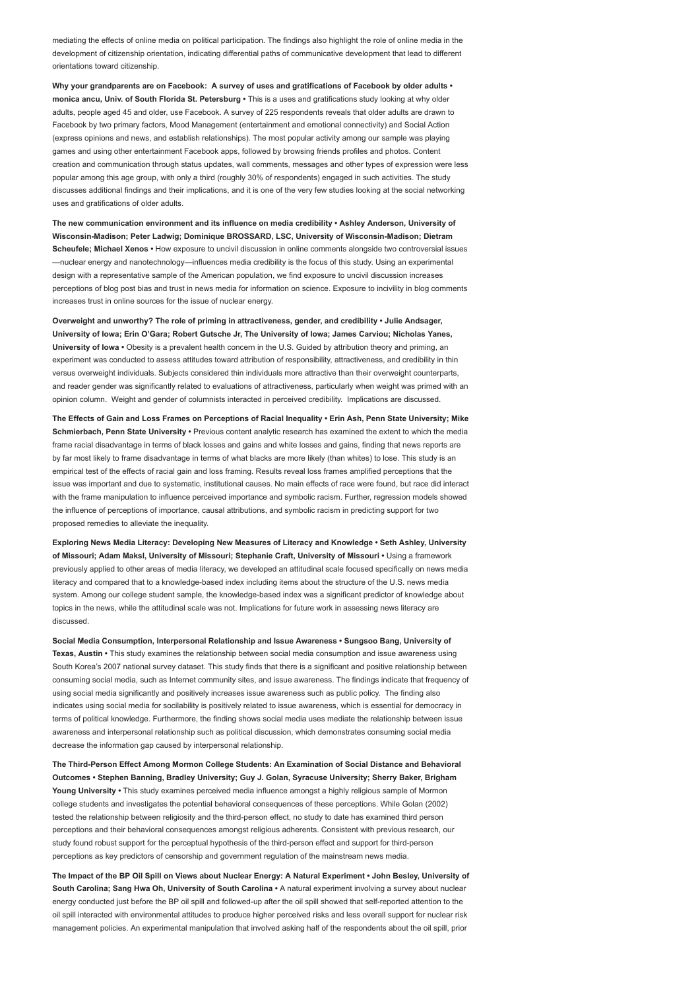mediating the effects of online media on political participation. The findings also highlight the role of online media in the development of citizenship orientation, indicating differential paths of communicative development that lead to different orientations toward citizenship.

Why your grandparents are on Facebook: A survey of uses and gratifications of Facebook by older adults • monica ancu, Univ. of South Florida St. Petersburg • This is a uses and gratifications study looking at why older adults, people aged 45 and older, use Facebook. A survey of 225 respondents reveals that older adults are drawn to Facebook by two primary factors, Mood Management (entertainment and emotional connectivity) and Social Action (express opinions and news, and establish relationships). The most popular activity among our sample was playing games and using other entertainment Facebook apps, followed by browsing friends profiles and photos. Content creation and communication through status updates, wall comments, messages and other types of expression were less popular among this age group, with only a third (roughly 30% of respondents) engaged in such activities. The study discusses additional findings and their implications, and it is one of the very few studies looking at the social networking uses and gratifications of older adults.

The new communication environment and its influence on media credibility • Ashley Anderson, University of Wisconsin-Madison; Peter Ladwig; Dominique BROSSARD, LSC, University of Wisconsin-Madison; Dietram Scheufele: Michael Xenos • How exposure to uncivil discussion in online comments alongside two controversial issues —nuclear energy and nanotechnology—influences media credibility is the focus of this study. Using an experimental design with a representative sample of the American population, we find exposure to uncivil discussion increases perceptions of blog post bias and trust in news media for information on science. Exposure to incivility in blog comments increases trust in online sources for the issue of nuclear energy.

Overweight and unworthy? The role of priming in attractiveness, gender, and credibility • Julie Andsager, University of Iowa; Erin O'Gara; Robert Gutsche Jr, The University of Iowa; James Carviou; Nicholas Yanes, University of Iowa • Obesity is a prevalent health concern in the U.S. Guided by attribution theory and priming, an experiment was conducted to assess attitudes toward attribution of responsibility, attractiveness, and credibility in thin versus overweight individuals. Subjects considered thin individuals more attractive than their overweight counterparts, and reader gender was significantly related to evaluations of attractiveness, particularly when weight was primed with an opinion column. Weight and gender of columnists interacted in perceived credibility. Implications are discussed.

The Effects of Gain and Loss Frames on Perceptions of Racial Inequality • Erin Ash, Penn State University; Mike Schmierbach, Penn State University • Previous content analytic research has examined the extent to which the media frame racial disadvantage in terms of black losses and gains and white losses and gains, finding that news reports are by far most likely to frame disadvantage in terms of what blacks are more likely (than whites) to lose. This study is an empirical test of the effects of racial gain and loss framing. Results reveal loss frames amplified perceptions that the issue was important and due to systematic, institutional causes. No main effects of race were found, but race did interact with the frame manipulation to influence perceived importance and symbolic racism. Further, regression models showed the influence of perceptions of importance, causal attributions, and symbolic racism in predicting support for two proposed remedies to alleviate the inequality.

Exploring News Media Literacy: Developing New Measures of Literacy and Knowledge • Seth Ashley, University of Missouri; Adam Maksl, University of Missouri; Stephanie Craft, University of Missouri • Using a framework previously applied to other areas of media literacy, we developed an attitudinal scale focused specifically on news media literacy and compared that to a knowledge-based index including items about the structure of the U.S. news media system. Among our college student sample, the knowledge-based index was a significant predictor of knowledge about topics in the news, while the attitudinal scale was not. Implications for future work in assessing news literacy are discussed.

Social Media Consumption, Interpersonal Relationship and Issue Awareness • Sungsoo Bang, University of Texas, Austin • This study examines the relationship between social media consumption and issue awareness using South Korea's 2007 national survey dataset. This study finds that there is a significant and positive relationship between consuming social media, such as Internet community sites, and issue awareness. The findings indicate that frequency of using social media significantly and positively increases issue awareness such as public policy. The finding also indicates using social media for socilability is positively related to issue awareness, which is essential for democracy in terms of political knowledge. Furthermore, the finding shows social media uses mediate the relationship between issue awareness and interpersonal relationship such as political discussion, which demonstrates consuming social media decrease the information gap caused by interpersonal relationship.

The Third-Person Effect Among Mormon College Students: An Examination of Social Distance and Behavioral Outcomes • Stephen Banning, Bradley University; Guy J. Golan, Syracuse University; Sherry Baker, Brigham Young University • This study examines perceived media influence amongst a highly religious sample of Mormon college students and investigates the potential behavioral consequences of these perceptions. While Golan (2002) tested the relationship between religiosity and the third-person effect, no study to date has examined third person perceptions and their behavioral consequences amongst religious adherents. Consistent with previous research, our study found robust support for the perceptual hypothesis of the third-person effect and support for third-person perceptions as key predictors of censorship and government regulation of the mainstream news media.

The Impact of the BP Oil Spill on Views about Nuclear Energy: A Natural Experiment • John Besley, University of South Carolina; Sang Hwa Oh, University of South Carolina • A natural experiment involving a survey about nuclear energy conducted just before the BP oil spill and followed-up after the oil spill showed that self-reported attention to the oil spill interacted with environmental attitudes to produce higher perceived risks and less overall support for nuclear risk management policies. An experimental manipulation that involved asking half of the respondents about the oil spill, prior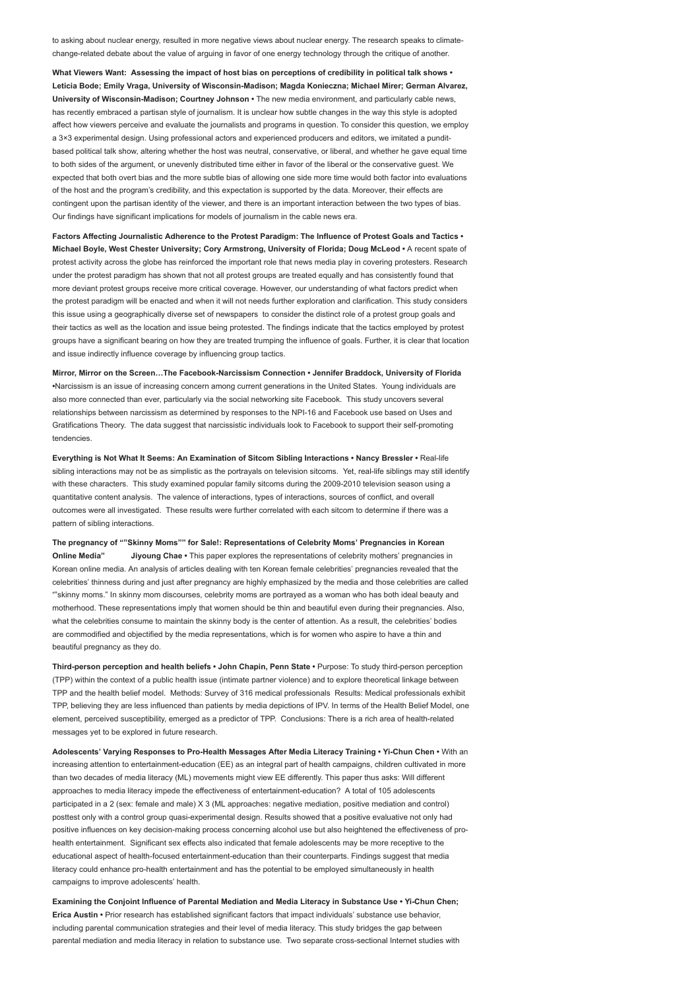to asking about nuclear energy, resulted in more negative views about nuclear energy. The research speaks to climatechange-related debate about the value of arguing in favor of one energy technology through the critique of another.

What Viewers Want: Assessing the impact of host bias on perceptions of credibility in political talk shows • Leticia Bode; Emily Vraga, University of Wisconsin-Madison; Magda Konieczna; Michael Mirer; German Alvarez, University of Wisconsin-Madison; Courtney Johnson • The new media environment, and particularly cable news, has recently embraced a partisan style of journalism. It is unclear how subtle changes in the way this style is adopted affect how viewers perceive and evaluate the journalists and programs in question. To consider this question, we employ a 3×3 experimental design. Using professional actors and experienced producers and editors, we imitated a punditbased political talk show, altering whether the host was neutral, conservative, or liberal, and whether he gave equal time to both sides of the argument, or unevenly distributed time either in favor of the liberal or the conservative guest. We expected that both overt bias and the more subtle bias of allowing one side more time would both factor into evaluations of the host and the program's credibility, and this expectation is supported by the data. Moreover, their effects are contingent upon the partisan identity of the viewer, and there is an important interaction between the two types of bias. Our findings have significant implications for models of journalism in the cable news era.

Factors Affecting Journalistic Adherence to the Protest Paradigm: The Influence of Protest Goals and Tactics • Michael Boyle, West Chester University; Cory Armstrong, University of Florida; Doug McLeod • A recent spate of protest activity across the globe has reinforced the important role that news media play in covering protesters. Research under the protest paradigm has shown that not all protest groups are treated equally and has consistently found that more deviant protest groups receive more critical coverage. However, our understanding of what factors predict when the protest paradigm will be enacted and when it will not needs further exploration and clarification. This study considers this issue using a geographically diverse set of newspapers to consider the distinct role of a protest group goals and their tactics as well as the location and issue being protested. The findings indicate that the tactics employed by protest groups have a significant bearing on how they are treated trumping the influence of goals. Further, it is clear that location and issue indirectly influence coverage by influencing group tactics.

Mirror, Mirror on the Screen…The Facebook-Narcissism Connection • Jennifer Braddock, University of Florida •Narcissism is an issue of increasing concern among current generations in the United States. Young individuals are also more connected than ever, particularly via the social networking site Facebook. This study uncovers several relationships between narcissism as determined by responses to the NPI-16 and Facebook use based on Uses and Gratifications Theory. The data suggest that narcissistic individuals look to Facebook to support their self-promoting tendencies.

Everything is Not What It Seems: An Examination of Sitcom Sibling Interactions • Nancy Bressler • Real-life sibling interactions may not be as simplistic as the portrayals on television sitcoms. Yet, real-life siblings may still identify with these characters. This study examined popular family sitcoms during the 2009-2010 television season using a quantitative content analysis. The valence of interactions, types of interactions, sources of conflict, and overall outcomes were all investigated. These results were further correlated with each sitcom to determine if there was a pattern of sibling interactions.

The pregnancy of ""Skinny Moms"" for Sale!: Representations of Celebrity Moms' Pregnancies in Korean Online Media" Jiyoung Chae • This paper explores the representations of celebrity mothers' pregnancies in Korean online media. An analysis of articles dealing with ten Korean female celebrities' pregnancies revealed that the celebrities' thinness during and just after pregnancy are highly emphasized by the media and those celebrities are called ""skinny moms." In skinny mom discourses, celebrity moms are portrayed as a woman who has both ideal beauty and motherhood. These representations imply that women should be thin and beautiful even during their pregnancies. Also, what the celebrities consume to maintain the skinny body is the center of attention. As a result, the celebrities' bodies are commodified and objectified by the media representations, which is for women who aspire to have a thin and beautiful pregnancy as they do.

Third-person perception and health beliefs • John Chapin, Penn State • Purpose: To study third-person perception (TPP) within the context of a public health issue (intimate partner violence) and to explore theoretical linkage between TPP and the health belief model. Methods: Survey of 316 medical professionals Results: Medical professionals exhibit TPP, believing they are less influenced than patients by media depictions of IPV. In terms of the Health Belief Model, one element, perceived susceptibility, emerged as a predictor of TPP. Conclusions: There is a rich area of health-related messages yet to be explored in future research.

Adolescents' Varying Responses to Pro-Health Messages After Media Literacy Training • Yi-Chun Chen • With an increasing attention to entertainment-education (EE) as an integral part of health campaigns, children cultivated in more than two decades of media literacy (ML) movements might view EE differently. This paper thus asks: Will different approaches to media literacy impede the effectiveness of entertainment-education? A total of 105 adolescents participated in a 2 (sex: female and male) X 3 (ML approaches: negative mediation, positive mediation and control) posttest only with a control group quasi-experimental design. Results showed that a positive evaluative not only had positive influences on key decision-making process concerning alcohol use but also heightened the effectiveness of prohealth entertainment. Significant sex effects also indicated that female adolescents may be more receptive to the educational aspect of health-focused entertainment-education than their counterparts. Findings suggest that media literacy could enhance pro-health entertainment and has the potential to be employed simultaneously in health campaigns to improve adolescents' health.

Examining the Conjoint Influence of Parental Mediation and Media Literacy in Substance Use • Yi-Chun Chen; Erica Austin • Prior research has established significant factors that impact individuals' substance use behavior, including parental communication strategies and their level of media literacy. This study bridges the gap between parental mediation and media literacy in relation to substance use. Two separate cross-sectional Internet studies with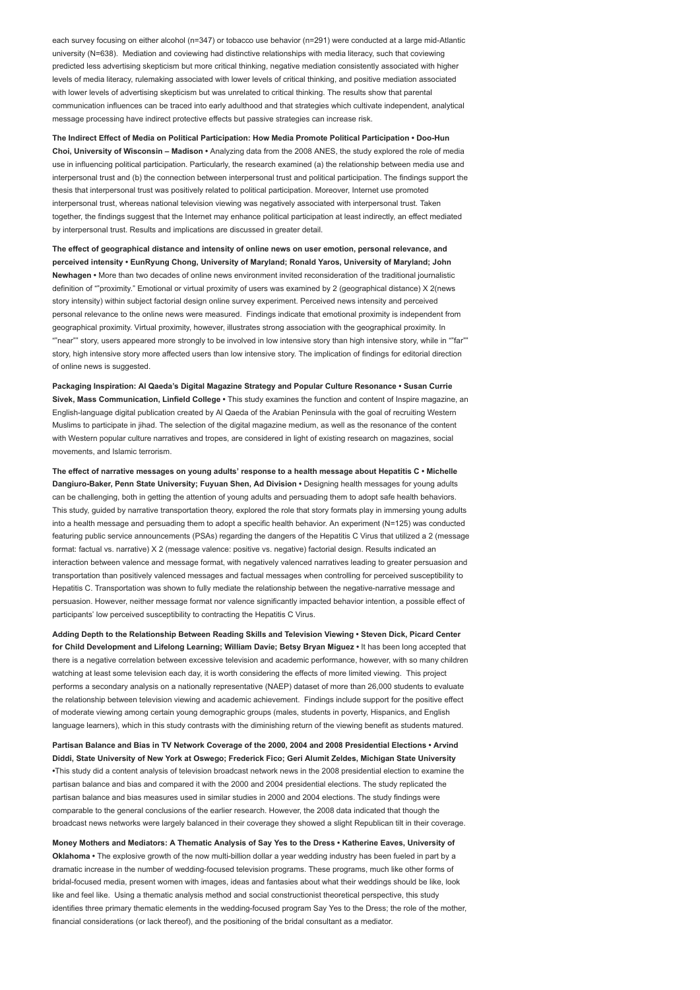each survey focusing on either alcohol (n=347) or tobacco use behavior (n=291) were conducted at a large mid-Atlantic university (N=638). Mediation and coviewing had distinctive relationships with media literacy, such that coviewing predicted less advertising skepticism but more critical thinking, negative mediation consistently associated with higher levels of media literacy, rulemaking associated with lower levels of critical thinking, and positive mediation associated with lower levels of advertising skepticism but was unrelated to critical thinking. The results show that parental communication influences can be traced into early adulthood and that strategies which cultivate independent, analytical message processing have indirect protective effects but passive strategies can increase risk.

The Indirect Effect of Media on Political Participation: How Media Promote Political Participation • Doo-Hun Choi, University of Wisconsin – Madison • Analyzing data from the 2008 ANES, the study explored the role of media use in influencing political participation. Particularly, the research examined (a) the relationship between media use and interpersonal trust and (b) the connection between interpersonal trust and political participation. The findings support the thesis that interpersonal trust was positively related to political participation. Moreover, Internet use promoted interpersonal trust, whereas national television viewing was negatively associated with interpersonal trust. Taken together, the findings suggest that the Internet may enhance political participation at least indirectly, an effect mediated by interpersonal trust. Results and implications are discussed in greater detail.

The effect of geographical distance and intensity of online news on user emotion, personal relevance, and perceived intensity • EunRyung Chong, University of Maryland; Ronald Yaros, University of Maryland; John Newhagen • More than two decades of online news environment invited reconsideration of the traditional journalistic definition of ""proximity." Emotional or virtual proximity of users was examined by 2 (geographical distance) X 2(news story intensity) within subject factorial design online survey experiment. Perceived news intensity and perceived personal relevance to the online news were measured. Findings indicate that emotional proximity is independent from geographical proximity. Virtual proximity, however, illustrates strong association with the geographical proximity. In ""near"" story, users appeared more strongly to be involved in low intensive story than high intensive story, while in ""far"" story, high intensive story more affected users than low intensive story. The implication of findings for editorial direction of online news is suggested.

Packaging Inspiration: Al Qaeda's Digital Magazine Strategy and Popular Culture Resonance • Susan Currie Sivek, Mass Communication, Linfield College • This study examines the function and content of Inspire magazine, an English-language digital publication created by Al Qaeda of the Arabian Peninsula with the goal of recruiting Western Muslims to participate in jihad. The selection of the digital magazine medium, as well as the resonance of the content with Western popular culture narratives and tropes, are considered in light of existing research on magazines, social movements, and Islamic terrorism.

The effect of narrative messages on young adults' response to a health message about Hepatitis C • Michelle Dangiuro-Baker, Penn State University; Fuyuan Shen, Ad Division • Designing health messages for young adults can be challenging, both in getting the attention of young adults and persuading them to adopt safe health behaviors. This study, guided by narrative transportation theory, explored the role that story formats play in immersing young adults into a health message and persuading them to adopt a specific health behavior. An experiment (N=125) was conducted featuring public service announcements (PSAs) regarding the dangers of the Hepatitis C Virus that utilized a 2 (message format: factual vs. narrative) X 2 (message valence: positive vs. negative) factorial design. Results indicated an interaction between valence and message format, with negatively valenced narratives leading to greater persuasion and transportation than positively valenced messages and factual messages when controlling for perceived susceptibility to Hepatitis C. Transportation was shown to fully mediate the relationship between the negative-narrative message and persuasion. However, neither message format nor valence significantly impacted behavior intention, a possible effect of participants' low perceived susceptibility to contracting the Hepatitis C Virus.

Adding Depth to the Relationship Between Reading Skills and Television Viewing • Steven Dick, Picard Center for Child Development and Lifelong Learning; William Davie; Betsy Bryan Miguez • It has been long accepted that there is a negative correlation between excessive television and academic performance, however, with so many children watching at least some television each day, it is worth considering the effects of more limited viewing. This project performs a secondary analysis on a nationally representative (NAEP) dataset of more than 26,000 students to evaluate the relationship between television viewing and academic achievement. Findings include support for the positive effect of moderate viewing among certain young demographic groups (males, students in poverty, Hispanics, and English language learners), which in this study contrasts with the diminishing return of the viewing benefit as students matured.

Partisan Balance and Bias in TV Network Coverage of the 2000, 2004 and 2008 Presidential Elections • Arvind Diddi, State University of New York at Oswego; Frederick Fico; Geri Alumit Zeldes, Michigan State University •This study did a content analysis of television broadcast network news in the 2008 presidential election to examine the partisan balance and bias and compared it with the 2000 and 2004 presidential elections. The study replicated the partisan balance and bias measures used in similar studies in 2000 and 2004 elections. The study findings were comparable to the general conclusions of the earlier research. However, the 2008 data indicated that though the broadcast news networks were largely balanced in their coverage they showed a slight Republican tilt in their coverage.

Money Mothers and Mediators: A Thematic Analysis of Say Yes to the Dress • Katherine Eaves, University of Oklahoma • The explosive growth of the now multi-billion dollar a year wedding industry has been fueled in part by a dramatic increase in the number of wedding-focused television programs. These programs, much like other forms of bridal-focused media, present women with images, ideas and fantasies about what their weddings should be like, look like and feel like. Using a thematic analysis method and social constructionist theoretical perspective, this study identifies three primary thematic elements in the wedding-focused program Say Yes to the Dress; the role of the mother, financial considerations (or lack thereof), and the positioning of the bridal consultant as a mediator.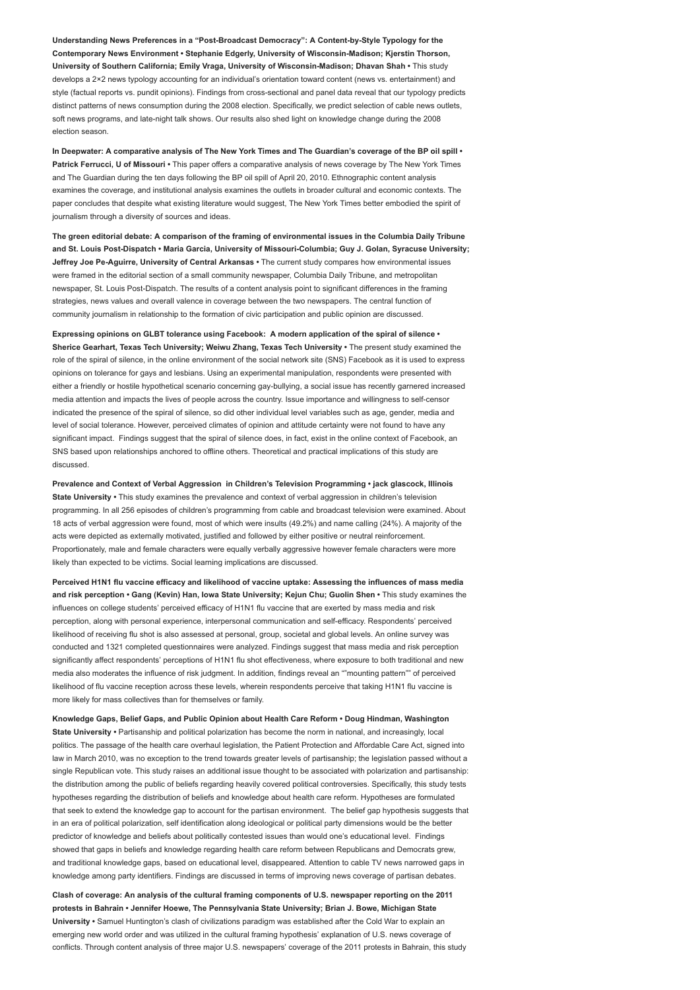Understanding News Preferences in a "Post-Broadcast Democracy": A Content-by-Style Typology for the Contemporary News Environment • Stephanie Edgerly, University of Wisconsin-Madison; Kjerstin Thorson, University of Southern California; Emily Vraga, University of Wisconsin-Madison; Dhavan Shah • This study develops a 2×2 news typology accounting for an individual's orientation toward content (news vs. entertainment) and style (factual reports vs. pundit opinions). Findings from cross-sectional and panel data reveal that our typology predicts distinct patterns of news consumption during the 2008 election. Specifically, we predict selection of cable news outlets, soft news programs, and late-night talk shows. Our results also shed light on knowledge change during the 2008 election season.

In Deepwater: A comparative analysis of The New York Times and The Guardian's coverage of the BP oil spill • Patrick Ferrucci, U of Missouri • This paper offers a comparative analysis of news coverage by The New York Times and The Guardian during the ten days following the BP oil spill of April 20, 2010. Ethnographic content analysis examines the coverage, and institutional analysis examines the outlets in broader cultural and economic contexts. The paper concludes that despite what existing literature would suggest, The New York Times better embodied the spirit of journalism through a diversity of sources and ideas.

The green editorial debate: A comparison of the framing of environmental issues in the Columbia Daily Tribune and St. Louis Post-Dispatch • Maria Garcia, University of Missouri-Columbia; Guy J. Golan, Syracuse University; Jeffrey Joe Pe-Aguirre, University of Central Arkansas . The current study compares how environmental issues were framed in the editorial section of a small community newspaper, Columbia Daily Tribune, and metropolitan newspaper, St. Louis Post-Dispatch. The results of a content analysis point to significant differences in the framing strategies, news values and overall valence in coverage between the two newspapers. The central function of community journalism in relationship to the formation of civic participation and public opinion are discussed.

Expressing opinions on GLBT tolerance using Facebook: A modern application of the spiral of silence • Sherice Gearhart, Texas Tech University; Weiwu Zhang, Texas Tech University • The present study examined the role of the spiral of silence, in the online environment of the social network site (SNS) Facebook as it is used to express opinions on tolerance for gays and lesbians. Using an experimental manipulation, respondents were presented with either a friendly or hostile hypothetical scenario concerning gay-bullying, a social issue has recently garnered increased media attention and impacts the lives of people across the country. Issue importance and willingness to self-censor indicated the presence of the spiral of silence, so did other individual level variables such as age, gender, media and level of social tolerance. However, perceived climates of opinion and attitude certainty were not found to have any significant impact. Findings suggest that the spiral of silence does, in fact, exist in the online context of Facebook, an SNS based upon relationships anchored to offline others. Theoretical and practical implications of this study are discussed.

Prevalence and Context of Verbal Aggression in Children's Television Programming • jack glascock, Illinois State University • This study examines the prevalence and context of verbal aggression in children's television programming. In all 256 episodes of children's programming from cable and broadcast television were examined. About 18 acts of verbal aggression were found, most of which were insults (49.2%) and name calling (24%). A majority of the acts were depicted as externally motivated, justified and followed by either positive or neutral reinforcement. Proportionately, male and female characters were equally verbally aggressive however female characters were more likely than expected to be victims. Social learning implications are discussed.

Perceived H1N1 flu vaccine efficacy and likelihood of vaccine uptake: Assessing the influences of mass media and risk perception • Gang (Kevin) Han, Iowa State University; Kejun Chu; Guolin Shen • This study examines the influences on college students' perceived efficacy of H1N1 flu vaccine that are exerted by mass media and risk perception, along with personal experience, interpersonal communication and self-efficacy. Respondents' perceived likelihood of receiving flu shot is also assessed at personal, group, societal and global levels. An online survey was conducted and 1321 completed questionnaires were analyzed. Findings suggest that mass media and risk perception significantly affect respondents' perceptions of H1N1 flu shot effectiveness, where exposure to both traditional and new media also moderates the influence of risk judgment. In addition, findings reveal an ""mounting pattern"" of perceived likelihood of flu vaccine reception across these levels, wherein respondents perceive that taking H1N1 flu vaccine is more likely for mass collectives than for themselves or family.

Knowledge Gaps, Belief Gaps, and Public Opinion about Health Care Reform • Doug Hindman, Washington State University • Partisanship and political polarization has become the norm in national, and increasingly, local politics. The passage of the health care overhaul legislation, the Patient Protection and Affordable Care Act, signed into law in March 2010, was no exception to the trend towards greater levels of partisanship; the legislation passed without a single Republican vote. This study raises an additional issue thought to be associated with polarization and partisanship: the distribution among the public of beliefs regarding heavily covered political controversies. Specifically, this study tests hypotheses regarding the distribution of beliefs and knowledge about health care reform. Hypotheses are formulated that seek to extend the knowledge gap to account for the partisan environment. The belief gap hypothesis suggests that in an era of political polarization, self identification along ideological or political party dimensions would be the better predictor of knowledge and beliefs about politically contested issues than would one's educational level. Findings showed that gaps in beliefs and knowledge regarding health care reform between Republicans and Democrats grew, and traditional knowledge gaps, based on educational level, disappeared. Attention to cable TV news narrowed gaps in knowledge among party identifiers. Findings are discussed in terms of improving news coverage of partisan debates.

Clash of coverage: An analysis of the cultural framing components of U.S. newspaper reporting on the 2011 protests in Bahrain • Jennifer Hoewe, The Pennsylvania State University; Brian J. Bowe, Michigan State University • Samuel Huntington's clash of civilizations paradigm was established after the Cold War to explain an emerging new world order and was utilized in the cultural framing hypothesis' explanation of U.S. news coverage of conflicts. Through content analysis of three major U.S. newspapers' coverage of the 2011 protests in Bahrain, this study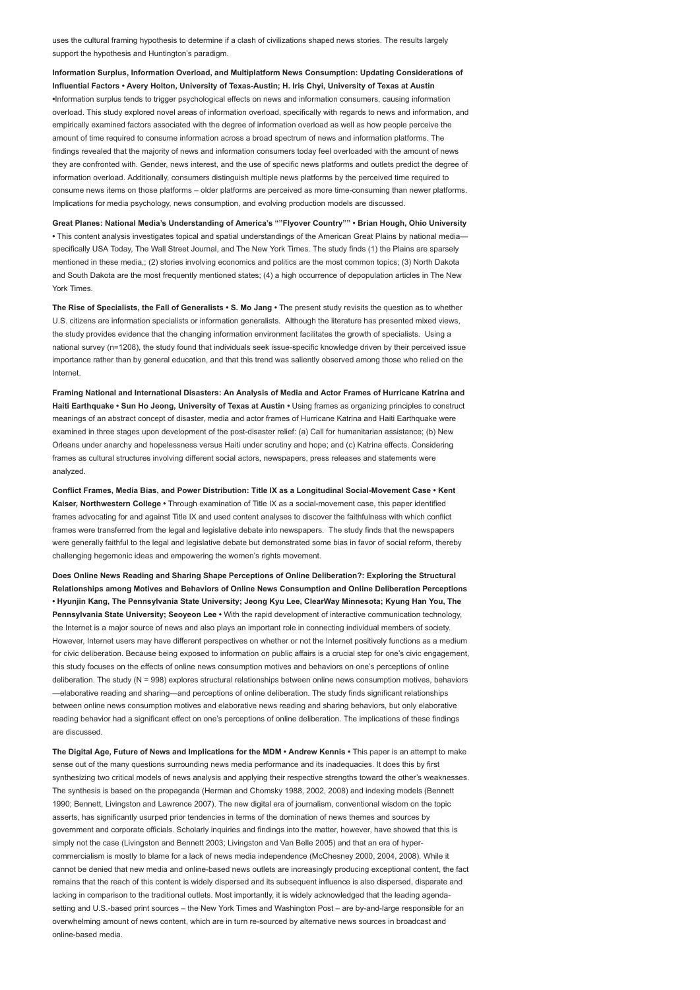uses the cultural framing hypothesis to determine if a clash of civilizations shaped news stories. The results largely support the hypothesis and Huntington's paradigm.

Information Surplus, Information Overload, and Multiplatform News Consumption: Updating Considerations of Influential Factors • Avery Holton, University of Texas-Austin; H. Iris Chyi, University of Texas at Austin •Information surplus tends to trigger psychological effects on news and information consumers, causing information overload. This study explored novel areas of information overload, specifically with regards to news and information, and empirically examined factors associated with the degree of information overload as well as how people perceive the amount of time required to consume information across a broad spectrum of news and information platforms. The findings revealed that the majority of news and information consumers today feel overloaded with the amount of news they are confronted with. Gender, news interest, and the use of specific news platforms and outlets predict the degree of information overload. Additionally, consumers distinguish multiple news platforms by the perceived time required to consume news items on those platforms – older platforms are perceived as more time-consuming than newer platforms. Implications for media psychology, news consumption, and evolving production models are discussed.

Great Planes: National Media's Understanding of America's ""Flyover Country"" • Brian Hough, Ohio University • This content analysis investigates topical and spatial understandings of the American Great Plains by national media specifically USA Today, The Wall Street Journal, and The New York Times. The study finds (1) the Plains are sparsely mentioned in these media,; (2) stories involving economics and politics are the most common topics; (3) North Dakota and South Dakota are the most frequently mentioned states; (4) a high occurrence of depopulation articles in The New York Times.

The Rise of Specialists, the Fall of Generalists • S. Mo Jang • The present study revisits the question as to whether U.S. citizens are information specialists or information generalists. Although the literature has presented mixed views, the study provides evidence that the changing information environment facilitates the growth of specialists. Using a national survey (n=1208), the study found that individuals seek issue-specific knowledge driven by their perceived issue importance rather than by general education, and that this trend was saliently observed among those who relied on the Internet.

Framing National and International Disasters: An Analysis of Media and Actor Frames of Hurricane Katrina and Haiti Earthquake • Sun Ho Jeong, University of Texas at Austin • Using frames as organizing principles to construct meanings of an abstract concept of disaster, media and actor frames of Hurricane Katrina and Haiti Earthquake were examined in three stages upon development of the post-disaster relief: (a) Call for humanitarian assistance; (b) New Orleans under anarchy and hopelessness versus Haiti under scrutiny and hope; and (c) Katrina effects. Considering frames as cultural structures involving different social actors, newspapers, press releases and statements were analyzed.

Conflict Frames, Media Bias, and Power Distribution: Title IX as a Longitudinal Social-Movement Case • Kent Kaiser, Northwestern College · Through examination of Title IX as a social-movement case, this paper identified frames advocating for and against Title IX and used content analyses to discover the faithfulness with which conflict frames were transferred from the legal and legislative debate into newspapers. The study finds that the newspapers were generally faithful to the legal and legislative debate but demonstrated some bias in favor of social reform, thereby challenging hegemonic ideas and empowering the women's rights movement.

Does Online News Reading and Sharing Shape Perceptions of Online Deliberation?: Exploring the Structural Relationships among Motives and Behaviors of Online News Consumption and Online Deliberation Perceptions • Hyunjin Kang, The Pennsylvania State University; Jeong Kyu Lee, ClearWay Minnesota; Kyung Han You, The Pennsylvania State University: Seoveon Lee • With the rapid development of interactive communication technology, the Internet is a major source of news and also plays an important role in connecting individual members of society. However, Internet users may have different perspectives on whether or not the Internet positively functions as a medium for civic deliberation. Because being exposed to information on public affairs is a crucial step for one's civic engagement, this study focuses on the effects of online news consumption motives and behaviors on one's perceptions of online deliberation. The study (N = 998) explores structural relationships between online news consumption motives, behaviors —elaborative reading and sharing—and perceptions of online deliberation. The study finds significant relationships between online news consumption motives and elaborative news reading and sharing behaviors, but only elaborative reading behavior had a significant effect on one's perceptions of online deliberation. The implications of these findings are discussed.

The Digital Age, Future of News and Implications for the MDM • Andrew Kennis • This paper is an attempt to make sense out of the many questions surrounding news media performance and its inadequacies. It does this by first synthesizing two critical models of news analysis and applying their respective strengths toward the other's weaknesses. The synthesis is based on the propaganda (Herman and Chomsky 1988, 2002, 2008) and indexing models (Bennett 1990; Bennett, Livingston and Lawrence 2007). The new digital era of journalism, conventional wisdom on the topic asserts, has significantly usurped prior tendencies in terms of the domination of news themes and sources by government and corporate officials. Scholarly inquiries and findings into the matter, however, have showed that this is simply not the case (Livingston and Bennett 2003; Livingston and Van Belle 2005) and that an era of hypercommercialism is mostly to blame for a lack of news media independence (McChesney 2000, 2004, 2008). While it cannot be denied that new media and online-based news outlets are increasingly producing exceptional content, the fact remains that the reach of this content is widely dispersed and its subsequent influence is also dispersed, disparate and lacking in comparison to the traditional outlets. Most importantly, it is widely acknowledged that the leading agendasetting and U.S.-based print sources – the New York Times and Washington Post – are by-and-large responsible for an overwhelming amount of news content, which are in turn re-sourced by alternative news sources in broadcast and online-based media.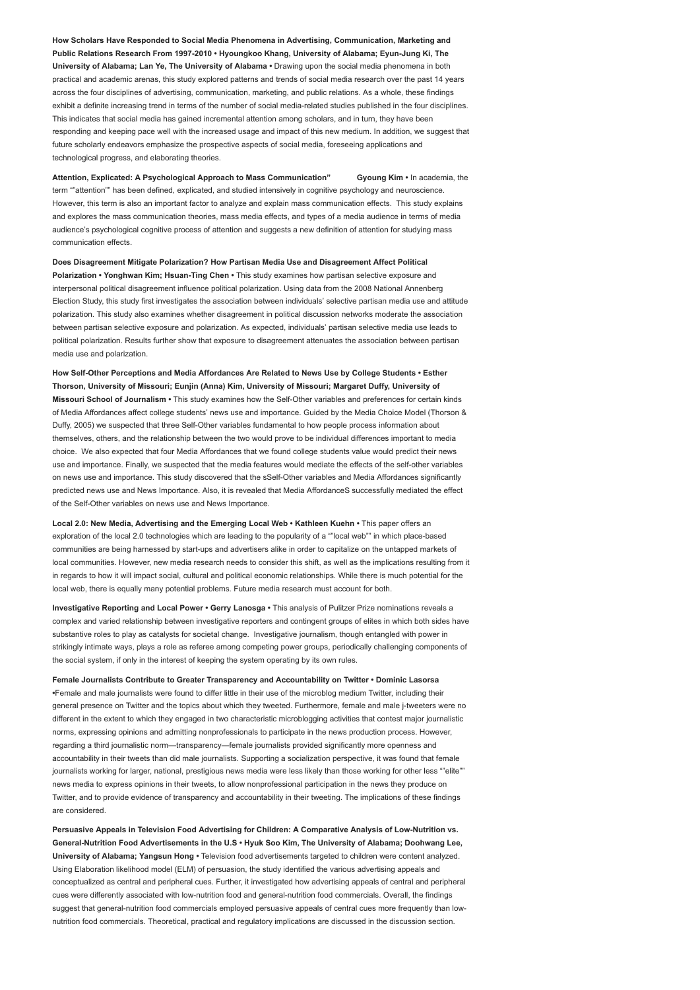How Scholars Have Responded to Social Media Phenomena in Advertising, Communication, Marketing and Public Relations Research From 1997-2010 • Hyoungkoo Khang, University of Alabama; Eyun-Jung Ki, The University of Alabama; Lan Ye, The University of Alabama • Drawing upon the social media phenomena in both practical and academic arenas, this study explored patterns and trends of social media research over the past 14 years across the four disciplines of advertising, communication, marketing, and public relations. As a whole, these findings exhibit a definite increasing trend in terms of the number of social media-related studies published in the four disciplines. This indicates that social media has gained incremental attention among scholars, and in turn, they have been responding and keeping pace well with the increased usage and impact of this new medium. In addition, we suggest that future scholarly endeavors emphasize the prospective aspects of social media, foreseeing applications and technological progress, and elaborating theories.

Attention, Explicated: A Psychological Approach to Mass Communication" Gyoung Kim • In academia, the term ""attention"" has been defined, explicated, and studied intensively in cognitive psychology and neuroscience. However, this term is also an important factor to analyze and explain mass communication effects. This study explains and explores the mass communication theories, mass media effects, and types of a media audience in terms of media audience's psychological cognitive process of attention and suggests a new definition of attention for studying mass communication effects.

Does Disagreement Mitigate Polarization? How Partisan Media Use and Disagreement Affect Political Polarization • Yonghwan Kim; Hsuan-Ting Chen • This study examines how partisan selective exposure and interpersonal political disagreement influence political polarization. Using data from the 2008 National Annenberg Election Study, this study first investigates the association between individuals' selective partisan media use and attitude polarization. This study also examines whether disagreement in political discussion networks moderate the association between partisan selective exposure and polarization. As expected, individuals' partisan selective media use leads to political polarization. Results further show that exposure to disagreement attenuates the association between partisan media use and polarization.

How Self-Other Perceptions and Media Affordances Are Related to News Use by College Students • Esther Thorson, University of Missouri; Eunjin (Anna) Kim, University of Missouri; Margaret Duffy, University of Missouri School of Journalism • This study examines how the Self-Other variables and preferences for certain kinds of Media Affordances affect college students' news use and importance. Guided by the Media Choice Model (Thorson & Duffy, 2005) we suspected that three Self-Other variables fundamental to how people process information about themselves, others, and the relationship between the two would prove to be individual differences important to media choice. We also expected that four Media Affordances that we found college students value would predict their news use and importance. Finally, we suspected that the media features would mediate the effects of the self-other variables on news use and importance. This study discovered that the sSelf-Other variables and Media Affordances significantly predicted news use and News Importance. Also, it is revealed that Media AffordanceS successfully mediated the effect of the Self-Other variables on news use and News Importance.

Local 2.0: New Media, Advertising and the Emerging Local Web • Kathleen Kuehn • This paper offers an exploration of the local 2.0 technologies which are leading to the popularity of a ""local web"" in which place-based communities are being harnessed by start-ups and advertisers alike in order to capitalize on the untapped markets of local communities. However, new media research needs to consider this shift, as well as the implications resulting from it in regards to how it will impact social, cultural and political economic relationships. While there is much potential for the local web, there is equally many potential problems. Future media research must account for both.

Investigative Reporting and Local Power • Gerry Lanosga • This analysis of Pulitzer Prize nominations reveals a complex and varied relationship between investigative reporters and contingent groups of elites in which both sides have substantive roles to play as catalysts for societal change. Investigative journalism, though entangled with power in strikingly intimate ways, plays a role as referee among competing power groups, periodically challenging components of the social system, if only in the interest of keeping the system operating by its own rules.

Female Journalists Contribute to Greater Transparency and Accountability on Twitter • Dominic Lasorsa •Female and male journalists were found to differ little in their use of the microblog medium Twitter, including their general presence on Twitter and the topics about which they tweeted. Furthermore, female and male j-tweeters were no different in the extent to which they engaged in two characteristic microblogging activities that contest major journalistic norms, expressing opinions and admitting nonprofessionals to participate in the news production process. However, regarding a third journalistic norm—transparency—female journalists provided significantly more openness and accountability in their tweets than did male journalists. Supporting a socialization perspective, it was found that female journalists working for larger, national, prestigious news media were less likely than those working for other less ""elite"" news media to express opinions in their tweets, to allow nonprofessional participation in the news they produce on Twitter, and to provide evidence of transparency and accountability in their tweeting. The implications of these findings are considered.

Persuasive Appeals in Television Food Advertising for Children: A Comparative Analysis of Low-Nutrition vs. General-Nutrition Food Advertisements in the U.S • Hyuk Soo Kim, The University of Alabama; Doohwang Lee, University of Alabama; Yangsun Hong • Television food advertisements targeted to children were content analyzed. Using Elaboration likelihood model (ELM) of persuasion, the study identified the various advertising appeals and conceptualized as central and peripheral cues. Further, it investigated how advertising appeals of central and peripheral cues were differently associated with low-nutrition food and general-nutrition food commercials. Overall, the findings suggest that general-nutrition food commercials employed persuasive appeals of central cues more frequently than lownutrition food commercials. Theoretical, practical and regulatory implications are discussed in the discussion section.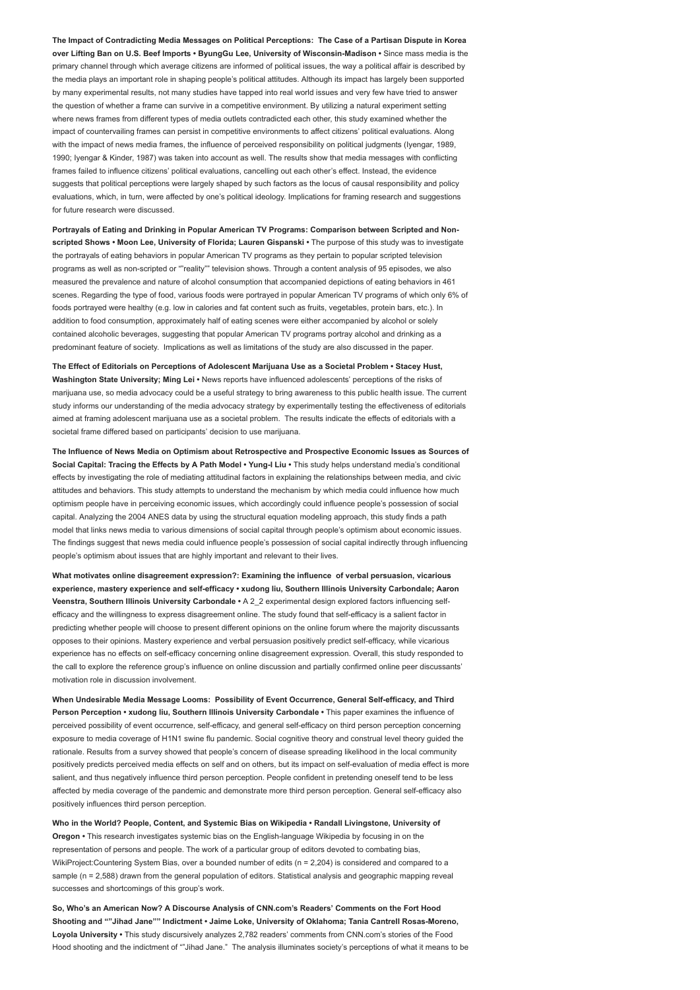The Impact of Contradicting Media Messages on Political Perceptions: The Case of a Partisan Dispute in Korea over Lifting Ban on U.S. Beef Imports • ByungGu Lee, University of Wisconsin-Madison • Since mass media is the primary channel through which average citizens are informed of political issues, the way a political affair is described by the media plays an important role in shaping people's political attitudes. Although its impact has largely been supported by many experimental results, not many studies have tapped into real world issues and very few have tried to answer the question of whether a frame can survive in a competitive environment. By utilizing a natural experiment setting where news frames from different types of media outlets contradicted each other, this study examined whether the impact of countervailing frames can persist in competitive environments to affect citizens' political evaluations. Along with the impact of news media frames, the influence of perceived responsibility on political judgments (Iyengar, 1989, 1990; Iyengar & Kinder, 1987) was taken into account as well. The results show that media messages with conflicting frames failed to influence citizens' political evaluations, cancelling out each other's effect. Instead, the evidence suggests that political perceptions were largely shaped by such factors as the locus of causal responsibility and policy evaluations, which, in turn, were affected by one's political ideology. Implications for framing research and suggestions for future research were discussed.

Portrayals of Eating and Drinking in Popular American TV Programs: Comparison between Scripted and Nonscripted Shows • Moon Lee, University of Florida; Lauren Gispanski • The purpose of this study was to investigate the portrayals of eating behaviors in popular American TV programs as they pertain to popular scripted television programs as well as non-scripted or ""reality"" television shows. Through a content analysis of 95 episodes, we also measured the prevalence and nature of alcohol consumption that accompanied depictions of eating behaviors in 461 scenes. Regarding the type of food, various foods were portrayed in popular American TV programs of which only 6% of foods portrayed were healthy (e.g. low in calories and fat content such as fruits, vegetables, protein bars, etc.). In addition to food consumption, approximately half of eating scenes were either accompanied by alcohol or solely contained alcoholic beverages, suggesting that popular American TV programs portray alcohol and drinking as a predominant feature of society. Implications as well as limitations of the study are also discussed in the paper.

The Effect of Editorials on Perceptions of Adolescent Marijuana Use as a Societal Problem • Stacey Hust, Washington State University; Ming Lei • News reports have influenced adolescents' perceptions of the risks of marijuana use, so media advocacy could be a useful strategy to bring awareness to this public health issue. The current study informs our understanding of the media advocacy strategy by experimentally testing the effectiveness of editorials aimed at framing adolescent marijuana use as a societal problem. The results indicate the effects of editorials with a societal frame differed based on participants' decision to use marijuana.

The Influence of News Media on Optimism about Retrospective and Prospective Economic Issues as Sources of Social Capital: Tracing the Effects by A Path Model • Yung-I Liu • This study helps understand media's conditional effects by investigating the role of mediating attitudinal factors in explaining the relationships between media, and civic attitudes and behaviors. This study attempts to understand the mechanism by which media could influence how much optimism people have in perceiving economic issues, which accordingly could influence people's possession of social capital. Analyzing the 2004 ANES data by using the structural equation modeling approach, this study finds a path model that links news media to various dimensions of social capital through people's optimism about economic issues. The findings suggest that news media could influence people's possession of social capital indirectly through influencing people's optimism about issues that are highly important and relevant to their lives.

What motivates online disagreement expression?: Examining the influence of verbal persuasion, vicarious experience, mastery experience and self-efficacy • xudong liu, Southern Illinois University Carbondale; Aaron Veenstra, Southern Illinois University Carbondale • A 2\_2 experimental design explored factors influencing selfefficacy and the willingness to express disagreement online. The study found that self-efficacy is a salient factor in predicting whether people will choose to present different opinions on the online forum where the majority discussants opposes to their opinions. Mastery experience and verbal persuasion positively predict self-efficacy, while vicarious experience has no effects on self-efficacy concerning online disagreement expression. Overall, this study responded to the call to explore the reference group's influence on online discussion and partially confirmed online peer discussants' motivation role in discussion involvement.

When Undesirable Media Message Looms: Possibility of Event Occurrence, General Self-efficacy, and Third Person Perception • xudong liu, Southern Illinois University Carbondale • This paper examines the influence of perceived possibility of event occurrence, self-efficacy, and general self-efficacy on third person perception concerning exposure to media coverage of H1N1 swine flu pandemic. Social cognitive theory and construal level theory guided the rationale. Results from a survey showed that people's concern of disease spreading likelihood in the local community positively predicts perceived media effects on self and on others, but its impact on self-evaluation of media effect is more salient, and thus negatively influence third person perception. People confident in pretending oneself tend to be less affected by media coverage of the pandemic and demonstrate more third person perception. General self-efficacy also positively influences third person perception.

Who in the World? People, Content, and Systemic Bias on Wikipedia • Randall Livingstone, University of Oregon • This research investigates systemic bias on the English-language Wikipedia by focusing in on the representation of persons and people. The work of a particular group of editors devoted to combating bias, WikiProject:Countering System Bias, over a bounded number of edits (n = 2,204) is considered and compared to a sample (n = 2,588) drawn from the general population of editors. Statistical analysis and geographic mapping reveal successes and shortcomings of this group's work.

So, Who's an American Now? A Discourse Analysis of CNN.com's Readers' Comments on the Fort Hood Shooting and ""Jihad Jane"" Indictment • Jaime Loke, University of Oklahoma; Tania Cantrell Rosas-Moreno, Loyola University • This study discursively analyzes 2,782 readers' comments from CNN.com's stories of the Food Hood shooting and the indictment of ""Jihad Jane." The analysis illuminates society's perceptions of what it means to be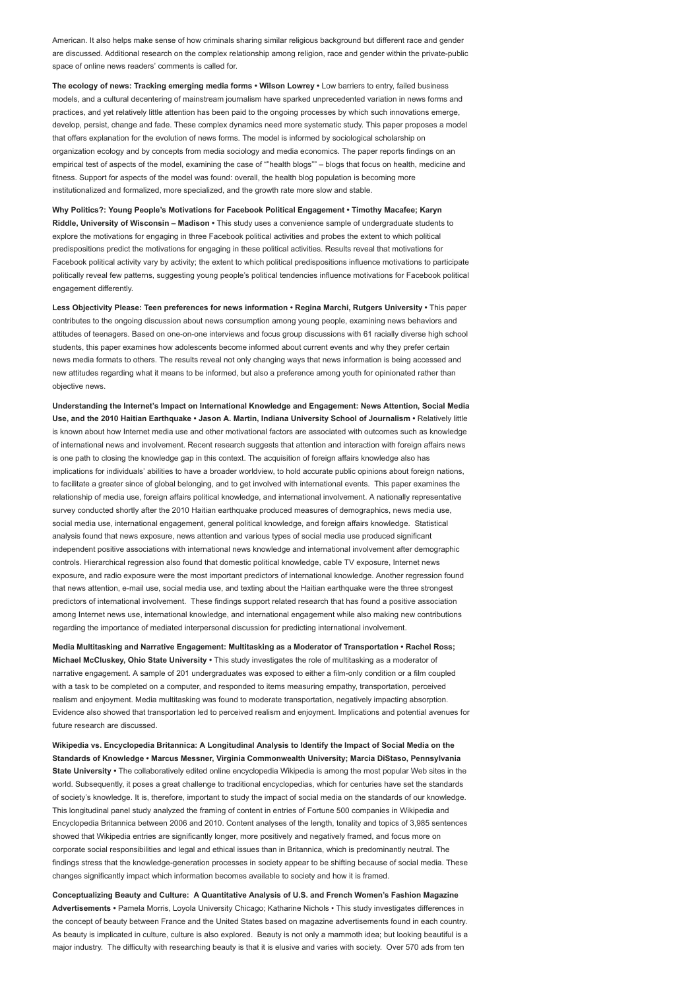American. It also helps make sense of how criminals sharing similar religious background but different race and gender are discussed. Additional research on the complex relationship among religion, race and gender within the private-public space of online news readers' comments is called for.

The ecology of news: Tracking emerging media forms • Wilson Lowrey • Low barriers to entry, failed business models, and a cultural decentering of mainstream journalism have sparked unprecedented variation in news forms and practices, and yet relatively little attention has been paid to the ongoing processes by which such innovations emerge, develop, persist, change and fade. These complex dynamics need more systematic study. This paper proposes a model that offers explanation for the evolution of news forms. The model is informed by sociological scholarship on organization ecology and by concepts from media sociology and media economics. The paper reports findings on an empirical test of aspects of the model, examining the case of ""health blogs"" – blogs that focus on health, medicine and fitness. Support for aspects of the model was found: overall, the health blog population is becoming more institutionalized and formalized, more specialized, and the growth rate more slow and stable.

Why Politics?: Young People's Motivations for Facebook Political Engagement • Timothy Macafee; Karyn Riddle, University of Wisconsin – Madison • This study uses a convenience sample of undergraduate students to explore the motivations for engaging in three Facebook political activities and probes the extent to which political predispositions predict the motivations for engaging in these political activities. Results reveal that motivations for Facebook political activity vary by activity; the extent to which political predispositions influence motivations to participate politically reveal few patterns, suggesting young people's political tendencies influence motivations for Facebook political engagement differently.

Less Objectivity Please: Teen preferences for news information • Regina Marchi, Rutgers University • This paper contributes to the ongoing discussion about news consumption among young people, examining news behaviors and attitudes of teenagers. Based on one-on-one interviews and focus group discussions with 61 racially diverse high school students, this paper examines how adolescents become informed about current events and why they prefer certain news media formats to others. The results reveal not only changing ways that news information is being accessed and new attitudes regarding what it means to be informed, but also a preference among youth for opinionated rather than objective news.

Understanding the Internet's Impact on International Knowledge and Engagement: News Attention, Social Media Use, and the 2010 Haitian Earthquake • Jason A. Martin, Indiana University School of Journalism • Relatively little is known about how Internet media use and other motivational factors are associated with outcomes such as knowledge of international news and involvement. Recent research suggests that attention and interaction with foreign affairs news is one path to closing the knowledge gap in this context. The acquisition of foreign affairs knowledge also has implications for individuals' abilities to have a broader worldview, to hold accurate public opinions about foreign nations, to facilitate a greater since of global belonging, and to get involved with international events. This paper examines the relationship of media use, foreign affairs political knowledge, and international involvement. A nationally representative survey conducted shortly after the 2010 Haitian earthquake produced measures of demographics, news media use, social media use, international engagement, general political knowledge, and foreign affairs knowledge. Statistical analysis found that news exposure, news attention and various types of social media use produced significant independent positive associations with international news knowledge and international involvement after demographic controls. Hierarchical regression also found that domestic political knowledge, cable TV exposure, Internet news exposure, and radio exposure were the most important predictors of international knowledge. Another regression found that news attention, e-mail use, social media use, and texting about the Haitian earthquake were the three strongest predictors of international involvement. These findings support related research that has found a positive association among Internet news use, international knowledge, and international engagement while also making new contributions regarding the importance of mediated interpersonal discussion for predicting international involvement.

Media Multitasking and Narrative Engagement: Multitasking as a Moderator of Transportation • Rachel Ross; Michael McCluskey, Ohio State University • This study investigates the role of multitasking as a moderator of narrative engagement. A sample of 201 undergraduates was exposed to either a film-only condition or a film coupled with a task to be completed on a computer, and responded to items measuring empathy, transportation, perceived realism and enjoyment. Media multitasking was found to moderate transportation, negatively impacting absorption. Evidence also showed that transportation led to perceived realism and enjoyment. Implications and potential avenues for future research are discussed.

Wikipedia vs. Encyclopedia Britannica: A Longitudinal Analysis to Identify the Impact of Social Media on the Standards of Knowledge • Marcus Messner, Virginia Commonwealth University; Marcia DiStaso, Pennsylvania State University • The collaboratively edited online encyclopedia Wikipedia is among the most popular Web sites in the world. Subsequently, it poses a great challenge to traditional encyclopedias, which for centuries have set the standards of society's knowledge. It is, therefore, important to study the impact of social media on the standards of our knowledge. This longitudinal panel study analyzed the framing of content in entries of Fortune 500 companies in Wikipedia and Encyclopedia Britannica between 2006 and 2010. Content analyses of the length, tonality and topics of 3,985 sentences showed that Wikipedia entries are significantly longer, more positively and negatively framed, and focus more on corporate social responsibilities and legal and ethical issues than in Britannica, which is predominantly neutral. The findings stress that the knowledge-generation processes in society appear to be shifting because of social media. These changes significantly impact which information becomes available to society and how it is framed.

Conceptualizing Beauty and Culture: A Quantitative Analysis of U.S. and French Women's Fashion Magazine Advertisements • Pamela Morris, Loyola University Chicago; Katharine Nichols • This study investigates differences in the concept of beauty between France and the United States based on magazine advertisements found in each country. As beauty is implicated in culture, culture is also explored. Beauty is not only a mammoth idea; but looking beautiful is a major industry. The difficulty with researching beauty is that it is elusive and varies with society. Over 570 ads from ten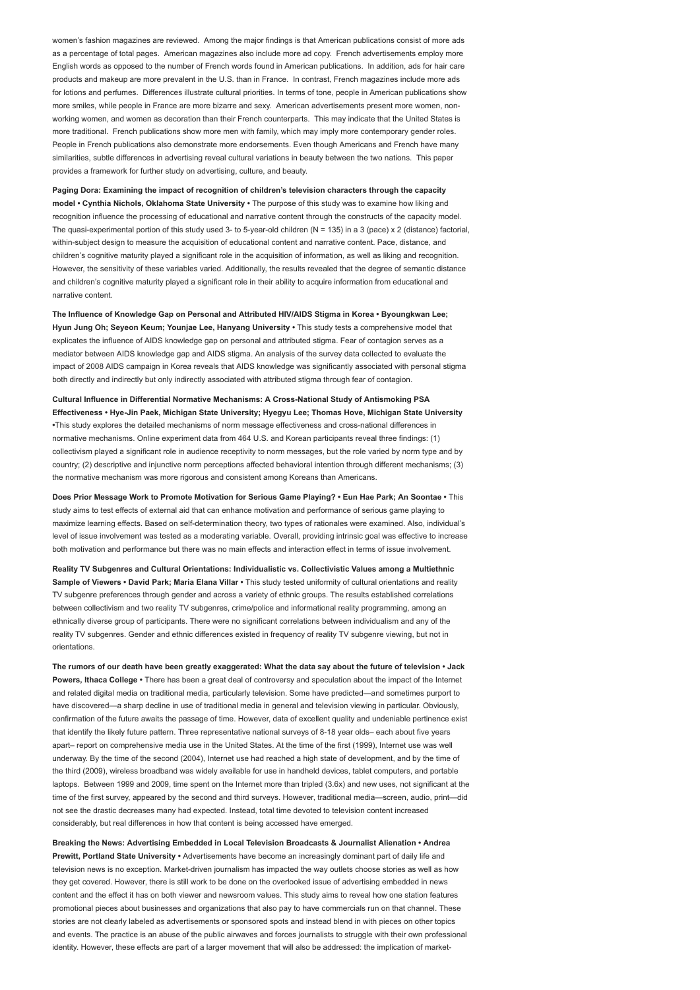women's fashion magazines are reviewed. Among the major findings is that American publications consist of more ads as a percentage of total pages. American magazines also include more ad copy. French advertisements employ more English words as opposed to the number of French words found in American publications. In addition, ads for hair care products and makeup are more prevalent in the U.S. than in France. In contrast, French magazines include more ads for lotions and perfumes. Differences illustrate cultural priorities. In terms of tone, people in American publications show more smiles, while people in France are more bizarre and sexy. American advertisements present more women, nonworking women, and women as decoration than their French counterparts. This may indicate that the United States is more traditional. French publications show more men with family, which may imply more contemporary gender roles. People in French publications also demonstrate more endorsements. Even though Americans and French have many similarities, subtle differences in advertising reveal cultural variations in beauty between the two nations. This paper provides a framework for further study on advertising, culture, and beauty.

Paging Dora: Examining the impact of recognition of children's television characters through the capacity model • Cynthia Nichols, Oklahoma State University • The purpose of this study was to examine how liking and recognition influence the processing of educational and narrative content through the constructs of the capacity model. The quasi-experimental portion of this study used 3- to 5-year-old children (N = 135) in a 3 (pace) x 2 (distance) factorial, within-subject design to measure the acquisition of educational content and narrative content. Pace, distance, and children's cognitive maturity played a significant role in the acquisition of information, as well as liking and recognition. However, the sensitivity of these variables varied. Additionally, the results revealed that the degree of semantic distance and children's cognitive maturity played a significant role in their ability to acquire information from educational and narrative content.

The Influence of Knowledge Gap on Personal and Attributed HIV/AIDS Stigma in Korea • Byoungkwan Lee; Hyun Jung Oh; Seyeon Keum; Younjae Lee, Hanyang University • This study tests a comprehensive model that explicates the influence of AIDS knowledge gap on personal and attributed stigma. Fear of contagion serves as a mediator between AIDS knowledge gap and AIDS stigma. An analysis of the survey data collected to evaluate the impact of 2008 AIDS campaign in Korea reveals that AIDS knowledge was significantly associated with personal stigma both directly and indirectly but only indirectly associated with attributed stigma through fear of contagion.

Cultural Influence in Differential Normative Mechanisms: A Cross-National Study of Antismoking PSA Effectiveness • Hye-Jin Paek, Michigan State University; Hyegyu Lee; Thomas Hove, Michigan State University •This study explores the detailed mechanisms of norm message effectiveness and cross-national differences in normative mechanisms. Online experiment data from 464 U.S. and Korean participants reveal three findings: (1) collectivism played a significant role in audience receptivity to norm messages, but the role varied by norm type and by country; (2) descriptive and injunctive norm perceptions affected behavioral intention through different mechanisms; (3) the normative mechanism was more rigorous and consistent among Koreans than Americans.

Does Prior Message Work to Promote Motivation for Serious Game Playing? • Eun Hae Park; An Soontae • This study aims to test effects of external aid that can enhance motivation and performance of serious game playing to maximize learning effects. Based on self-determination theory, two types of rationales were examined. Also, individual's level of issue involvement was tested as a moderating variable. Overall, providing intrinsic goal was effective to increase both motivation and performance but there was no main effects and interaction effect in terms of issue involvement.

Reality TV Subgenres and Cultural Orientations: Individualistic vs. Collectivistic Values among a Multiethnic Sample of Viewers • David Park: Maria Elana Villar • This study tested uniformity of cultural orientations and reality TV subgenre preferences through gender and across a variety of ethnic groups. The results established correlations between collectivism and two reality TV subgenres, crime/police and informational reality programming, among an ethnically diverse group of participants. There were no significant correlations between individualism and any of the reality TV subgenres. Gender and ethnic differences existed in frequency of reality TV subgenre viewing, but not in orientations.

The rumors of our death have been greatly exaggerated: What the data say about the future of television • Jack Powers, Ithaca College • There has been a great deal of controversy and speculation about the impact of the Internet and related digital media on traditional media, particularly television. Some have predicted—and sometimes purport to have discovered—a sharp decline in use of traditional media in general and television viewing in particular. Obviously, confirmation of the future awaits the passage of time. However, data of excellent quality and undeniable pertinence exist that identify the likely future pattern. Three representative national surveys of 8-18 year olds– each about five years apart– report on comprehensive media use in the United States. At the time of the first (1999), Internet use was well underway. By the time of the second (2004), Internet use had reached a high state of development, and by the time of the third (2009), wireless broadband was widely available for use in handheld devices, tablet computers, and portable laptops. Between 1999 and 2009, time spent on the Internet more than tripled (3.6x) and new uses, not significant at the time of the first survey, appeared by the second and third surveys. However, traditional media—screen, audio, print—did not see the drastic decreases many had expected. Instead, total time devoted to television content increased considerably, but real differences in how that content is being accessed have emerged.

Breaking the News: Advertising Embedded in Local Television Broadcasts & Journalist Alienation • Andrea Prewitt, Portland State University • Advertisements have become an increasingly dominant part of daily life and television news is no exception. Market-driven journalism has impacted the way outlets choose stories as well as how they get covered. However, there is still work to be done on the overlooked issue of advertising embedded in news content and the effect it has on both viewer and newsroom values. This study aims to reveal how one station features promotional pieces about businesses and organizations that also pay to have commercials run on that channel. These stories are not clearly labeled as advertisements or sponsored spots and instead blend in with pieces on other topics and events. The practice is an abuse of the public airwaves and forces journalists to struggle with their own professional identity. However, these effects are part of a larger movement that will also be addressed: the implication of market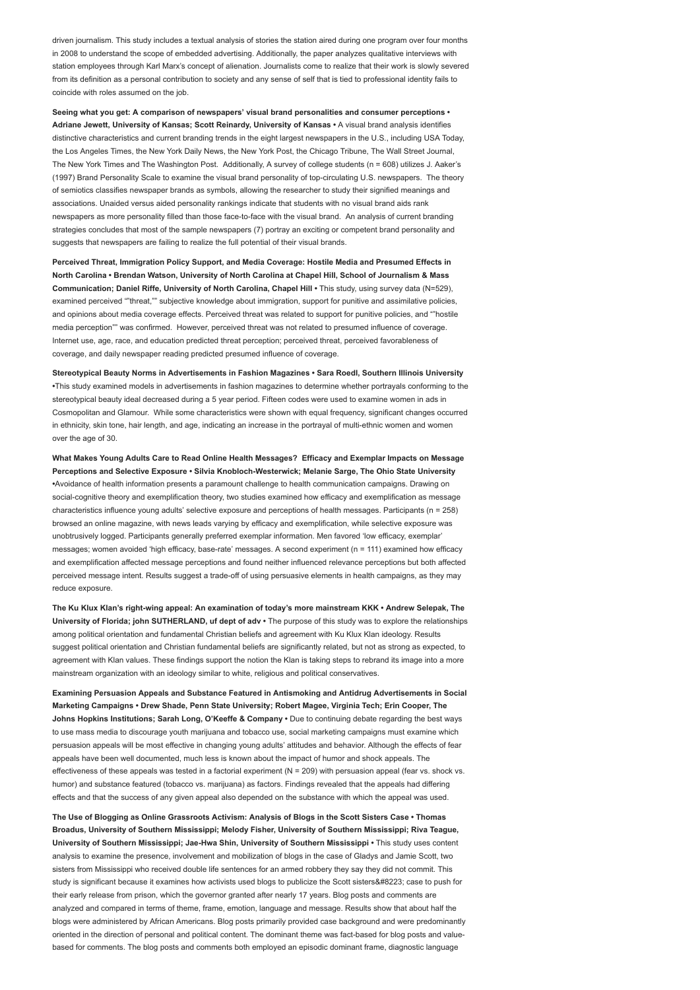driven journalism. This study includes a textual analysis of stories the station aired during one program over four months in 2008 to understand the scope of embedded advertising. Additionally, the paper analyzes qualitative interviews with station employees through Karl Marx's concept of alienation. Journalists come to realize that their work is slowly severed from its definition as a personal contribution to society and any sense of self that is tied to professional identity fails to coincide with roles assumed on the job.

Seeing what you get: A comparison of newspapers' visual brand personalities and consumer perceptions • Adriane Jewett, University of Kansas; Scott Reinardy, University of Kansas • A visual brand analysis identifies distinctive characteristics and current branding trends in the eight largest newspapers in the U.S., including USA Today, the Los Angeles Times, the New York Daily News, the New York Post, the Chicago Tribune, The Wall Street Journal, The New York Times and The Washington Post. Additionally, A survey of college students (n = 608) utilizes J. Aaker's (1997) Brand Personality Scale to examine the visual brand personality of top-circulating U.S. newspapers. The theory of semiotics classifies newspaper brands as symbols, allowing the researcher to study their signified meanings and associations. Unaided versus aided personality rankings indicate that students with no visual brand aids rank newspapers as more personality filled than those face-to-face with the visual brand. An analysis of current branding strategies concludes that most of the sample newspapers (7) portray an exciting or competent brand personality and suggests that newspapers are failing to realize the full potential of their visual brands.

Perceived Threat, Immigration Policy Support, and Media Coverage: Hostile Media and Presumed Effects in North Carolina • Brendan Watson, University of North Carolina at Chapel Hill, School of Journalism & Mass Communication; Daniel Riffe, University of North Carolina, Chapel Hill • This study, using survey data (N=529), examined perceived ""threat."" subjective knowledge about immigration, support for punitive and assimilative policies. and opinions about media coverage effects. Perceived threat was related to support for punitive policies, and ""hostile media perception"" was confirmed. However, perceived threat was not related to presumed influence of coverage. Internet use, age, race, and education predicted threat perception; perceived threat, perceived favorableness of coverage, and daily newspaper reading predicted presumed influence of coverage.

Stereotypical Beauty Norms in Advertisements in Fashion Magazines • Sara Roedl, Southern Illinois University •This study examined models in advertisements in fashion magazines to determine whether portrayals conforming to the stereotypical beauty ideal decreased during a 5 year period. Fifteen codes were used to examine women in ads in Cosmopolitan and Glamour. While some characteristics were shown with equal frequency, significant changes occurred in ethnicity, skin tone, hair length, and age, indicating an increase in the portrayal of multi-ethnic women and women over the age of 30.

What Makes Young Adults Care to Read Online Health Messages? Efficacy and Exemplar Impacts on Message Perceptions and Selective Exposure • Silvia Knobloch-Westerwick; Melanie Sarge, The Ohio State University •Avoidance of health information presents a paramount challenge to health communication campaigns. Drawing on social-cognitive theory and exemplification theory, two studies examined how efficacy and exemplification as message characteristics influence young adults' selective exposure and perceptions of health messages. Participants (n = 258) browsed an online magazine, with news leads varying by efficacy and exemplification, while selective exposure was unobtrusively logged. Participants generally preferred exemplar information. Men favored 'low efficacy, exemplar' messages; women avoided 'high efficacy, base-rate' messages. A second experiment (n = 111) examined how efficacy and exemplification affected message perceptions and found neither influenced relevance perceptions but both affected perceived message intent. Results suggest a trade-off of using persuasive elements in health campaigns, as they may reduce exposure.

The Ku Klux Klan's right-wing appeal: An examination of today's more mainstream KKK • Andrew Selepak, The University of Florida; john SUTHERLAND, uf dept of adv • The purpose of this study was to explore the relationships among political orientation and fundamental Christian beliefs and agreement with Ku Klux Klan ideology. Results suggest political orientation and Christian fundamental beliefs are significantly related, but not as strong as expected, to agreement with Klan values. These findings support the notion the Klan is taking steps to rebrand its image into a more mainstream organization with an ideology similar to white, religious and political conservatives.

Examining Persuasion Appeals and Substance Featured in Antismoking and Antidrug Advertisements in Social Marketing Campaigns • Drew Shade, Penn State University; Robert Magee, Virginia Tech; Erin Cooper, The Johns Hopkins Institutions; Sarah Long, O'Keeffe & Company · Due to continuing debate regarding the best ways to use mass media to discourage youth marijuana and tobacco use, social marketing campaigns must examine which persuasion appeals will be most effective in changing young adults' attitudes and behavior. Although the effects of fear appeals have been well documented, much less is known about the impact of humor and shock appeals. The effectiveness of these appeals was tested in a factorial experiment  $(N = 209)$  with persuasion appeal (fear vs. shock vs. humor) and substance featured (tobacco vs. marijuana) as factors. Findings revealed that the appeals had differing effects and that the success of any given appeal also depended on the substance with which the appeal was used.

The Use of Blogging as Online Grassroots Activism: Analysis of Blogs in the Scott Sisters Case • Thomas Broadus, University of Southern Mississippi; Melody Fisher, University of Southern Mississippi; Riva Teague, University of Southern Mississippi; Jae-Hwa Shin, University of Southern Mississippi • This study uses content analysis to examine the presence, involvement and mobilization of blogs in the case of Gladys and Jamie Scott, two sisters from Mississippi who received double life sentences for an armed robbery they say they did not commit. This study is significant because it examines how activists used blogs to publicize the Scott sisters " case to push for their early release from prison, which the governor granted after nearly 17 years. Blog posts and comments are analyzed and compared in terms of theme, frame, emotion, language and message. Results show that about half the blogs were administered by African Americans. Blog posts primarily provided case background and were predominantly oriented in the direction of personal and political content. The dominant theme was fact-based for blog posts and valuebased for comments. The blog posts and comments both employed an episodic dominant frame, diagnostic language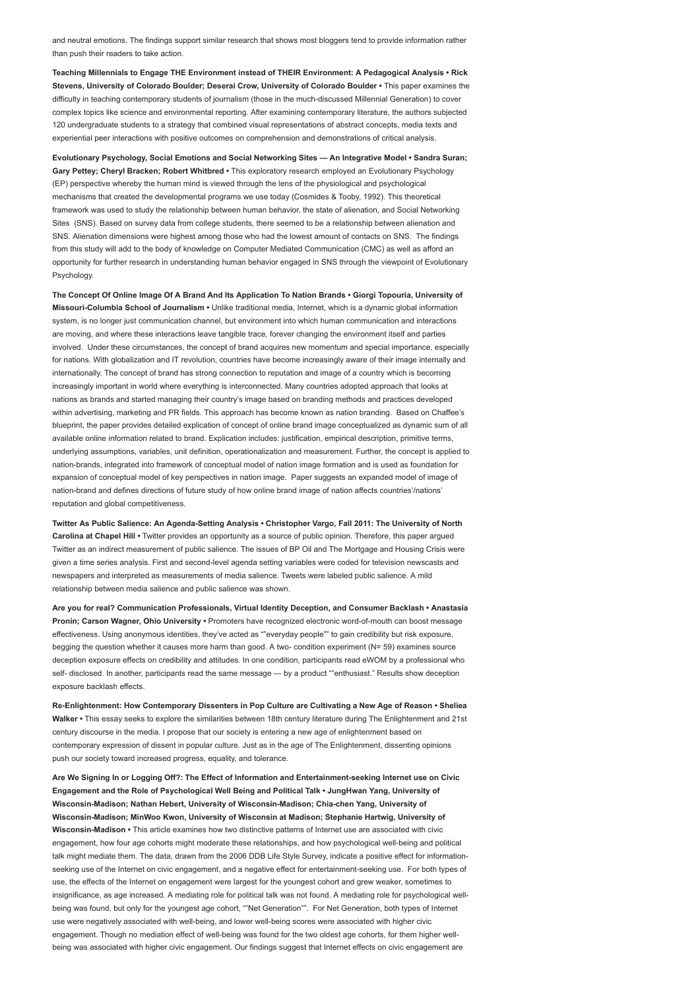and neutral emotions. The findings support similar research that shows most bloggers tend to provide information rather than push their readers to take action.

Teaching Millennials to Engage THE Environment instead of THEIR Environment: A Pedagogical Analysis • Rick Stevens, University of Colorado Boulder; Deserai Crow, University of Colorado Boulder • This paper examines the difficulty in teaching contemporary students of journalism (those in the much-discussed Millennial Generation) to cover complex topics like science and environmental reporting. After examining contemporary literature, the authors subjected 120 undergraduate students to a strategy that combined visual representations of abstract concepts, media texts and experiential peer interactions with positive outcomes on comprehension and demonstrations of critical analysis.

Evolutionary Psychology, Social Emotions and Social Networking Sites — An Integrative Model • Sandra Suran; Gary Pettey; Cheryl Bracken; Robert Whitbred · This exploratory research employed an Evolutionary Psychology (EP) perspective whereby the human mind is viewed through the lens of the physiological and psychological mechanisms that created the developmental programs we use today (Cosmides & Tooby, 1992). This theoretical framework was used to study the relationship between human behavior, the state of alienation, and Social Networking Sites (SNS). Based on survey data from college students, there seemed to be a relationship between alienation and SNS. Alienation dimensions were highest among those who had the lowest amount of contacts on SNS. The findings from this study will add to the body of knowledge on Computer Mediated Communication (CMC) as well as afford an opportunity for further research in understanding human behavior engaged in SNS through the viewpoint of Evolutionary Psychology.

The Concept Of Online Image Of A Brand And Its Application To Nation Brands • Giorgi Topouria, University of Missouri-Columbia School of Journalism • Unlike traditional media, Internet, which is a dynamic global information system, is no longer just communication channel, but environment into which human communication and interactions are moving, and where these interactions leave tangible trace, forever changing the environment itself and parties involved. Under these circumstances, the concept of brand acquires new momentum and special importance, especially for nations. With globalization and IT revolution, countries have become increasingly aware of their image internally and internationally. The concept of brand has strong connection to reputation and image of a country which is becoming increasingly important in world where everything is interconnected. Many countries adopted approach that looks at nations as brands and started managing their country's image based on branding methods and practices developed within advertising, marketing and PR fields. This approach has become known as nation branding. Based on Chaffee's blueprint, the paper provides detailed explication of concept of online brand image conceptualized as dynamic sum of all available online information related to brand. Explication includes: justification, empirical description, primitive terms, underlying assumptions, variables, unit definition, operationalization and measurement. Further, the concept is applied to nation-brands, integrated into framework of conceptual model of nation image formation and is used as foundation for expansion of conceptual model of key perspectives in nation image. Paper suggests an expanded model of image of nation-brand and defines directions of future study of how online brand image of nation affects countries'/nations' reputation and global competitiveness.

Twitter As Public Salience: An Agenda-Setting Analysis • Christopher Vargo, Fall 2011: The University of North Carolina at Chapel Hill • Twitter provides an opportunity as a source of public opinion. Therefore, this paper argued Twitter as an indirect measurement of public salience. The issues of BP Oil and The Mortgage and Housing Crisis were given a time series analysis. First and second-level agenda setting variables were coded for television newscasts and newspapers and interpreted as measurements of media salience. Tweets were labeled public salience. A mild relationship between media salience and public salience was shown.

Are you for real? Communication Professionals, Virtual Identity Deception, and Consumer Backlash • Anastasia Pronin; Carson Wagner, Ohio University • Promoters have recognized electronic word-of-mouth can boost message effectiveness. Using anonymous identities, they've acted as ""everyday people"" to gain credibility but risk exposure, begging the question whether it causes more harm than good. A two- condition experiment (N= 59) examines source deception exposure effects on credibility and attitudes. In one condition, participants read eWOM by a professional who self- disclosed. In another, participants read the same message — by a product ""enthusiast." Results show deception exposure backlash effects.

Re-Enlightenment: How Contemporary Dissenters in Pop Culture are Cultivating a New Age of Reason • Sheliea Walker • This essay seeks to explore the similarities between 18th century literature during The Enlightenment and 21st century discourse in the media. I propose that our society is entering a new age of enlightenment based on contemporary expression of dissent in popular culture. Just as in the age of The Enlightenment, dissenting opinions push our society toward increased progress, equality, and tolerance.

Are We Signing In or Logging Off?: The Effect of Information and Entertainment-seeking Internet use on Civic Engagement and the Role of Psychological Well Being and Political Talk • JungHwan Yang, University of Wisconsin-Madison; Nathan Hebert, University of Wisconsin-Madison; Chia-chen Yang, University of Wisconsin-Madison; MinWoo Kwon, University of Wisconsin at Madison; Stephanie Hartwig, University of Wisconsin-Madison • This article examines how two distinctive patterns of Internet use are associated with civic engagement, how four age cohorts might moderate these relationships, and how psychological well-being and political talk might mediate them. The data, drawn from the 2006 DDB Life Style Survey, indicate a positive effect for informationseeking use of the Internet on civic engagement, and a negative effect for entertainment-seeking use. For both types of use, the effects of the Internet on engagement were largest for the youngest cohort and grew weaker, sometimes to insignificance, as age increased. A mediating role for political talk was not found. A mediating role for psychological wellbeing was found, but only for the youngest age cohort, ""Net Generation"". For Net Generation, both types of Internet use were negatively associated with well-being, and lower well-being scores were associated with higher civic engagement. Though no mediation effect of well-being was found for the two oldest age cohorts, for them higher wellbeing was associated with higher civic engagement. Our findings suggest that Internet effects on civic engagement are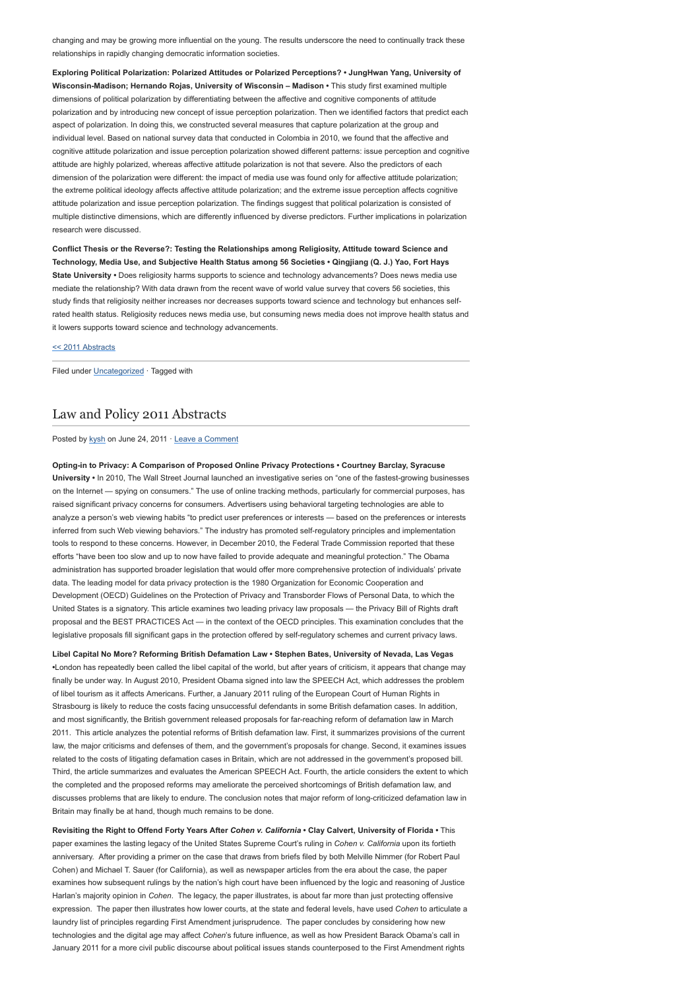changing and may be growing more influential on the young. The results underscore the need to continually track these relationships in rapidly changing democratic information societies.

Exploring Political Polarization: Polarized Attitudes or Polarized Perceptions? • JungHwan Yang, University of Wisconsin-Madison; Hernando Rojas, University of Wisconsin – Madison • This study first examined multiple dimensions of political polarization by differentiating between the affective and cognitive components of attitude polarization and by introducing new concept of issue perception polarization. Then we identified factors that predict each aspect of polarization. In doing this, we constructed several measures that capture polarization at the group and individual level. Based on national survey data that conducted in Colombia in 2010, we found that the affective and cognitive attitude polarization and issue perception polarization showed different patterns: issue perception and cognitive attitude are highly polarized, whereas affective attitude polarization is not that severe. Also the predictors of each dimension of the polarization were different: the impact of media use was found only for affective attitude polarization; the extreme political ideology affects affective attitude polarization; and the extreme issue perception affects cognitive attitude polarization and issue perception polarization. The findings suggest that political polarization is consisted of multiple distinctive dimensions, which are differently influenced by diverse predictors. Further implications in polarization research were discussed.

Conflict Thesis or the Reverse?: Testing the Relationships among Religiosity, Attitude toward Science and Technology, Media Use, and Subjective Health Status among 56 Societies • Qingjiang (Q. J.) Yao, Fort Hays State University • Does religiosity harms supports to science and technology advancements? Does news media use mediate the relationship? With data drawn from the recent wave of world value survey that covers 56 societies, this study finds that religiosity neither increases nor decreases supports toward science and technology but enhances selfrated health status. Religiosity reduces news media use, but consuming news media does not improve health status and it lowers supports toward science and technology advancements.

[<< 2011 Abstracts](http://www.aejmc.org/2011/06/2011-abstracts/)

Filed under [Uncategorized](http://www.aejmc.org/home/category/uncategorized/) · Tagged with

## [Law and Policy 2011 Abstracts](http://www.aejmc.org/home/2011/06/law-2011-abstracts/)

Posted by [kysh](http://www.aejmc.org/home/author/kyshiab/) on June 24, 2011 · [Leave a Comment](http://www.aejmc.org/home/2011/06/law-2011-abstracts/#respond)

Opting-in to Privacy: A Comparison of Proposed Online Privacy Protections • Courtney Barclay, Syracuse University • In 2010, The Wall Street Journal launched an investigative series on "one of the fastest-growing businesses on the Internet — spying on consumers." The use of online tracking methods, particularly for commercial purposes, has raised significant privacy concerns for consumers. Advertisers using behavioral targeting technologies are able to analyze a person's web viewing habits "to predict user preferences or interests — based on the preferences or interests inferred from such Web viewing behaviors." The industry has promoted self-regulatory principles and implementation tools to respond to these concerns. However, in December 2010, the Federal Trade Commission reported that these efforts "have been too slow and up to now have failed to provide adequate and meaningful protection." The Obama administration has supported broader legislation that would offer more comprehensive protection of individuals' private data. The leading model for data privacy protection is the 1980 Organization for Economic Cooperation and Development (OECD) Guidelines on the Protection of Privacy and Transborder Flows of Personal Data, to which the United States is a signatory. This article examines two leading privacy law proposals — the Privacy Bill of Rights draft proposal and the BEST PRACTICES Act — in the context of the OECD principles. This examination concludes that the legislative proposals fill significant gaps in the protection offered by self-regulatory schemes and current privacy laws.

Libel Capital No More? Reforming British Defamation Law • Stephen Bates, University of Nevada, Las Vegas •London has repeatedly been called the libel capital of the world, but after years of criticism, it appears that change may finally be under way. In August 2010, President Obama signed into law the SPEECH Act, which addresses the problem of libel tourism as it affects Americans. Further, a January 2011 ruling of the European Court of Human Rights in Strasbourg is likely to reduce the costs facing unsuccessful defendants in some British defamation cases. In addition, and most significantly, the British government released proposals for far-reaching reform of defamation law in March 2011. This article analyzes the potential reforms of British defamation law. First, it summarizes provisions of the current law, the major criticisms and defenses of them, and the government's proposals for change. Second, it examines issues related to the costs of litigating defamation cases in Britain, which are not addressed in the government's proposed bill. Third, the article summarizes and evaluates the American SPEECH Act. Fourth, the article considers the extent to which the completed and the proposed reforms may ameliorate the perceived shortcomings of British defamation law, and discusses problems that are likely to endure. The conclusion notes that major reform of long-criticized defamation law in Britain may finally be at hand, though much remains to be done.

Revisiting the Right to Offend Forty Years After Cohen v. California • Clay Calvert, University of Florida • This paper examines the lasting legacy of the United States Supreme Court's ruling in Cohen v. California upon its fortieth anniversary. After providing a primer on the case that draws from briefs filed by both Melville Nimmer (for Robert Paul Cohen) and Michael T. Sauer (for California), as well as newspaper articles from the era about the case, the paper examines how subsequent rulings by the nation's high court have been influenced by the logic and reasoning of Justice Harlan's majority opinion in Cohen. The legacy, the paper illustrates, is about far more than just protecting offensive expression. The paper then illustrates how lower courts, at the state and federal levels, have used Cohen to articulate a laundry list of principles regarding First Amendment jurisprudence. The paper concludes by considering how new technologies and the digital age may affect Cohen's future influence, as well as how President Barack Obama's call in January 2011 for a more civil public discourse about political issues stands counterposed to the First Amendment rights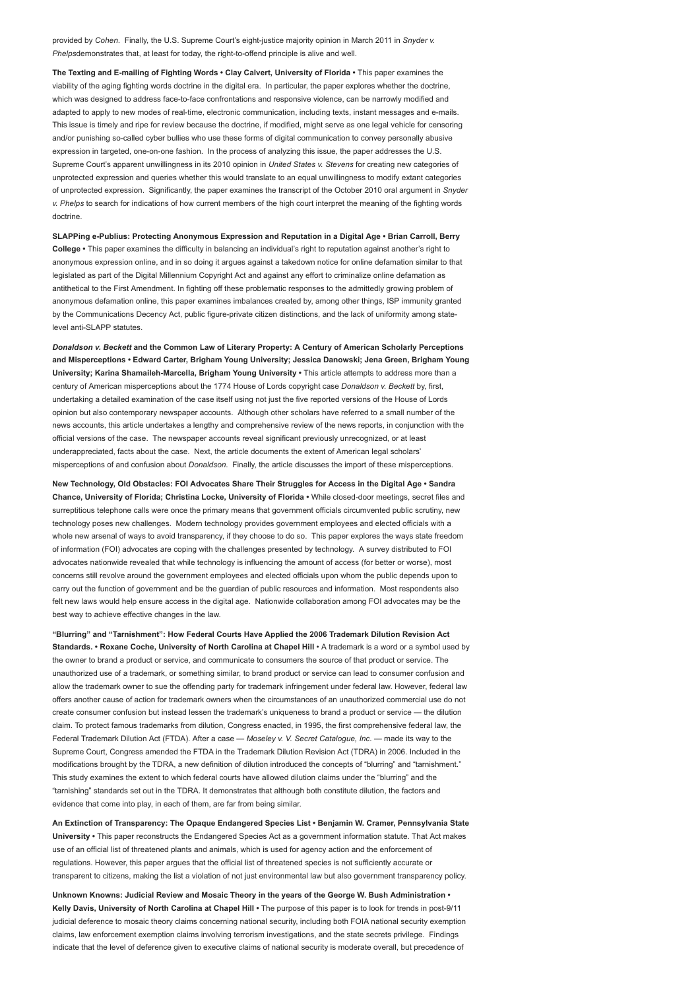provided by Cohen. Finally, the U.S. Supreme Court's eight-justice majority opinion in March 2011 in Snyder v. Phelpsdemonstrates that, at least for today, the right-to-offend principle is alive and well.

The Texting and E-mailing of Fighting Words • Clay Calvert, University of Florida • This paper examines the viability of the aging fighting words doctrine in the digital era. In particular, the paper explores whether the doctrine, which was designed to address face-to-face confrontations and responsive violence, can be narrowly modified and adapted to apply to new modes of real-time, electronic communication, including texts, instant messages and e-mails. This issue is timely and ripe for review because the doctrine, if modified, might serve as one legal vehicle for censoring and/or punishing so-called cyber bullies who use these forms of digital communication to convey personally abusive expression in targeted, one-on-one fashion. In the process of analyzing this issue, the paper addresses the U.S. Supreme Court's apparent unwillingness in its 2010 opinion in United States v. Stevens for creating new categories of unprotected expression and queries whether this would translate to an equal unwillingness to modify extant categories of unprotected expression. Significantly, the paper examines the transcript of the October 2010 oral argument in Snyder v. Phelps to search for indications of how current members of the high court interpret the meaning of the fighting words doctrine.

SLAPPing e-Publius: Protecting Anonymous Expression and Reputation in a Digital Age • Brian Carroll, Berry College • This paper examines the difficulty in balancing an individual's right to reputation against another's right to anonymous expression online, and in so doing it argues against a takedown notice for online defamation similar to that legislated as part of the Digital Millennium Copyright Act and against any effort to criminalize online defamation as antithetical to the First Amendment. In fighting off these problematic responses to the admittedly growing problem of anonymous defamation online, this paper examines imbalances created by, among other things, ISP immunity granted by the Communications Decency Act, public figure-private citizen distinctions, and the lack of uniformity among statelevel anti-SLAPP statutes.

Donaldson v. Beckett and the Common Law of Literary Property: A Century of American Scholarly Perceptions and Misperceptions • Edward Carter, Brigham Young University; Jessica Danowski; Jena Green, Brigham Young University; Karina Shamaileh-Marcella, Brigham Young University • This article attempts to address more than a century of American misperceptions about the 1774 House of Lords copyright case Donaldson v. Beckett by, first, undertaking a detailed examination of the case itself using not just the five reported versions of the House of Lords opinion but also contemporary newspaper accounts. Although other scholars have referred to a small number of the news accounts, this article undertakes a lengthy and comprehensive review of the news reports, in conjunction with the official versions of the case. The newspaper accounts reveal significant previously unrecognized, or at least underappreciated, facts about the case. Next, the article documents the extent of American legal scholars' misperceptions of and confusion about Donaldson. Finally, the article discusses the import of these misperceptions.

New Technology, Old Obstacles: FOI Advocates Share Their Struggles for Access in the Digital Age • Sandra Chance, University of Florida; Christina Locke, University of Florida • While closed-door meetings, secret files and surreptitious telephone calls were once the primary means that government officials circumvented public scrutiny, new technology poses new challenges. Modern technology provides government employees and elected officials with a whole new arsenal of ways to avoid transparency, if they choose to do so. This paper explores the ways state freedom of information (FOI) advocates are coping with the challenges presented by technology. A survey distributed to FOI advocates nationwide revealed that while technology is influencing the amount of access (for better or worse), most concerns still revolve around the government employees and elected officials upon whom the public depends upon to carry out the function of government and be the guardian of public resources and information. Most respondents also felt new laws would help ensure access in the digital age. Nationwide collaboration among FOI advocates may be the best way to achieve effective changes in the law.

"Blurring" and "Tarnishment": How Federal Courts Have Applied the 2006 Trademark Dilution Revision Act Standards. • Roxane Coche, University of North Carolina at Chapel Hill • A trademark is a word or a symbol used by the owner to brand a product or service, and communicate to consumers the source of that product or service. The unauthorized use of a trademark, or something similar, to brand product or service can lead to consumer confusion and allow the trademark owner to sue the offending party for trademark infringement under federal law. However, federal law offers another cause of action for trademark owners when the circumstances of an unauthorized commercial use do not create consumer confusion but instead lessen the trademark's uniqueness to brand a product or service — the dilution claim. To protect famous trademarks from dilution, Congress enacted, in 1995, the first comprehensive federal law, the Federal Trademark Dilution Act (FTDA). After a case - Moseley v. V. Secret Catalogue, Inc. - made its way to the Supreme Court, Congress amended the FTDA in the Trademark Dilution Revision Act (TDRA) in 2006. Included in the modifications brought by the TDRA, a new definition of dilution introduced the concepts of "blurring" and "tarnishment." This study examines the extent to which federal courts have allowed dilution claims under the "blurring" and the "tarnishing" standards set out in the TDRA. It demonstrates that although both constitute dilution, the factors and evidence that come into play, in each of them, are far from being similar.

An Extinction of Transparency: The Opaque Endangered Species List • Benjamin W. Cramer, Pennsylvania State University • This paper reconstructs the Endangered Species Act as a government information statute. That Act makes use of an official list of threatened plants and animals, which is used for agency action and the enforcement of regulations. However, this paper argues that the official list of threatened species is not sufficiently accurate or transparent to citizens, making the list a violation of not just environmental law but also government transparency policy.

Unknown Knowns: Judicial Review and Mosaic Theory in the years of the George W. Bush Administration • Kelly Davis, University of North Carolina at Chapel Hill • The purpose of this paper is to look for trends in post-9/11 judicial deference to mosaic theory claims concerning national security, including both FOIA national security exemption claims, law enforcement exemption claims involving terrorism investigations, and the state secrets privilege. Findings indicate that the level of deference given to executive claims of national security is moderate overall, but precedence of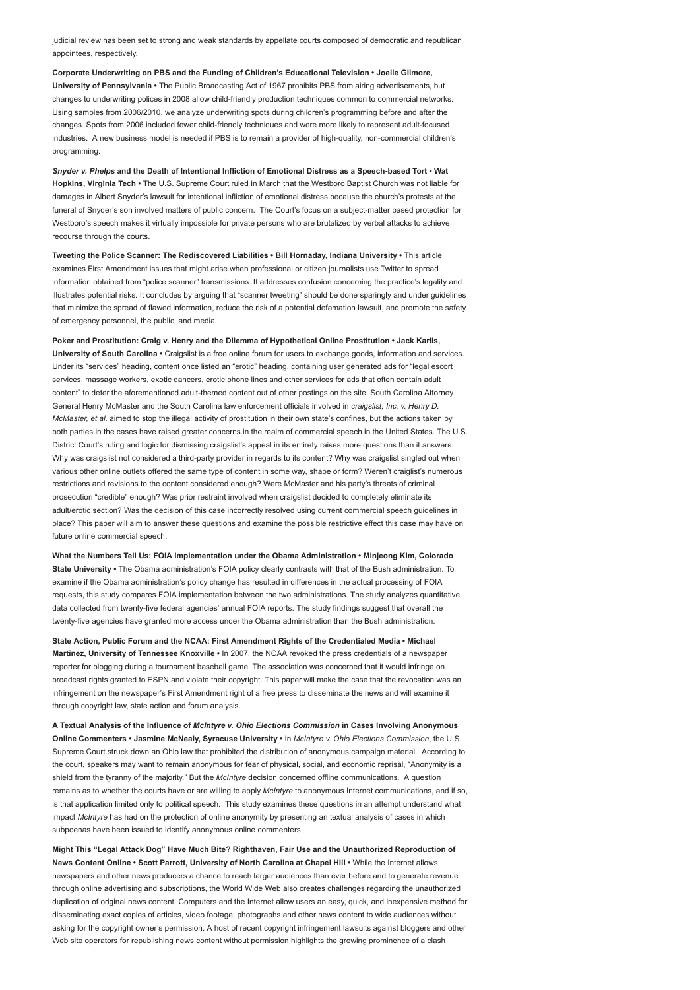judicial review has been set to strong and weak standards by appellate courts composed of democratic and republican appointees, respectively.

Corporate Underwriting on PBS and the Funding of Children's Educational Television • Joelle Gilmore, University of Pennsylvania • The Public Broadcasting Act of 1967 prohibits PBS from airing advertisements, but changes to underwriting polices in 2008 allow child-friendly production techniques common to commercial networks. Using samples from 2006/2010, we analyze underwriting spots during children's programming before and after the changes. Spots from 2006 included fewer child-friendly techniques and were more likely to represent adult-focused industries. A new business model is needed if PBS is to remain a provider of high-quality, non-commercial children's programming.

Snyder v. Phelps and the Death of Intentional Infliction of Emotional Distress as a Speech-based Tort • Wat Hopkins, Virginia Tech • The U.S. Supreme Court ruled in March that the Westboro Baptist Church was not liable for damages in Albert Snyder's lawsuit for intentional infliction of emotional distress because the church's protests at the funeral of Snyder's son involved matters of public concern. The Court's focus on a subject-matter based protection for Westboro's speech makes it virtually impossible for private persons who are brutalized by verbal attacks to achieve recourse through the courts.

Tweeting the Police Scanner: The Rediscovered Liabilities • Bill Hornaday, Indiana University • This article examines First Amendment issues that might arise when professional or citizen journalists use Twitter to spread information obtained from "police scanner" transmissions. It addresses confusion concerning the practice's legality and illustrates potential risks. It concludes by arguing that "scanner tweeting" should be done sparingly and under guidelines that minimize the spread of flawed information, reduce the risk of a potential defamation lawsuit, and promote the safety of emergency personnel, the public, and media.

Poker and Prostitution: Craig v. Henry and the Dilemma of Hypothetical Online Prostitution • Jack Karlis, University of South Carolina • Craigslist is a free online forum for users to exchange goods, information and services. Under its "services" heading, content once listed an "erotic" heading, containing user generated ads for "legal escort services, massage workers, exotic dancers, erotic phone lines and other services for ads that often contain adult content" to deter the aforementioned adult-themed content out of other postings on the site. South Carolina Attorney General Henry McMaster and the South Carolina law enforcement officials involved in craigslist, Inc. v. Henry D. McMaster, et al. aimed to stop the illegal activity of prostitution in their own state's confines, but the actions taken by both parties in the cases have raised greater concerns in the realm of commercial speech in the United States. The U.S. District Court's ruling and logic for dismissing craigslist's appeal in its entirety raises more questions than it answers. Why was craigslist not considered a third-party provider in regards to its content? Why was craigslist singled out when various other online outlets offered the same type of content in some way, shape or form? Weren't craiglist's numerous restrictions and revisions to the content considered enough? Were McMaster and his party's threats of criminal prosecution "credible" enough? Was prior restraint involved when craigslist decided to completely eliminate its adult/erotic section? Was the decision of this case incorrectly resolved using current commercial speech quidelines in place? This paper will aim to answer these questions and examine the possible restrictive effect this case may have on future online commercial speech.

What the Numbers Tell Us: FOIA Implementation under the Obama Administration • Minjeong Kim, Colorado State University • The Obama administration's FOIA policy clearly contrasts with that of the Bush administration. To examine if the Obama administration's policy change has resulted in differences in the actual processing of FOIA requests, this study compares FOIA implementation between the two administrations. The study analyzes quantitative data collected from twenty-five federal agencies' annual FOIA reports. The study findings suggest that overall the twenty-five agencies have granted more access under the Obama administration than the Bush administration.

State Action, Public Forum and the NCAA: First Amendment Rights of the Credentialed Media • Michael Martinez, University of Tennessee Knoxville · In 2007, the NCAA revoked the press credentials of a newspaper reporter for blogging during a tournament baseball game. The association was concerned that it would infringe on broadcast rights granted to ESPN and violate their copyright. This paper will make the case that the revocation was an infringement on the newspaper's First Amendment right of a free press to disseminate the news and will examine it through copyright law, state action and forum analysis.

A Textual Analysis of the Influence of McIntyre v. Ohio Elections Commission in Cases Involving Anonymous Online Commenters • Jasmine McNealy, Syracuse University • In McIntyre v. Ohio Elections Commission, the U.S. Supreme Court struck down an Ohio law that prohibited the distribution of anonymous campaign material. According to the court, speakers may want to remain anonymous for fear of physical, social, and economic reprisal, "Anonymity is a shield from the tyranny of the majority." But the McIntyre decision concerned offline communications. A question remains as to whether the courts have or are willing to apply McIntyre to anonymous Internet communications, and if so, is that application limited only to political speech. This study examines these questions in an attempt understand what impact McIntyre has had on the protection of online anonymity by presenting an textual analysis of cases in which subpoenas have been issued to identify anonymous online commenters.

Might This "Legal Attack Dog" Have Much Bite? Righthaven, Fair Use and the Unauthorized Reproduction of News Content Online • Scott Parrott, University of North Carolina at Chapel Hill • While the Internet allows newspapers and other news producers a chance to reach larger audiences than ever before and to generate revenue through online advertising and subscriptions, the World Wide Web also creates challenges regarding the unauthorized duplication of original news content. Computers and the Internet allow users an easy, quick, and inexpensive method for disseminating exact copies of articles, video footage, photographs and other news content to wide audiences without asking for the copyright owner's permission. A host of recent copyright infringement lawsuits against bloggers and other Web site operators for republishing news content without permission highlights the growing prominence of a clash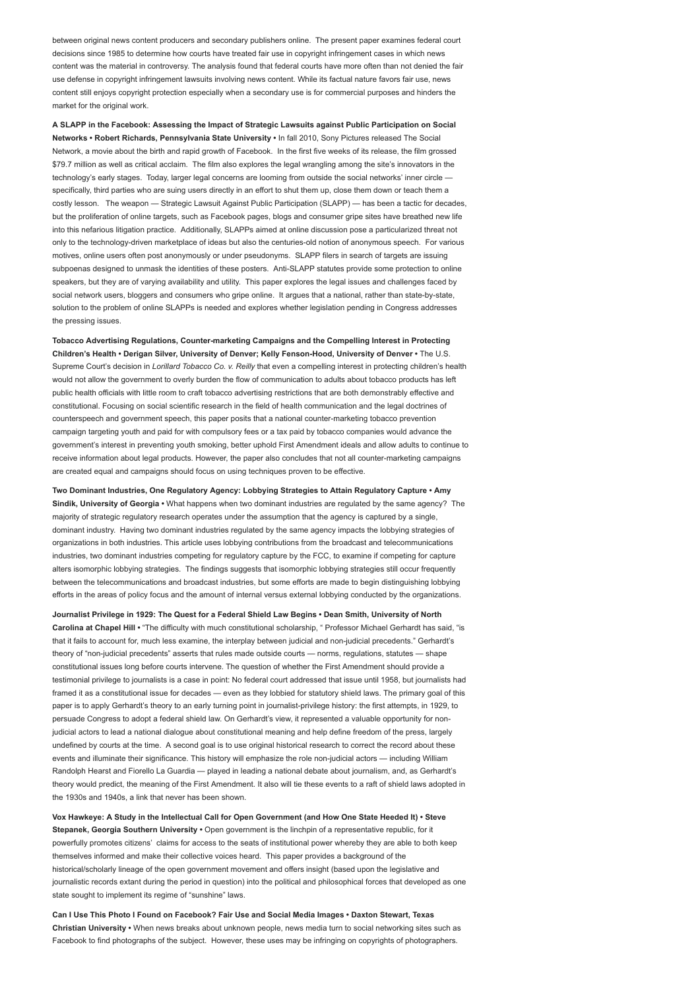between original news content producers and secondary publishers online. The present paper examines federal court decisions since 1985 to determine how courts have treated fair use in copyright infringement cases in which news content was the material in controversy. The analysis found that federal courts have more often than not denied the fair use defense in copyright infringement lawsuits involving news content. While its factual nature favors fair use, news content still enjoys copyright protection especially when a secondary use is for commercial purposes and hinders the market for the original work.

A SLAPP in the Facebook: Assessing the Impact of Strategic Lawsuits against Public Participation on Social Networks • Robert Richards, Pennsylvania State University • In fall 2010, Sony Pictures released The Social Network, a movie about the birth and rapid growth of Facebook. In the first five weeks of its release, the film grossed \$79.7 million as well as critical acclaim. The film also explores the legal wrangling among the site's innovators in the technology's early stages. Today, larger legal concerns are looming from outside the social networks' inner circle specifically, third parties who are suing users directly in an effort to shut them up, close them down or teach them a costly lesson. The weapon — Strategic Lawsuit Against Public Participation (SLAPP) — has been a tactic for decades, but the proliferation of online targets, such as Facebook pages, blogs and consumer gripe sites have breathed new life into this nefarious litigation practice. Additionally, SLAPPs aimed at online discussion pose a particularized threat not only to the technology-driven marketplace of ideas but also the centuries-old notion of anonymous speech. For various motives, online users often post anonymously or under pseudonyms. SLAPP filers in search of targets are issuing subpoenas designed to unmask the identities of these posters. Anti-SLAPP statutes provide some protection to online speakers, but they are of varying availability and utility. This paper explores the legal issues and challenges faced by social network users, bloggers and consumers who gripe online. It argues that a national, rather than state-by-state, solution to the problem of online SLAPPs is needed and explores whether legislation pending in Congress addresses the pressing issues.

Tobacco Advertising Regulations, Counter-marketing Campaigns and the Compelling Interest in Protecting Children's Health • Derigan Silver, University of Denver; Kelly Fenson-Hood, University of Denver • The U.S. Supreme Court's decision in Lorillard Tobacco Co. v. Reilly that even a compelling interest in protecting children's health would not allow the government to overly burden the flow of communication to adults about tobacco products has left public health officials with little room to craft tobacco advertising restrictions that are both demonstrably effective and constitutional. Focusing on social scientific research in the field of health communication and the legal doctrines of counterspeech and government speech, this paper posits that a national counter-marketing tobacco prevention campaign targeting youth and paid for with compulsory fees or a tax paid by tobacco companies would advance the government's interest in preventing youth smoking, better uphold First Amendment ideals and allow adults to continue to receive information about legal products. However, the paper also concludes that not all counter-marketing campaigns are created equal and campaigns should focus on using techniques proven to be effective.

Two Dominant Industries, One Regulatory Agency: Lobbying Strategies to Attain Regulatory Capture • Amy Sindik, University of Georgia • What happens when two dominant industries are regulated by the same agency? The majority of strategic regulatory research operates under the assumption that the agency is captured by a single, dominant industry. Having two dominant industries regulated by the same agency impacts the lobbying strategies of organizations in both industries. This article uses lobbying contributions from the broadcast and telecommunications industries, two dominant industries competing for regulatory capture by the FCC, to examine if competing for capture alters isomorphic lobbying strategies. The findings suggests that isomorphic lobbying strategies still occur frequently between the telecommunications and broadcast industries, but some efforts are made to begin distinguishing lobbying efforts in the areas of policy focus and the amount of internal versus external lobbying conducted by the organizations.

Journalist Privilege in 1929: The Quest for a Federal Shield Law Begins • Dean Smith, University of North Carolina at Chapel Hill • "The difficulty with much constitutional scholarship, " Professor Michael Gerhardt has said, "is that it fails to account for, much less examine, the interplay between judicial and non-judicial precedents." Gerhardt's theory of "non-judicial precedents" asserts that rules made outside courts — norms, regulations, statutes — shape constitutional issues long before courts intervene. The question of whether the First Amendment should provide a testimonial privilege to journalists is a case in point: No federal court addressed that issue until 1958, but journalists had framed it as a constitutional issue for decades — even as they lobbied for statutory shield laws. The primary goal of this paper is to apply Gerhardt's theory to an early turning point in journalist-privilege history: the first attempts, in 1929, to persuade Congress to adopt a federal shield law. On Gerhardt's view, it represented a valuable opportunity for nonjudicial actors to lead a national dialogue about constitutional meaning and help define freedom of the press, largely undefined by courts at the time. A second goal is to use original historical research to correct the record about these events and illuminate their significance. This history will emphasize the role non-judicial actors — including William Randolph Hearst and Fiorello La Guardia — played in leading a national debate about journalism, and, as Gerhardt's theory would predict, the meaning of the First Amendment. It also will tie these events to a raft of shield laws adopted in the 1930s and 1940s, a link that never has been shown.

Vox Hawkeye: A Study in the Intellectual Call for Open Government (and How One State Heeded It) • Steve Stepanek, Georgia Southern University • Open government is the linchpin of a representative republic, for it powerfully promotes citizens' claims for access to the seats of institutional power whereby they are able to both keep themselves informed and make their collective voices heard. This paper provides a background of the historical/scholarly lineage of the open government movement and offers insight (based upon the legislative and journalistic records extant during the period in question) into the political and philosophical forces that developed as one state sought to implement its regime of "sunshine" laws.

Can I Use This Photo I Found on Facebook? Fair Use and Social Media Images • Daxton Stewart, Texas Christian University • When news breaks about unknown people, news media turn to social networking sites such as Facebook to find photographs of the subject. However, these uses may be infringing on copyrights of photographers.